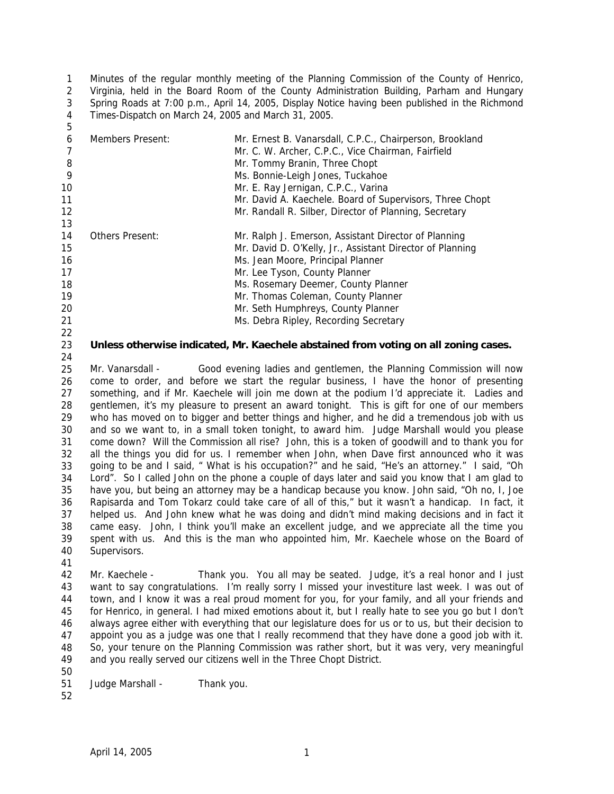1  $\mathfrak{D}$ 3 4 5 Minutes of the regular monthly meeting of the Planning Commission of the County of Henrico, Virginia, held in the Board Room of the County Administration Building, Parham and Hungary Spring Roads at 7:00 p.m., April 14, 2005, Display Notice having been published in the Richmond Times-Dispatch on March 24, 2005 and March 31, 2005.

| 6  | Members Present: | Mr. Ernest B. Vanarsdall, C.P.C., Chairperson, Brookland  |
|----|------------------|-----------------------------------------------------------|
|    |                  | Mr. C. W. Archer, C.P.C., Vice Chairman, Fairfield        |
| 8  |                  | Mr. Tommy Branin, Three Chopt                             |
| 9  |                  | Ms. Bonnie-Leigh Jones, Tuckahoe                          |
| 10 |                  | Mr. E. Ray Jernigan, C.P.C., Varina                       |
| 11 |                  | Mr. David A. Kaechele. Board of Supervisors, Three Chopt  |
| 12 |                  | Mr. Randall R. Silber, Director of Planning, Secretary    |
| 13 |                  |                                                           |
| 14 | Others Present:  | Mr. Ralph J. Emerson, Assistant Director of Planning      |
| 15 |                  | Mr. David D. O'Kelly, Jr., Assistant Director of Planning |
| 16 |                  | Ms. Jean Moore, Principal Planner                         |
| 17 |                  | Mr. Lee Tyson, County Planner                             |
| 18 |                  | Ms. Rosemary Deemer, County Planner                       |
| 19 |                  | Mr. Thomas Coleman, County Planner                        |
| 20 |                  | Mr. Seth Humphreys, County Planner                        |
| 21 |                  | Ms. Debra Ripley, Recording Secretary                     |
| 22 |                  |                                                           |

#### 23 **Unless otherwise indicated, Mr. Kaechele abstained from voting on all zoning cases.**

25 26 27 28 29 30 31 32 33 34 35 36 37 38 39 40 Mr. Vanarsdall - Good evening ladies and gentlemen, the Planning Commission will now come to order, and before we start the regular business, I have the honor of presenting something, and if Mr. Kaechele will join me down at the podium I'd appreciate it. Ladies and gentlemen, it's my pleasure to present an award tonight. This is gift for one of our members who has moved on to bigger and better things and higher, and he did a tremendous job with us and so we want to, in a small token tonight, to award him. Judge Marshall would you please come down? Will the Commission all rise? John, this is a token of goodwill and to thank you for all the things you did for us. I remember when John, when Dave first announced who it was going to be and I said, " What is his occupation?" and he said, "He's an attorney." I said, "Oh Lord". So I called John on the phone a couple of days later and said you know that I am glad to have you, but being an attorney may be a handicap because you know. John said, "Oh no, I, Joe Rapisarda and Tom Tokarz could take care of all of this," but it wasn't a handicap. In fact, it helped us. And John knew what he was doing and didn't mind making decisions and in fact it came easy. John, I think you'll make an excellent judge, and we appreciate all the time you spent with us. And this is the man who appointed him, Mr. Kaechele whose on the Board of Supervisors.

41

24

42 43 44 45 46 47 48 49 Mr. Kaechele - Thank you. You all may be seated. Judge, it's a real honor and I just want to say congratulations. I'm really sorry I missed your investiture last week. I was out of town, and I know it was a real proud moment for you, for your family, and all your friends and for Henrico, in general. I had mixed emotions about it, but I really hate to see you go but I don't always agree either with everything that our legislature does for us or to us, but their decision to appoint you as a judge was one that I really recommend that they have done a good job with it. So, your tenure on the Planning Commission was rather short, but it was very, very meaningful and you really served our citizens well in the Three Chopt District.

50

51 Judge Marshall - Thank you.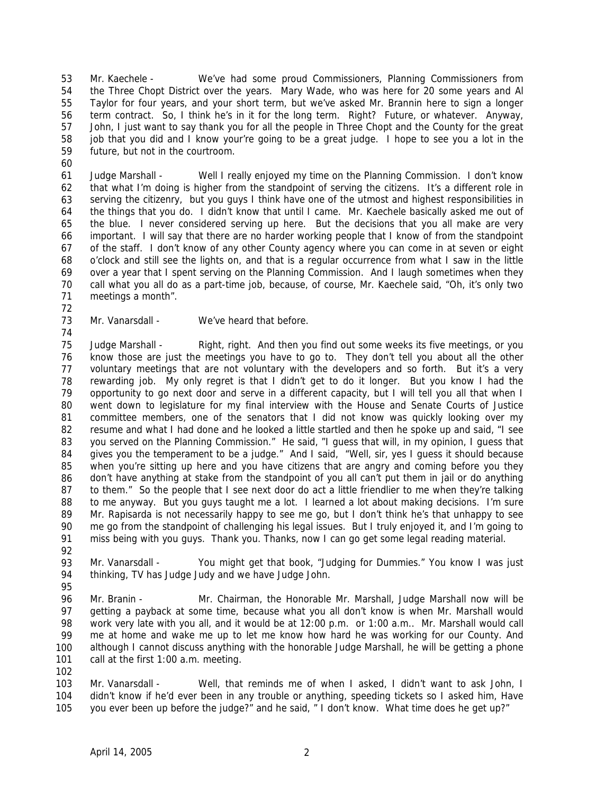53 54 55 56 57 58 59 Mr. Kaechele - We've had some proud Commissioners, Planning Commissioners from the Three Chopt District over the years. Mary Wade, who was here for 20 some years and Al Taylor for four years, and your short term, but we've asked Mr. Brannin here to sign a longer term contract. So, I think he's in it for the long term. Right? Future, or whatever. Anyway, John, I just want to say thank you for all the people in Three Chopt and the County for the great job that you did and I know your're going to be a great judge. I hope to see you a lot in the future, but not in the courtroom.

61 62 63 64 65 66 67 68 69 70 71 Judge Marshall - Well I really enjoyed my time on the Planning Commission. I don't know that what I'm doing is higher from the standpoint of serving the citizens. It's a different role in serving the citizenry, but you guys I think have one of the utmost and highest responsibilities in the things that you do. I didn't know that until I came. Mr. Kaechele basically asked me out of the blue. I never considered serving up here. But the decisions that you all make are very important. I will say that there are no harder working people that I know of from the standpoint of the staff. I don't know of any other County agency where you can come in at seven or eight o'clock and still see the lights on, and that is a regular occurrence from what I saw in the little over a year that I spent serving on the Planning Commission. And I laugh sometimes when they call what you all do as a part-time job, because, of course, Mr. Kaechele said, "Oh, it's only two meetings a month".

72 73

74

60

Mr. Vanarsdall - We've heard that before.

75 76 77 78 79 80 81 82 83 84 85 86 87 88 89 90 91 Judge Marshall - Right, right. And then you find out some weeks its five meetings, or you know those are just the meetings you have to go to. They don't tell you about all the other voluntary meetings that are not voluntary with the developers and so forth. But it's a very rewarding job. My only regret is that I didn't get to do it longer. But you know I had the opportunity to go next door and serve in a different capacity, but I will tell you all that when I went down to legislature for my final interview with the House and Senate Courts of Justice committee members, one of the senators that I did not know was quickly looking over my resume and what I had done and he looked a little startled and then he spoke up and said, "I see you served on the Planning Commission." He said, "I guess that will, in my opinion, I guess that gives you the temperament to be a judge." And I said, "Well, sir, yes I guess it should because when you're sitting up here and you have citizens that are angry and coming before you they don't have anything at stake from the standpoint of you all can't put them in jail or do anything to them." So the people that I see next door do act a little friendlier to me when they're talking to me anyway. But you guys taught me a lot. I learned a lot about making decisions. I'm sure Mr. Rapisarda is not necessarily happy to see me go, but I don't think he's that unhappy to see me go from the standpoint of challenging his legal issues. But I truly enjoyed it, and I'm going to miss being with you guys. Thank you. Thanks, now I can go get some legal reading material.

92

93 94 Mr. Vanarsdall - You might get that book, "Judging for Dummies." You know I was just thinking, TV has Judge Judy and we have Judge John.

95

96 97 98 99 100 101 Mr. Branin - Mr. Chairman, the Honorable Mr. Marshall, Judge Marshall now will be getting a payback at some time, because what you all don't know is when Mr. Marshall would work very late with you all, and it would be at 12:00 p.m. or 1:00 a.m.. Mr. Marshall would call me at home and wake me up to let me know how hard he was working for our County. And although I cannot discuss anything with the honorable Judge Marshall, he will be getting a phone call at the first 1:00 a.m. meeting.

102

103 104 105 Mr. Vanarsdall - Well, that reminds me of when I asked, I didn't want to ask John, I didn't know if he'd ever been in any trouble or anything, speeding tickets so I asked him, Have you ever been up before the judge?" and he said, " I don't know. What time does he get up?"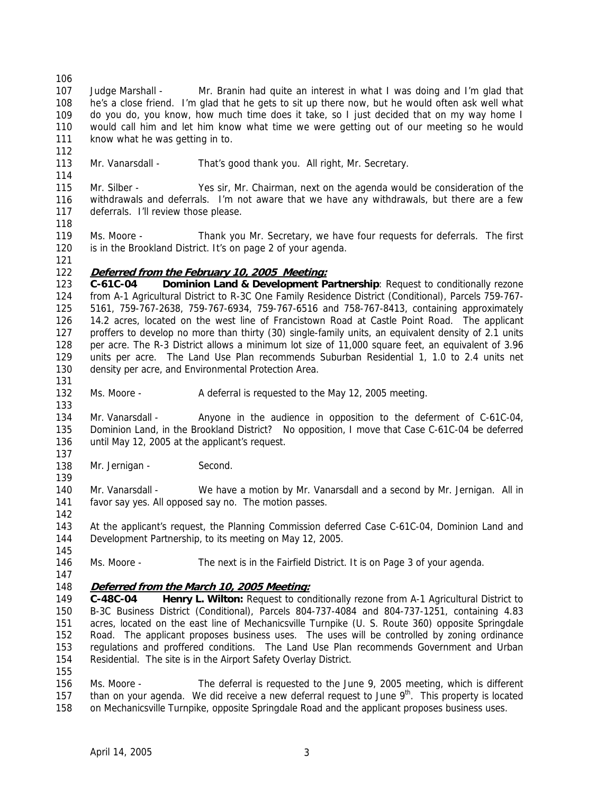- 106 107 108 109 110 111 Judge Marshall - Mr. Branin had quite an interest in what I was doing and I'm glad that he's a close friend. I'm glad that he gets to sit up there now, but he would often ask well what do you do, you know, how much time does it take, so I just decided that on my way home I would call him and let him know what time we were getting out of our meeting so he would know what he was getting in to.
- 113 Mr. Vanarsdall - That's good thank you. All right, Mr. Secretary.
- 115 116 117 Mr. Silber - Yes sir, Mr. Chairman, next on the agenda would be consideration of the withdrawals and deferrals. I'm not aware that we have any withdrawals, but there are a few deferrals. I'll review those please.
- 118

112

114

119 120 Ms. Moore - Thank you Mr. Secretary, we have four requests for deferrals. The first is in the Brookland District. It's on page 2 of your agenda.

121

131

133

137

139

142

145

147

# 122 **Deferred from the February 10, 2005 Meeting:**

123 124 125 126 127 128 129 130 **C-61C-04 Dominion Land & Development Partnership**: Request to conditionally rezone from A-1 Agricultural District to R-3C One Family Residence District (Conditional), Parcels 759-767- 5161, 759-767-2638, 759-767-6934, 759-767-6516 and 758-767-8413, containing approximately 14.2 acres, located on the west line of Francistown Road at Castle Point Road. The applicant proffers to develop no more than thirty (30) single-family units, an equivalent density of 2.1 units per acre. The R-3 District allows a minimum lot size of 11,000 square feet, an equivalent of 3.96 units per acre. The Land Use Plan recommends Suburban Residential 1, 1.0 to 2.4 units net density per acre, and Environmental Protection Area.

132 Ms. Moore - A deferral is requested to the May 12, 2005 meeting.

134 135 136 Mr. Vanarsdall - Anyone in the audience in opposition to the deferment of C-61C-04, Dominion Land, in the Brookland District? No opposition, I move that Case C-61C-04 be deferred until May 12, 2005 at the applicant's request.

138 Mr. Jernigan - Second.

140 141 Mr. Vanarsdall - We have a motion by Mr. Vanarsdall and a second by Mr. Jernigan. All in favor say yes. All opposed say no. The motion passes.

143 144 At the applicant's request, the Planning Commission deferred Case C-61C-04, Dominion Land and Development Partnership, to its meeting on May 12, 2005.

146 Ms. Moore - The next is in the Fairfield District. It is on Page 3 of your agenda.

# 148 **Deferred from the March 10, 2005 Meeting:**

149 150 151 152 153 154 155 **C-48C-04 Henry L. Wilton:** Request to conditionally rezone from A-1 Agricultural District to B-3C Business District (Conditional), Parcels 804-737-4084 and 804-737-1251, containing 4.83 acres, located on the east line of Mechanicsville Turnpike (U. S. Route 360) opposite Springdale Road. The applicant proposes business uses. The uses will be controlled by zoning ordinance regulations and proffered conditions. The Land Use Plan recommends Government and Urban Residential. The site is in the Airport Safety Overlay District.

156 157 158 Ms. Moore - The deferral is requested to the June 9, 2005 meeting, which is different than on your agenda. We did receive a new deferral request to June  $9<sup>th</sup>$ . This property is located on Mechanicsville Turnpike, opposite Springdale Road and the applicant proposes business uses.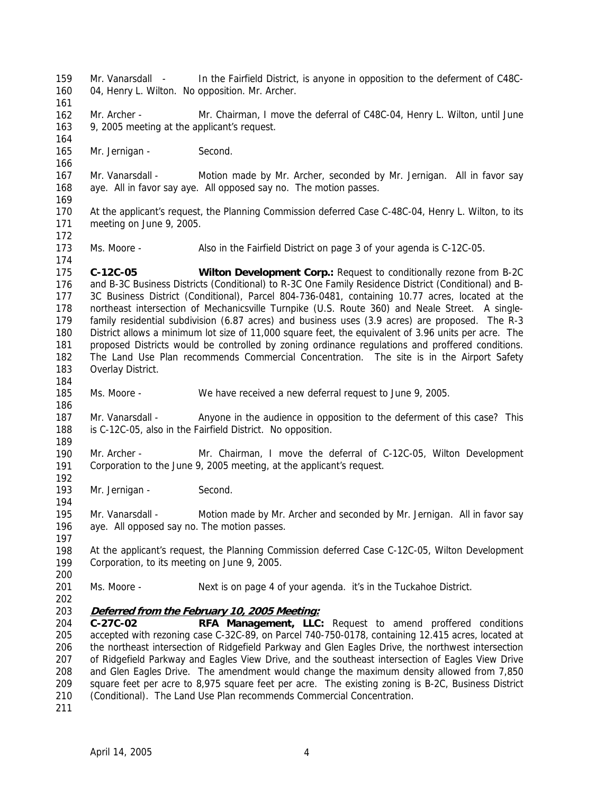159 160 161 162 163 164 165 166 167 168 169 170 171 172 173 174 175 176 177 178 179 180 181 182 183 184 185 186 187 188 189 190 191 192 193 194 195 196 197 198 199 200 201 202 Mr. Vanarsdall - In the Fairfield District, is anyone in opposition to the deferment of C48C-04, Henry L. Wilton. No opposition. Mr. Archer. Mr. Archer - Mr. Chairman, I move the deferral of C48C-04, Henry L. Wilton, until June 9, 2005 meeting at the applicant's request. Mr. Jernigan - Second. Mr. Vanarsdall - Motion made by Mr. Archer, seconded by Mr. Jernigan. All in favor say aye. All in favor say aye. All opposed say no. The motion passes. At the applicant's request, the Planning Commission deferred Case C-48C-04, Henry L. Wilton, to its meeting on June 9, 2005. Ms. Moore - Also in the Fairfield District on page 3 of your agenda is C-12C-05. **C-12C-05 Wilton Development Corp.:** Request to conditionally rezone from B-2C and B-3C Business Districts (Conditional) to R-3C One Family Residence District (Conditional) and B-3C Business District (Conditional), Parcel 804-736-0481, containing 10.77 acres, located at the northeast intersection of Mechanicsville Turnpike (U.S. Route 360) and Neale Street. A singlefamily residential subdivision (6.87 acres) and business uses (3.9 acres) are proposed. The R-3 District allows a minimum lot size of 11,000 square feet, the equivalent of 3.96 units per acre. The proposed Districts would be controlled by zoning ordinance regulations and proffered conditions. The Land Use Plan recommends Commercial Concentration. The site is in the Airport Safety Overlay District. Ms. Moore - We have received a new deferral request to June 9, 2005. Mr. Vanarsdall - Anyone in the audience in opposition to the deferment of this case? This is C-12C-05, also in the Fairfield District. No opposition. Mr. Archer - Mr. Chairman, I move the deferral of C-12C-05, Wilton Development Corporation to the June 9, 2005 meeting, at the applicant's request. Mr. Jernigan - Second. Mr. Vanarsdall - Motion made by Mr. Archer and seconded by Mr. Jernigan. All in favor say aye. All opposed say no. The motion passes. At the applicant's request, the Planning Commission deferred Case C-12C-05, Wilton Development Corporation, to its meeting on June 9, 2005. Ms. Moore - Next is on page 4 of your agenda. it's in the Tuckahoe District. 203 **Deferred from the February 10, 2005 Meeting:** 204 205 206 207 208 209 210 **C-27C-02 RFA Management, LLC:** Request to amend proffered conditions accepted with rezoning case C-32C-89, on Parcel 740-750-0178, containing 12.415 acres, located at the northeast intersection of Ridgefield Parkway and Glen Eagles Drive, the northwest intersection of Ridgefield Parkway and Eagles View Drive, and the southeast intersection of Eagles View Drive and Glen Eagles Drive. The amendment would change the maximum density allowed from 7,850 square feet per acre to 8,975 square feet per acre. The existing zoning is B-2C, Business District (Conditional). The Land Use Plan recommends Commercial Concentration.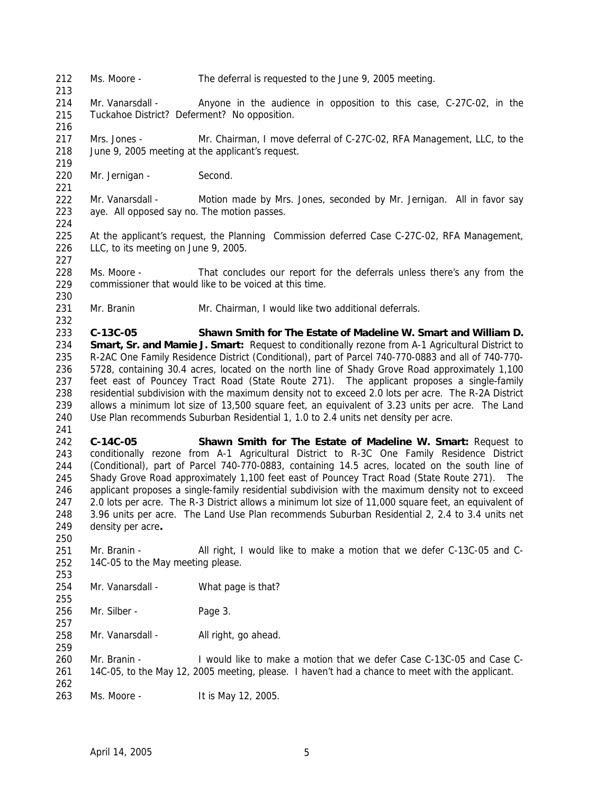212 Ms. Moore - The deferral is requested to the June 9, 2005 meeting.

214 215 Mr. Vanarsdall - Anyone in the audience in opposition to this case, C-27C-02, in the Tuckahoe District? Deferment? No opposition.

217 218 Mrs. Jones - Mr. Chairman, I move deferral of C-27C-02, RFA Management, LLC, to the June 9, 2005 meeting at the applicant's request.

220 Mr. Jernigan - Second.

213

216

219

221

224

227

230

232

250

253

255

257

259

- 222 223 Mr. Vanarsdall - Motion made by Mrs. Jones, seconded by Mr. Jernigan. All in favor say aye. All opposed say no. The motion passes.
- 225 226 At the applicant's request, the Planning Commission deferred Case C-27C-02, RFA Management, LLC, to its meeting on June 9, 2005.
- 228 229 Ms. Moore - That concludes our report for the deferrals unless there's any from the commissioner that would like to be voiced at this time.
- 231 Mr. Branin Mr. Chairman, I would like two additional deferrals.

233 234 235 236 237 238 239 240 241 **C-13C-05 Shawn Smith for The Estate of Madeline W. Smart and William D. Smart, Sr. and Mamie J. Smart:** Request to conditionally rezone from A-1 Agricultural District to R-2AC One Family Residence District (Conditional), part of Parcel 740-770-0883 and all of 740-770- 5728, containing 30.4 acres, located on the north line of Shady Grove Road approximately 1,100 feet east of Pouncey Tract Road (State Route 271). The applicant proposes a single-family residential subdivision with the maximum density not to exceed 2.0 lots per acre. The R-2A District allows a minimum lot size of 13,500 square feet, an equivalent of 3.23 units per acre. The Land Use Plan recommends Suburban Residential 1, 1.0 to 2.4 units net density per acre.

242 243 244 245 246 247 248 249 **C-14C-05 Shawn Smith for The Estate of Madeline W. Smart:** Request to conditionally rezone from A-1 Agricultural District to R-3C One Family Residence District (Conditional), part of Parcel 740-770-0883, containing 14.5 acres, located on the south line of Shady Grove Road approximately 1,100 feet east of Pouncey Tract Road (State Route 271). The applicant proposes a single-family residential subdivision with the maximum density not to exceed 2.0 lots per acre. The R-3 District allows a minimum lot size of 11,000 square feet, an equivalent of 3.96 units per acre. The Land Use Plan recommends Suburban Residential 2, 2.4 to 3.4 units net density per acre**.** 

251 252 Mr. Branin - All right, I would like to make a motion that we defer C-13C-05 and C-14C-05 to the May meeting please.

254 Mr. Vanarsdall - What page is that?

256 Mr. Silber - Page 3.

258 Mr. Vanarsdall - All right, go ahead.

260 261 262 Mr. Branin - I would like to make a motion that we defer Case C-13C-05 and Case C-14C-05, to the May 12, 2005 meeting, please. I haven't had a chance to meet with the applicant.

263 Ms. Moore - It is May 12, 2005.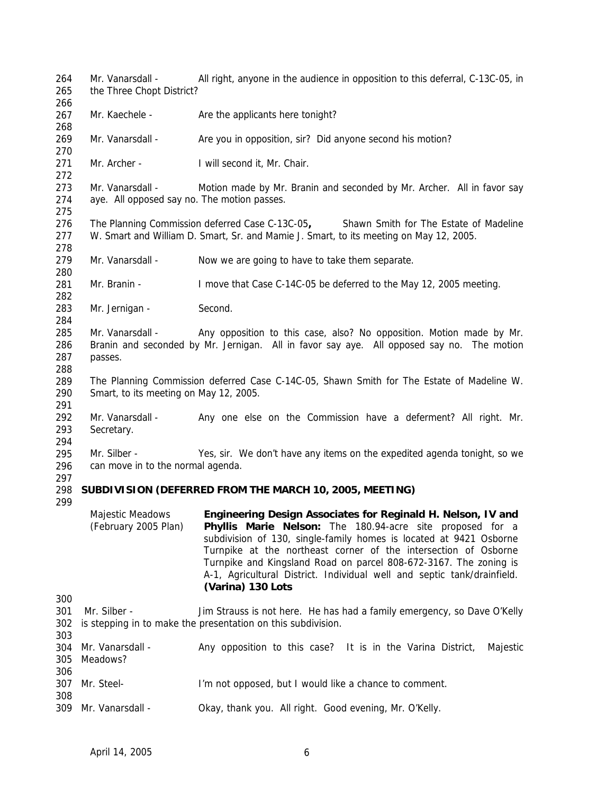264 265 266 267 268 269 270 271 272 273 274 275 276 277 278 279 280 281 282 283 284 285 286 287 288 289 290 291 292 293 294 295 296 297 298 **SUBDIVISION (DEFERRED FROM THE MARCH 10, 2005, MEETING)**  299 300 301 Mr. Silber -302 is stepping in to make the presentation on this subdivision. 303 304 Mr. Vanarsdall -305 Meadows? 306 307 Mr. Steel-308 309 Mr. Vanarsdall -Mr. Vanarsdall - All right, anyone in the audience in opposition to this deferral, C-13C-05, in the Three Chopt District? Mr. Kaechele - Are the applicants here tonight? Mr. Vanarsdall - Are you in opposition, sir? Did anyone second his motion? Mr. Archer - I will second it, Mr. Chair. Mr. Vanarsdall - Motion made by Mr. Branin and seconded by Mr. Archer. All in favor say aye. All opposed say no. The motion passes. The Planning Commission deferred Case C-13C-05**,** Shawn Smith for The Estate of Madeline W. Smart and William D. Smart, Sr. and Mamie J. Smart, to its meeting on May 12, 2005. Mr. Vanarsdall - Now we are going to have to take them separate. Mr. Branin - I move that Case C-14C-05 be deferred to the May 12, 2005 meeting. Mr. Jernigan - Second. Mr. Vanarsdall - Any opposition to this case, also? No opposition. Motion made by Mr. Branin and seconded by Mr. Jernigan. All in favor say aye. All opposed say no. The motion passes. The Planning Commission deferred Case C-14C-05, Shawn Smith for The Estate of Madeline W. Smart, to its meeting on May 12, 2005. Mr. Vanarsdall - Any one else on the Commission have a deferment? All right. Mr. Secretary. Mr. Silber - Yes, sir. We don't have any items on the expedited agenda tonight, so we can move in to the normal agenda. Majestic Meadows (February 2005 Plan) **Engineering Design Associates for Reginald H. Nelson, IV and Phyllis Marie Nelson:** The 180.94-acre site proposed for a subdivision of 130, single-family homes is located at 9421 Osborne Turnpike at the northeast corner of the intersection of Osborne Turnpike and Kingsland Road on parcel 808-672-3167. The zoning is A-1, Agricultural District. Individual well and septic tank/drainfield. **(Varina) 130 Lots**  Jim Strauss is not here. He has had a family emergency, so Dave O'Kelly Any opposition to this case? It is in the Varina District, Majestic I'm not opposed, but I would like a chance to comment. Okay, thank you. All right. Good evening, Mr. O'Kelly.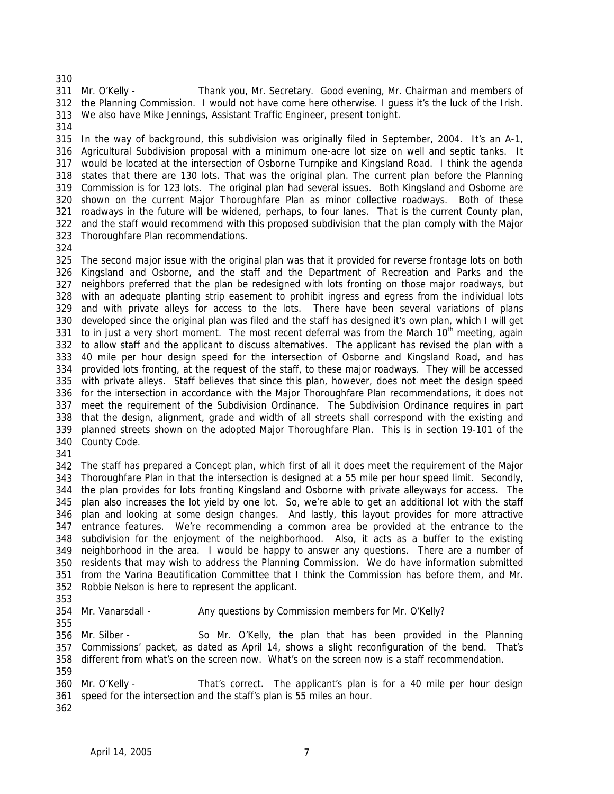311 Mr. O'Kelly - the Planning Commission. I would not have come here otherwise. I guess it's the luck of the Irish. We also have Mike Jennings, Assistant Traffic Engineer, present tonight. Thank you, Mr. Secretary. Good evening, Mr. Chairman and members of

 In the way of background, this subdivision was originally filed in September, 2004. It's an A-1, Agricultural Subdivision proposal with a minimum one-acre lot size on well and septic tanks. It would be located at the intersection of Osborne Turnpike and Kingsland Road. I think the agenda states that there are 130 lots. That was the original plan. The current plan before the Planning Commission is for 123 lots. The original plan had several issues. Both Kingsland and Osborne are shown on the current Major Thoroughfare Plan as minor collective roadways. Both of these roadways in the future will be widened, perhaps, to four lanes. That is the current County plan, and the staff would recommend with this proposed subdivision that the plan comply with the Major Thoroughfare Plan recommendations.

 The second major issue with the original plan was that it provided for reverse frontage lots on both Kingsland and Osborne, and the staff and the Department of Recreation and Parks and the neighbors preferred that the plan be redesigned with lots fronting on those major roadways, but with an adequate planting strip easement to prohibit ingress and egress from the individual lots and with private alleys for access to the lots. There have been several variations of plans developed since the original plan was filed and the staff has designed it's own plan, which I will get 331 to in just a very short moment. The most recent deferral was from the March 10<sup>th</sup> meeting, again to allow staff and the applicant to discuss alternatives. The applicant has revised the plan with a 40 mile per hour design speed for the intersection of Osborne and Kingsland Road, and has provided lots fronting, at the request of the staff, to these major roadways. They will be accessed with private alleys. Staff believes that since this plan, however, does not meet the design speed for the intersection in accordance with the Major Thoroughfare Plan recommendations, it does not meet the requirement of the Subdivision Ordinance. The Subdivision Ordinance requires in part that the design, alignment, grade and width of all streets shall correspond with the existing and County Code. planned streets shown on the adopted Major Thoroughfare Plan. This is in section 19-101 of the

 The staff has prepared a Concept plan, which first of all it does meet the requirement of the Major Thoroughfare Plan in that the intersection is designed at a 55 mile per hour speed limit. Secondly, the plan provides for lots fronting Kingsland and Osborne with private alleyways for access. The plan also increases the lot yield by one lot. So, we're able to get an additional lot with the staff plan and looking at some design changes. And lastly, this layout provides for more attractive entrance features. We're recommending a common area be provided at the entrance to the subdivision for the enjoyment of the neighborhood. Also, it acts as a buffer to the existing neighborhood in the area. I would be happy to answer any questions. There are a number of residents that may wish to address the Planning Commission. We do have information submitted from the Varina Beautification Committee that I think the Commission has before them, and Mr. Robbie Nelson is here to represent the applicant.

354 Mr. Vanarsdall -Any questions by Commission members for Mr. O'Kelly?

356 Mr. Silber -So Mr. O'Kelly, the plan that has been provided in the Planning

 Commissions' packet, as dated as April 14, shows a slight reconfiguration of the bend. That's different from what's on the screen now. What's on the screen now is a staff recommendation.

360 Mr. O'Kelly -That's correct. The applicant's plan is for a 40 mile per hour design

- speed for the intersection and the staff's plan is 55 miles an hour.
-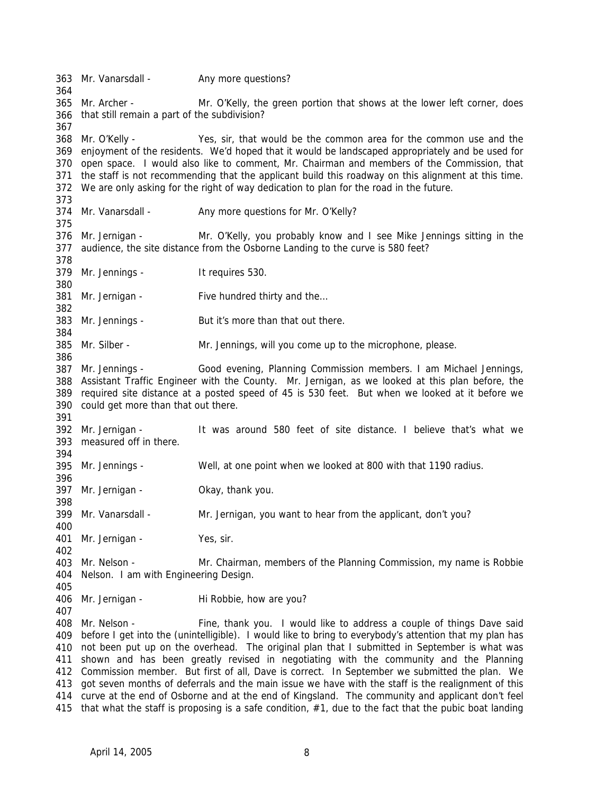363 Mr. Vanarsdall -364 365 Mr. Archer -366 that still remain a part of the subdivision? 367 368 Mr. O'Kelly -369 enjoyment of the residents. We'd hoped that it would be landscaped appropriately and be used for 370 open space. I would also like to comment, Mr. Chairman and members of the Commission, that 371 the staff is not recommending that the applicant build this roadway on this alignment at this time. 372 We are only asking for the right of way dedication to plan for the road in the future. 373 374 Mr. Vanarsdall -375 376 Mr. Jernigan -377 audience, the site distance from the Osborne Landing to the curve is 580 feet? 378 379 Mr. Jennings -380 381 Mr. Jernigan -382 383 Mr. Jennings -384 385 Mr. Silber -386 387 Mr. Jennings -388 Assistant Traffic Engineer with the County. Mr. Jernigan, as we looked at this plan before, the 389 required site distance at a posted speed of 45 is 530 feet. But when we looked at it before we 390 could get more than that out there. 391 392 Mr. Jernigan -393 measured off in there. 394 395 Mr. Jennings -396 397 Mr. Jernigan -398 399 Mr. Vanarsdall -400 401 Mr. Jernigan - Yes, sir. 402 403 Mr. Nelson -404 Nelson. I am with Engineering Design. 405 406 Mr. Jernigan -407 408 Mr. Nelson -409 before I get into the (unintelligible). I would like to bring to everybody's attention that my plan has 410 not been put up on the overhead. The original plan that I submitted in September is what was 411 shown and has been greatly revised in negotiating with the community and the Planning 412 Commission member. But first of all, Dave is correct. In September we submitted the plan. We 413 got seven months of deferrals and the main issue we have with the staff is the realignment of this 414 curve at the end of Osborne and at the end of Kingsland. The community and applicant don't feel 415 that what the staff is proposing is a safe condition, #1, due to the fact that the pubic boat landing Any more questions? Mr. O'Kelly, the green portion that shows at the lower left corner, does Yes, sir, that would be the common area for the common use and the Any more questions for Mr. O'Kelly? Mr. O'Kelly, you probably know and I see Mike Jennings sitting in the It requires 530. Five hundred thirty and the... But it's more than that out there. Mr. Jennings, will you come up to the microphone, please. Good evening, Planning Commission members. I am Michael Jennings, It was around 580 feet of site distance. I believe that's what we Well, at one point when we looked at 800 with that 1190 radius. Okay, thank you. Mr. Jernigan, you want to hear from the applicant, don't you? Mr. Chairman, members of the Planning Commission, my name is Robbie Hi Robbie, how are you? Fine, thank you. I would like to address a couple of things Dave said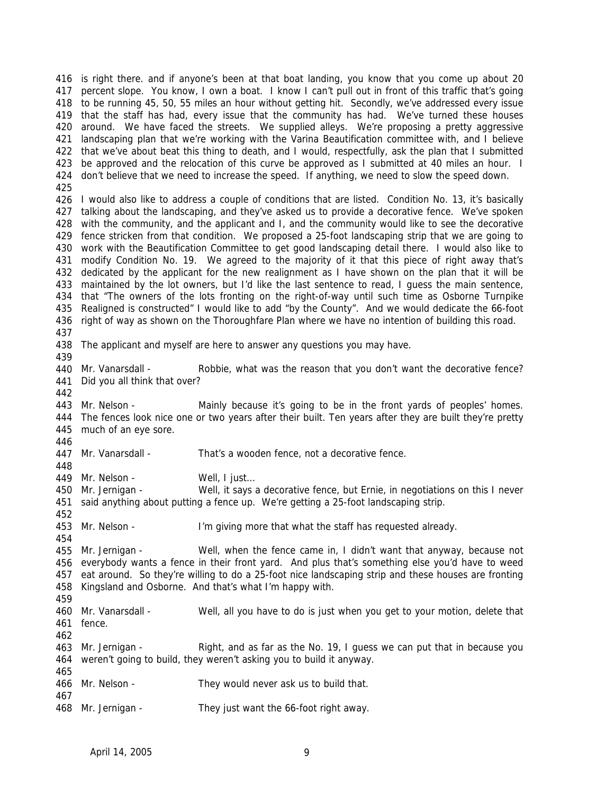is right there. and if anyone's been at that boat landing, you know that you come up about 20 percent slope. You know, I own a boat. I know I can't pull out in front of this traffic that's going to be running 45, 50, 55 miles an hour without getting hit. Secondly, we've addressed every issue that the staff has had, every issue that the community has had. We've turned these houses around. We have faced the streets. We supplied alleys. We're proposing a pretty aggressive landscaping plan that we're working with the Varina Beautification committee with, and I believe that we've about beat this thing to death, and I would, respectfully, ask the plan that I submitted be approved and the relocation of this curve be approved as I submitted at 40 miles an hour. I don't believe that we need to increase the speed. If anything, we need to slow the speed down. I would also like to address a couple of conditions that are listed. Condition No. 13, it's basically talking about the landscaping, and they've asked us to provide a decorative fence. We've spoken with the community, and the applicant and I, and the community would like to see the decorative fence stricken from that condition. We proposed a 25-foot landscaping strip that we are going to work with the Beautification Committee to get good landscaping detail there. I would also like to modify Condition No. 19. We agreed to the majority of it that this piece of right away that's dedicated by the applicant for the new realignment as I have shown on the plan that it will be maintained by the lot owners, but I'd like the last sentence to read, I guess the main sentence, that "The owners of the lots fronting on the right-of-way until such time as Osborne Turnpike Realigned is constructed" I would like to add "by the County". And we would dedicate the 66-foot right of way as shown on the Thoroughfare Plan where we have no intention of building this road. The applicant and myself are here to answer any questions you may have. 440 Mr. Vanarsdall - Did you all think that over? 443 Mr. Nelson - The fences look nice one or two years after their built. Ten years after they are built they're pretty much of an eye sore. 447 Mr. Vanarsdall - 449 Mr. Nelson -450 Mr. Jernigan - said anything about putting a fence up. We're getting a 25-foot landscaping strip. 453 Mr. Nelson - 455 Mr. Jernigan - everybody wants a fence in their front yard. And plus that's something else you'd have to weed eat around. So they're willing to do a 25-foot nice landscaping strip and these houses are fronting Kingsland and Osborne. And that's what I'm happy with. 460 Mr. Vanarsdall - fence. 463 Mr. Jernigan - weren't going to build, they weren't asking you to build it anyway. 466 Mr. Nelson - 468 Mr. Jernigan -Robbie, what was the reason that you don't want the decorative fence? Mainly because it's going to be in the front yards of peoples' homes. That's a wooden fence, not a decorative fence. Well, I just... Well, it says a decorative fence, but Ernie, in negotiations on this I never I'm giving more that what the staff has requested already. Well, when the fence came in, I didn't want that anyway, because not Well, all you have to do is just when you get to your motion, delete that Right, and as far as the No. 19, I guess we can put that in because you They would never ask us to build that. They just want the 66-foot right away.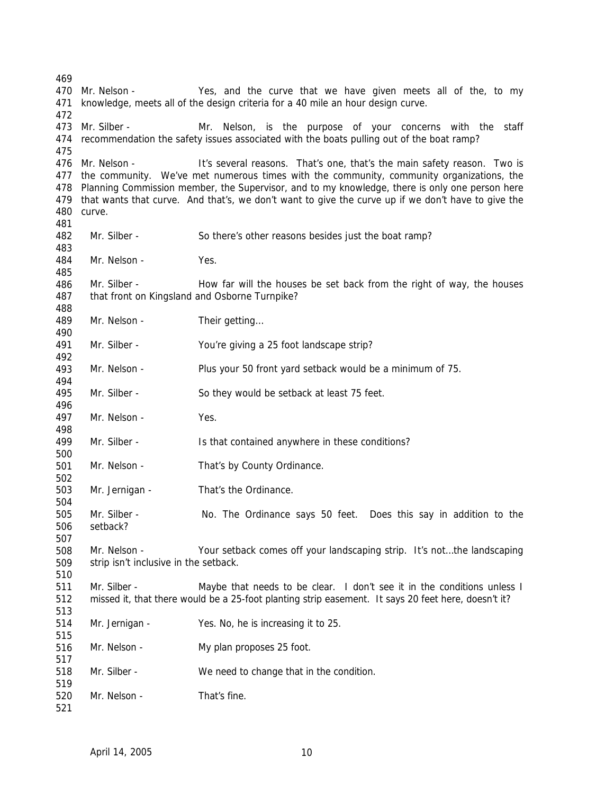470 Mr Nelson - knowledge, meets all of the design criteria for a 40 mile an hour design curve. 473 Mr. Silber - recommendation the safety issues associated with the boats pulling out of the boat ramp? 476 Mr. Nelson - the community. We've met numerous times with the community, community organizations, the Planning Commission member, the Supervisor, and to my knowledge, there is only one person here that wants that curve. And that's, we don't want to give the curve up if we don't have to give the curve. Yes, and the curve that we have given meets all of the, to my Mr. Nelson, is the purpose of your concerns with the staff It's several reasons. That's one, that's the main safety reason. Two is Mr. Silber - So there's other reasons besides just the boat ramp? Mr. Nelson - Yes. Mr. Silber - How far will the houses be set back from the right of way, the houses that front on Kingsland and Osborne Turnpike? Mr. Nelson - Their getting... Mr. Silber - You're giving a 25 foot landscape strip? Mr. Nelson - Plus your 50 front yard setback would be a minimum of 75. Mr. Silber - So they would be setback at least 75 feet. Mr. Nelson - Yes. Mr. Silber - Is that contained anywhere in these conditions? Mr. Nelson - That's by County Ordinance. Mr. Jernigan - That's the Ordinance. Mr. Silber - No. The Ordinance says 50 feet. Does this say in addition to the setback? Mr. Nelson - Your setback comes off your landscaping strip. It's not…the landscaping strip isn't inclusive in the setback. Mr. Silber - Maybe that needs to be clear. I don't see it in the conditions unless I missed it, that there would be a 25-foot planting strip easement. It says 20 feet here, doesn't it? Mr. Jernigan - Yes. No, he is increasing it to 25. Mr. Nelson - My plan proposes 25 foot. Mr. Silber - We need to change that in the condition. Mr. Nelson - That's fine.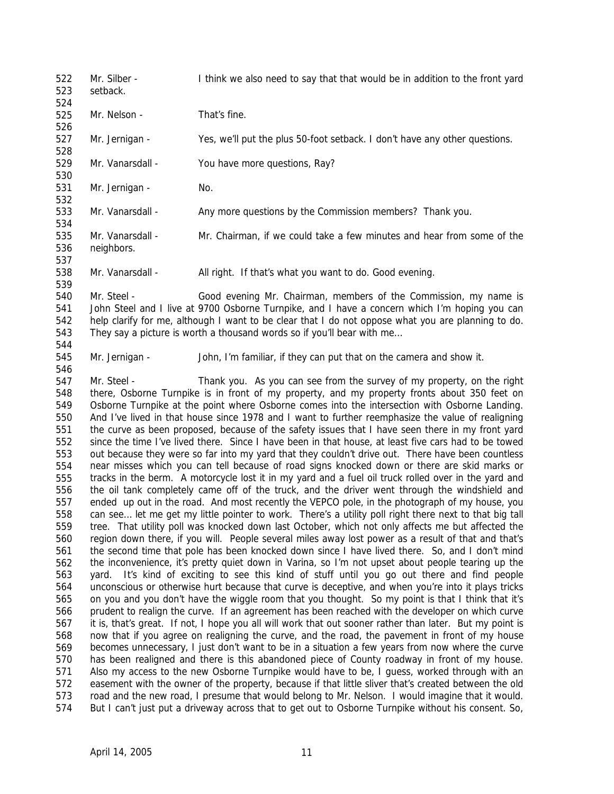522 523 524 525 526 527 528 529 530 531 532 533 534 535 536 537 538 539 540 541 542 543 544 545 546 547 548 549 550 551 552 553 554 555 556 557 558 559 560 561 562 563 564 565 566 567 568 569 570 Mr. Silber - I think we also need to say that that would be in addition to the front yard setback. Mr. Nelson - That's fine. Mr. Jernigan - Yes, we'll put the plus 50-foot setback. I don't have any other questions. Mr. Vanarsdall - You have more questions, Ray? Mr. Jernigan - No. Mr. Vanarsdall - Any more questions by the Commission members? Thank you. Mr. Vanarsdall - Mr. Chairman, if we could take a few minutes and hear from some of the neighbors. Mr. Vanarsdall - All right. If that's what you want to do. Good evening. Mr. Steel - Good evening Mr. Chairman, members of the Commission, my name is John Steel and I live at 9700 Osborne Turnpike, and I have a concern which I'm hoping you can help clarify for me, although I want to be clear that I do not oppose what you are planning to do. They say a picture is worth a thousand words so if you'll bear with me… Mr. Jernigan - John, I'm familiar, if they can put that on the camera and show it. Mr. Steel - Thank you. As you can see from the survey of my property, on the right there, Osborne Turnpike is in front of my property, and my property fronts about 350 feet on Osborne Turnpike at the point where Osborne comes into the intersection with Osborne Landing. And I've lived in that house since 1978 and I want to further reemphasize the value of realigning the curve as been proposed, because of the safety issues that I have seen there in my front yard since the time I've lived there. Since I have been in that house, at least five cars had to be towed out because they were so far into my yard that they couldn't drive out. There have been countless near misses which you can tell because of road signs knocked down or there are skid marks or tracks in the berm. A motorcycle lost it in my yard and a fuel oil truck rolled over in the yard and the oil tank completely came off of the truck, and the driver went through the windshield and ended up out in the road. And most recently the VEPCO pole, in the photograph of my house, you can see… let me get my little pointer to work. There's a utility poll right there next to that big tall tree. That utility poll was knocked down last October, which not only affects me but affected the region down there, if you will. People several miles away lost power as a result of that and that's the second time that pole has been knocked down since I have lived there. So, and I don't mind the inconvenience, it's pretty quiet down in Varina, so I'm not upset about people tearing up the yard. It's kind of exciting to see this kind of stuff until you go out there and find people unconscious or otherwise hurt because that curve is deceptive, and when you're into it plays tricks on you and you don't have the wiggle room that you thought. So my point is that I think that it's prudent to realign the curve. If an agreement has been reached with the developer on which curve it is, that's great. If not, I hope you all will work that out sooner rather than later. But my point is now that if you agree on realigning the curve, and the road, the pavement in front of my house becomes unnecessary, I just don't want to be in a situation a few years from now where the curve has been realigned and there is this abandoned piece of County roadway in front of my house.

573 574 road and the new road, I presume that would belong to Mr. Nelson. I would imagine that it would. But I can't just put a driveway across that to get out to Osborne Turnpike without his consent. So,

571 572

Also my access to the new Osborne Turnpike would have to be, I guess, worked through with an easement with the owner of the property, because if that little sliver that's created between the old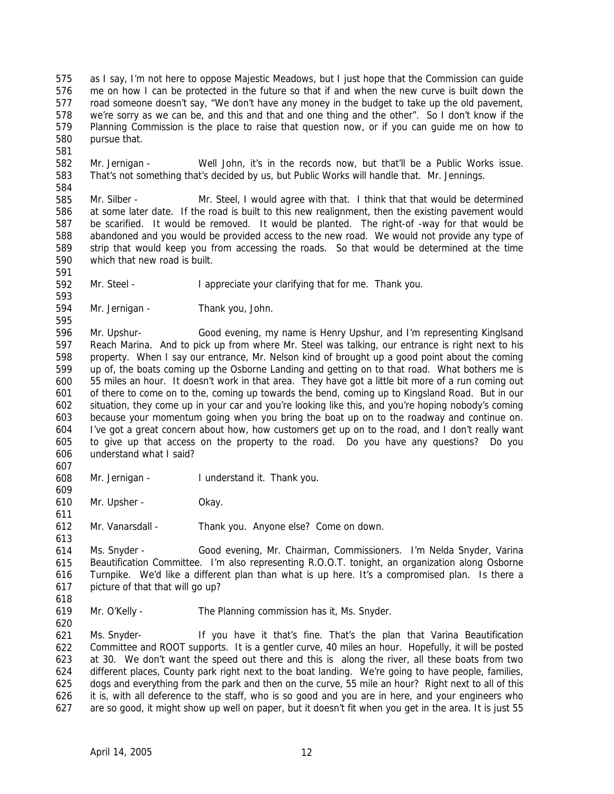575 576 577 578 579 580 as I say, I'm not here to oppose Majestic Meadows, but I just hope that the Commission can guide me on how I can be protected in the future so that if and when the new curve is built down the road someone doesn't say, "We don't have any money in the budget to take up the old pavement, we're sorry as we can be, and this and that and one thing and the other". So I don't know if the Planning Commission is the place to raise that question now, or if you can guide me on how to pursue that.

581

591

593

582 583 584 Mr. Jernigan - Well John, it's in the records now, but that'll be a Public Works issue. That's not something that's decided by us, but Public Works will handle that. Mr. Jennings.

585 586 587 588 589 590 Mr. Silber - Mr. Steel, I would agree with that. I think that that would be determined at some later date. If the road is built to this new realignment, then the existing pavement would be scarified. It would be removed. It would be planted. The right-of -way for that would be abandoned and you would be provided access to the new road. We would not provide any type of strip that would keep you from accessing the roads. So that would be determined at the time which that new road is built.

592 Mr. Steel - I appreciate your clarifying that for me. Thank you.

594 Mr. Jernigan - Thank you, John.

595 596 597 598 599 600 601 602 603 604 605 606 Mr. Upshur- Good evening, my name is Henry Upshur, and I'm representing Kinglsand Reach Marina. And to pick up from where Mr. Steel was talking, our entrance is right next to his property. When I say our entrance, Mr. Nelson kind of brought up a good point about the coming up of, the boats coming up the Osborne Landing and getting on to that road. What bothers me is 55 miles an hour. It doesn't work in that area. They have got a little bit more of a run coming out of there to come on to the, coming up towards the bend, coming up to Kingsland Road. But in our situation, they come up in your car and you're looking like this, and you're hoping nobody's coming because your momentum going when you bring the boat up on to the roadway and continue on. I've got a great concern about how, how customers get up on to the road, and I don't really want to give up that access on the property to the road. Do you have any questions? Do you understand what I said?

607

609

611

613

- 608 Mr. Jernigan - I understand it. Thank you.
- 610 Mr. Upsher - Okay.
- 612 Mr. Vanarsdall - Thank you. Anyone else? Come on down.

614 615 616 617 Ms. Snyder - Good evening, Mr. Chairman, Commissioners. I'm Nelda Snyder, Varina Beautification Committee. I'm also representing R.O.O.T. tonight, an organization along Osborne Turnpike. We'd like a different plan than what is up here. It's a compromised plan. Is there a picture of that that will go up?

618

620

619 Mr. O'Kelly - The Planning commission has it, Ms. Snyder.

621 622 623 624 625 626 627 Ms. Snyder- If you have it that's fine. That's the plan that Varina Beautification Committee and ROOT supports. It is a gentler curve, 40 miles an hour. Hopefully, it will be posted at 30. We don't want the speed out there and this is along the river, all these boats from two different places, County park right next to the boat landing. We're going to have people, families, dogs and everything from the park and then on the curve, 55 mile an hour? Right next to all of this it is, with all deference to the staff, who is so good and you are in here, and your engineers who are so good, it might show up well on paper, but it doesn't fit when you get in the area. It is just 55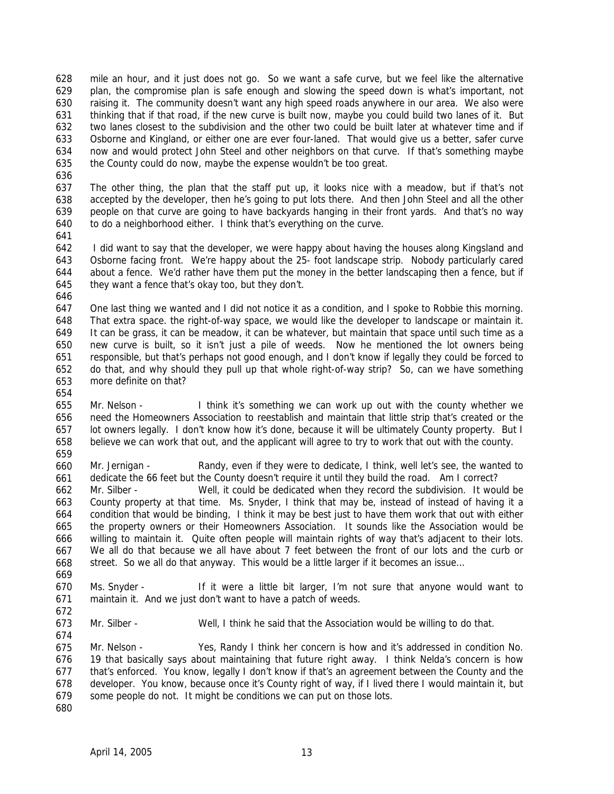628 629 630 631 632 633 634 635 mile an hour, and it just does not go. So we want a safe curve, but we feel like the alternative plan, the compromise plan is safe enough and slowing the speed down is what's important, not raising it. The community doesn't want any high speed roads anywhere in our area. We also were thinking that if that road, if the new curve is built now, maybe you could build two lanes of it. But two lanes closest to the subdivision and the other two could be built later at whatever time and if Osborne and Kingland, or either one are ever four-laned. That would give us a better, safer curve now and would protect John Steel and other neighbors on that curve. If that's something maybe the County could do now, maybe the expense wouldn't be too great.

636

637 638 639 640 The other thing, the plan that the staff put up, it looks nice with a meadow, but if that's not accepted by the developer, then he's going to put lots there. And then John Steel and all the other people on that curve are going to have backyards hanging in their front yards. And that's no way to do a neighborhood either. I think that's everything on the curve.

641

642 643 644 645 I did want to say that the developer, we were happy about having the houses along Kingsland and Osborne facing front. We're happy about the 25- foot landscape strip. Nobody particularly cared about a fence. We'd rather have them put the money in the better landscaping then a fence, but if they want a fence that's okay too, but they don't.

646

647 648 649 650 651 652 653 One last thing we wanted and I did not notice it as a condition, and I spoke to Robbie this morning. That extra space. the right-of-way space, we would like the developer to landscape or maintain it. It can be grass, it can be meadow, it can be whatever, but maintain that space until such time as a new curve is built, so it isn't just a pile of weeds. Now he mentioned the lot owners being responsible, but that's perhaps not good enough, and I don't know if legally they could be forced to do that, and why should they pull up that whole right-of-way strip? So, can we have something more definite on that?

654

655 656 657 658 659 Mr. Nelson - I think it's something we can work up out with the county whether we need the Homeowners Association to reestablish and maintain that little strip that's created or the lot owners legally. I don't know how it's done, because it will be ultimately County property. But I believe we can work that out, and the applicant will agree to try to work that out with the county.

660 661 Mr. Jernigan - Randy, even if they were to dedicate, I think, well let's see, the wanted to dedicate the 66 feet but the County doesn't require it until they build the road. Am I correct?

662 663 664 665 666 667 668 669 Mr. Silber - Well, it could be dedicated when they record the subdivision. It would be County property at that time. Ms. Snyder, I think that may be, instead of instead of having it a condition that would be binding, I think it may be best just to have them work that out with either the property owners or their Homeowners Association. It sounds like the Association would be willing to maintain it. Quite often people will maintain rights of way that's adjacent to their lots. We all do that because we all have about 7 feet between the front of our lots and the curb or street. So we all do that anyway. This would be a little larger if it becomes an issue...

670 671 Ms. Snyder - If it were a little bit larger, I'm not sure that anyone would want to maintain it. And we just don't want to have a patch of weeds.

673 Mr. Silber - Well, I think he said that the Association would be willing to do that.

675 676 677 678 679 Mr. Nelson - Yes, Randy I think her concern is how and it's addressed in condition No. 19 that basically says about maintaining that future right away. I think Nelda's concern is how that's enforced. You know, legally I don't know if that's an agreement between the County and the developer. You know, because once it's County right of way, if I lived there I would maintain it, but some people do not. It might be conditions we can put on those lots.

680

672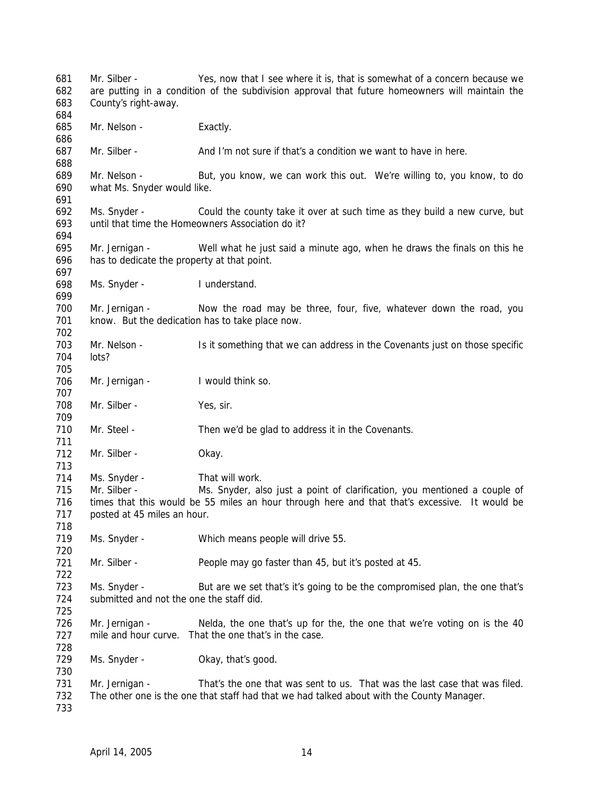Mr. Silber - Yes, now that I see where it is, that is somewhat of a concern because we are putting in a condition of the subdivision approval that future homeowners will maintain the County's right-away. Mr. Nelson - Exactly. Mr. Silber - And I'm not sure if that's a condition we want to have in here. Mr. Nelson - But, you know, we can work this out. We're willing to, you know, to do what Ms. Snyder would like. Ms. Snyder - Could the county take it over at such time as they build a new curve, but until that time the Homeowners Association do it? Mr. Jernigan - Well what he just said a minute ago, when he draws the finals on this he has to dedicate the property at that point. Ms. Snyder - I understand. Mr. Jernigan - Now the road may be three, four, five, whatever down the road, you know. But the dedication has to take place now. Mr. Nelson - Is it something that we can address in the Covenants just on those specific lots? Mr. Jernigan - I would think so. Mr. Silber - Yes, sir. Mr. Steel - Then we'd be glad to address it in the Covenants. Mr. Silber - Okay. Ms. Snyder - That will work. Mr. Silber - Ms. Snyder, also just a point of clarification, you mentioned a couple of times that this would be 55 miles an hour through here and that that's excessive. It would be posted at 45 miles an hour. Ms. Snyder - Which means people will drive 55. Mr. Silber - People may go faster than 45, but it's posted at 45. Ms. Snyder - But are we set that's it's going to be the compromised plan, the one that's submitted and not the one the staff did. Mr. Jernigan - Nelda, the one that's up for the, the one that we're voting on is the 40 mile and hour curve. That the one that's in the case. Ms. Snyder - Okay, that's good. Mr. Jernigan - That's the one that was sent to us. That was the last case that was filed. The other one is the one that staff had that we had talked about with the County Manager.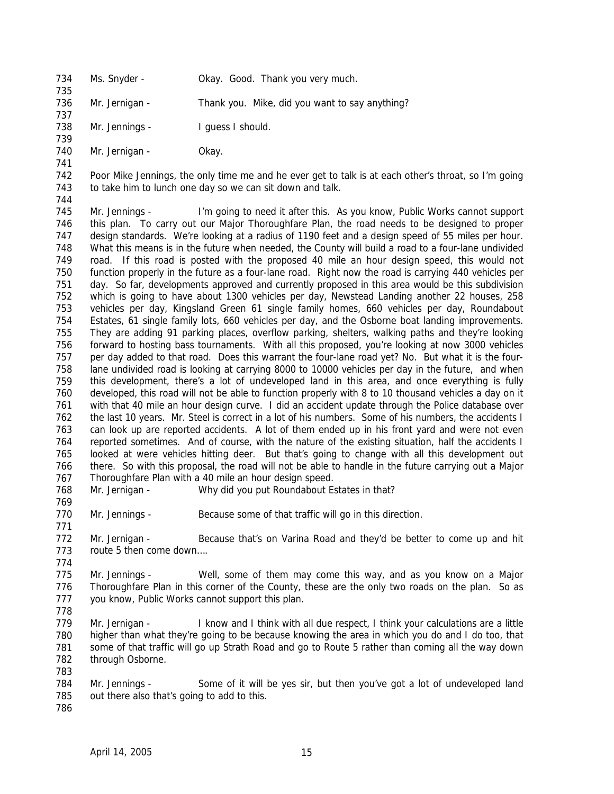734 735 Ms. Snyder - **Okay. Good. Thank you very much.** 

736 737 Mr. Jernigan - Thank you. Mike, did you want to say anything?

738 739 Mr. Jennings - I guess I should.

740 Mr. Jernigan - Okay.

741

742 743 Poor Mike Jennings, the only time me and he ever get to talk is at each other's throat, so I'm going to take him to lunch one day so we can sit down and talk.

744

745 746 747 748 749 750 751 752 753 754 755 756 757 758 759 760 761 762 763 764 765 766 767 Mr. Jennings - I'm going to need it after this. As you know, Public Works cannot support this plan. To carry out our Major Thoroughfare Plan, the road needs to be designed to proper design standards. We're looking at a radius of 1190 feet and a design speed of 55 miles per hour. What this means is in the future when needed, the County will build a road to a four-lane undivided road. If this road is posted with the proposed 40 mile an hour design speed, this would not function properly in the future as a four-lane road. Right now the road is carrying 440 vehicles per day. So far, developments approved and currently proposed in this area would be this subdivision which is going to have about 1300 vehicles per day, Newstead Landing another 22 houses, 258 vehicles per day, Kingsland Green 61 single family homes, 660 vehicles per day, Roundabout Estates, 61 single family lots, 660 vehicles per day, and the Osborne boat landing improvements. They are adding 91 parking places, overflow parking, shelters, walking paths and they're looking forward to hosting bass tournaments. With all this proposed, you're looking at now 3000 vehicles per day added to that road. Does this warrant the four-lane road yet? No. But what it is the fourlane undivided road is looking at carrying 8000 to 10000 vehicles per day in the future, and when this development, there's a lot of undeveloped land in this area, and once everything is fully developed, this road will not be able to function properly with 8 to 10 thousand vehicles a day on it with that 40 mile an hour design curve. I did an accident update through the Police database over the last 10 years. Mr. Steel is correct in a lot of his numbers. Some of his numbers, the accidents I can look up are reported accidents. A lot of them ended up in his front yard and were not even reported sometimes. And of course, with the nature of the existing situation, half the accidents I looked at were vehicles hitting deer. But that's going to change with all this development out there. So with this proposal, the road will not be able to handle in the future carrying out a Major Thoroughfare Plan with a 40 mile an hour design speed. Mr. Jernigan - Why did you put Roundabout Estates in that?

768 769

771

778

770 Mr. Jennings - Because some of that traffic will go in this direction.

- 772 773 774 Mr. Jernigan - Because that's on Varina Road and they'd be better to come up and hit route 5 then come down….
- 775 776 777 Mr. Jennings - Well, some of them may come this way, and as you know on a Major Thoroughfare Plan in this corner of the County, these are the only two roads on the plan. So as you know, Public Works cannot support this plan.
- 779 780 781 782 Mr. Jernigan - I know and I think with all due respect, I think your calculations are a little higher than what they're going to be because knowing the area in which you do and I do too, that some of that traffic will go up Strath Road and go to Route 5 rather than coming all the way down through Osborne.
- 784 785 Mr. Jennings - Some of it will be yes sir, but then you've got a lot of undeveloped land out there also that's going to add to this.
- 786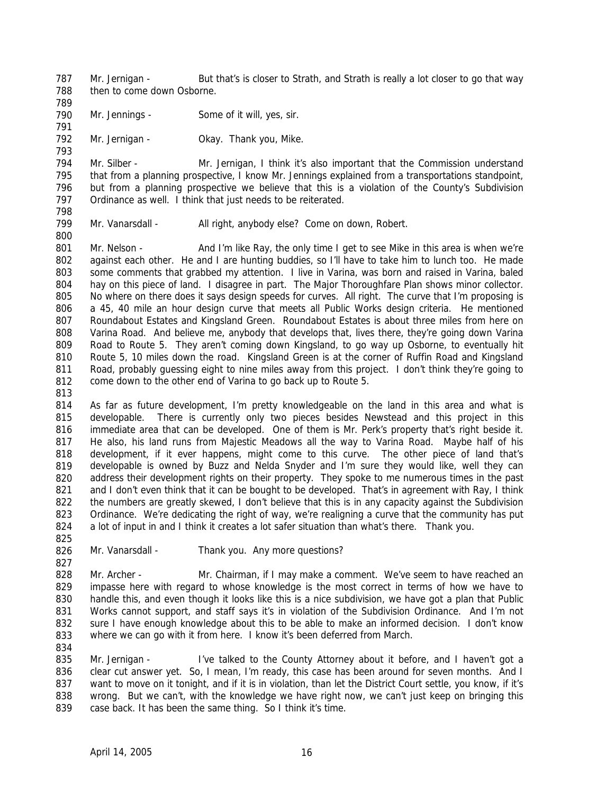787 788 Mr. Jernigan - But that's is closer to Strath, and Strath is really a lot closer to go that way then to come down Osborne.

- 789 790
	- Mr. Jennings Some of it will, yes, sir.
- 792 Mr. Jernigan - **Okay. Thank you, Mike.**

794 795 796 797 Mr. Silber - Mr. Jernigan, I think it's also important that the Commission understand that from a planning prospective, I know Mr. Jennings explained from a transportations standpoint, but from a planning prospective we believe that this is a violation of the County's Subdivision Ordinance as well. I think that just needs to be reiterated.

798 799

791

793

Mr. Vanarsdall - All right, anybody else? Come on down, Robert.

800

801 802 803 804 805 806 807 808 809 810 811 812 Mr. Nelson - And I'm like Ray, the only time I get to see Mike in this area is when we're against each other. He and I are hunting buddies, so I'll have to take him to lunch too. He made some comments that grabbed my attention. I live in Varina, was born and raised in Varina, baled hay on this piece of land. I disagree in part. The Major Thoroughfare Plan shows minor collector. No where on there does it says design speeds for curves. All right. The curve that I'm proposing is a 45, 40 mile an hour design curve that meets all Public Works design criteria. He mentioned Roundabout Estates and Kingsland Green. Roundabout Estates is about three miles from here on Varina Road. And believe me, anybody that develops that, lives there, they're going down Varina Road to Route 5. They aren't coming down Kingsland, to go way up Osborne, to eventually hit Route 5, 10 miles down the road. Kingsland Green is at the corner of Ruffin Road and Kingsland Road, probably guessing eight to nine miles away from this project. I don't think they're going to come down to the other end of Varina to go back up to Route 5.

813

814 815 816 817 818 819 820 821 822 823 824 As far as future development, I'm pretty knowledgeable on the land in this area and what is developable. There is currently only two pieces besides Newstead and this project in this immediate area that can be developed. One of them is Mr. Perk's property that's right beside it. He also, his land runs from Majestic Meadows all the way to Varina Road. Maybe half of his development, if it ever happens, might come to this curve. The other piece of land that's developable is owned by Buzz and Nelda Snyder and I'm sure they would like, well they can address their development rights on their property. They spoke to me numerous times in the past and I don't even think that it can be bought to be developed. That's in agreement with Ray, I think the numbers are greatly skewed, I don't believe that this is in any capacity against the Subdivision Ordinance. We're dedicating the right of way, we're realigning a curve that the community has put a lot of input in and I think it creates a lot safer situation than what's there. Thank you.

825

827

834

826 Mr. Vanarsdall - Thank you. Any more questions?

828 829 830 831 832 833 Mr. Archer - Mr. Chairman, if I may make a comment. We've seem to have reached an impasse here with regard to whose knowledge is the most correct in terms of how we have to handle this, and even though it looks like this is a nice subdivision, we have got a plan that Public Works cannot support, and staff says it's in violation of the Subdivision Ordinance. And I'm not sure I have enough knowledge about this to be able to make an informed decision. I don't know where we can go with it from here. I know it's been deferred from March.

835 836 837 838 839 Mr. Jernigan - I've talked to the County Attorney about it before, and I haven't got a clear cut answer yet. So, I mean, I'm ready, this case has been around for seven months. And I want to move on it tonight, and if it is in violation, than let the District Court settle, you know, if it's wrong. But we can't, with the knowledge we have right now, we can't just keep on bringing this case back. It has been the same thing. So I think it's time.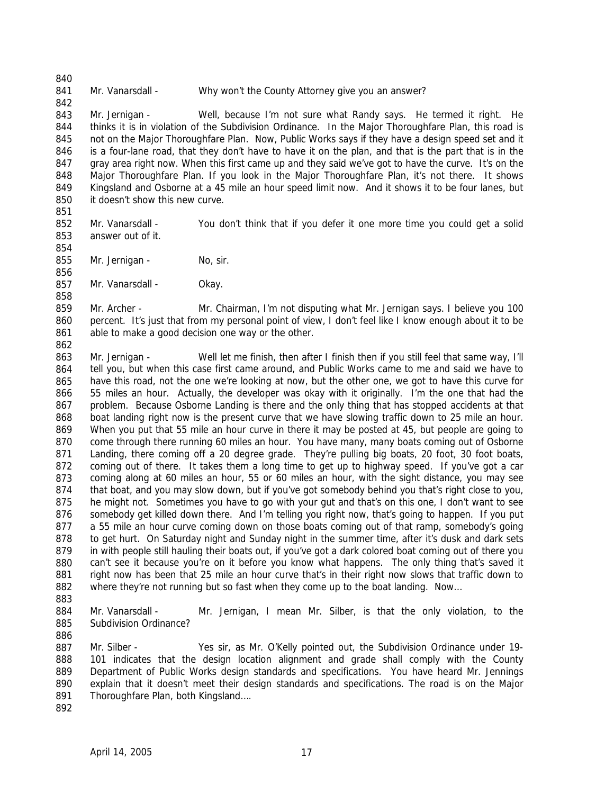### 841 Mr. Vanarsdall - Why won't the County Attorney give you an answer?

843 844 845 846 847 848 849 850 Mr. Jernigan - Well, because I'm not sure what Randy says. He termed it right. He thinks it is in violation of the Subdivision Ordinance. In the Major Thoroughfare Plan, this road is not on the Major Thoroughfare Plan. Now, Public Works says if they have a design speed set and it is a four-lane road, that they don't have to have it on the plan, and that is the part that is in the gray area right now. When this first came up and they said we've got to have the curve. It's on the Major Thoroughfare Plan. If you look in the Major Thoroughfare Plan, it's not there. It shows Kingsland and Osborne at a 45 mile an hour speed limit now. And it shows it to be four lanes, but it doesn't show this new curve.

- 852 853 Mr. Vanarsdall - You don't think that if you defer it one more time you could get a solid answer out of it.
- 855 Mr. Jernigan - No, sir.
- 857 Mr. Vanarsdall - Okay.

859 860 861 Mr. Archer - Mr. Chairman, I'm not disputing what Mr. Jernigan says. I believe you 100 percent. It's just that from my personal point of view, I don't feel like I know enough about it to be able to make a good decision one way or the other.

862

840

842

851

854

856

858

863 864 865 866 867 868 869 870 871 872 873 874 875 876 877 878 879 880 881 882 Mr. Jernigan - Well let me finish, then after I finish then if you still feel that same way, I'll tell you, but when this case first came around, and Public Works came to me and said we have to have this road, not the one we're looking at now, but the other one, we got to have this curve for 55 miles an hour. Actually, the developer was okay with it originally. I'm the one that had the problem. Because Osborne Landing is there and the only thing that has stopped accidents at that boat landing right now is the present curve that we have slowing traffic down to 25 mile an hour. When you put that 55 mile an hour curve in there it may be posted at 45, but people are going to come through there running 60 miles an hour. You have many, many boats coming out of Osborne Landing, there coming off a 20 degree grade. They're pulling big boats, 20 foot, 30 foot boats, coming out of there. It takes them a long time to get up to highway speed. If you've got a car coming along at 60 miles an hour, 55 or 60 miles an hour, with the sight distance, you may see that boat, and you may slow down, but if you've got somebody behind you that's right close to you, he might not. Sometimes you have to go with your gut and that's on this one, I don't want to see somebody get killed down there. And I'm telling you right now, that's going to happen. If you put a 55 mile an hour curve coming down on those boats coming out of that ramp, somebody's going to get hurt. On Saturday night and Sunday night in the summer time, after it's dusk and dark sets in with people still hauling their boats out, if you've got a dark colored boat coming out of there you can't see it because you're on it before you know what happens. The only thing that's saved it right now has been that 25 mile an hour curve that's in their right now slows that traffic down to where they're not running but so fast when they come up to the boat landing. Now...

883

884 885 Mr. Vanarsdall - Mr. Jernigan, I mean Mr. Silber, is that the only violation, to the Subdivision Ordinance?

886

887 888 889 890 891 Mr. Silber - Yes sir, as Mr. O'Kelly pointed out, the Subdivision Ordinance under 19- 101 indicates that the design location alignment and grade shall comply with the County Department of Public Works design standards and specifications. You have heard Mr. Jennings explain that it doesn't meet their design standards and specifications. The road is on the Major Thoroughfare Plan, both Kingsland….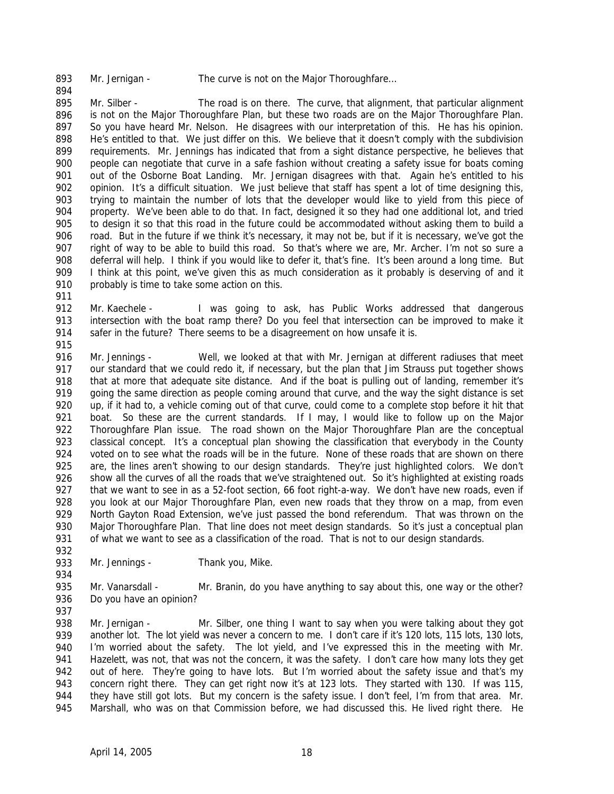893

894

Mr. Jernigan - The curve is not on the Major Thoroughfare...

895 896 897 898 899 900 901 902 903 904 905 906 907 908 909 910 Mr. Silber - The road is on there. The curve, that alignment, that particular alignment is not on the Major Thoroughfare Plan, but these two roads are on the Major Thoroughfare Plan. So you have heard Mr. Nelson. He disagrees with our interpretation of this. He has his opinion. He's entitled to that. We just differ on this. We believe that it doesn't comply with the subdivision requirements. Mr. Jennings has indicated that from a sight distance perspective, he believes that people can negotiate that curve in a safe fashion without creating a safety issue for boats coming out of the Osborne Boat Landing. Mr. Jernigan disagrees with that. Again he's entitled to his opinion. It's a difficult situation. We just believe that staff has spent a lot of time designing this, trying to maintain the number of lots that the developer would like to yield from this piece of property. We've been able to do that. In fact, designed it so they had one additional lot, and tried to design it so that this road in the future could be accommodated without asking them to build a road. But in the future if we think it's necessary, it may not be, but if it is necessary, we've got the right of way to be able to build this road. So that's where we are, Mr. Archer. I'm not so sure a deferral will help. I think if you would like to defer it, that's fine. It's been around a long time. But I think at this point, we've given this as much consideration as it probably is deserving of and it probably is time to take some action on this.

912 913 914 Mr. Kaechele - I was going to ask, has Public Works addressed that dangerous intersection with the boat ramp there? Do you feel that intersection can be improved to make it safer in the future? There seems to be a disagreement on how unsafe it is.

915

934

937

911

916 917 918 919 920 921 922 923 924 925 926 927 928 929 930 931 932 Mr. Jennings - Well, we looked at that with Mr. Jernigan at different radiuses that meet our standard that we could redo it, if necessary, but the plan that Jim Strauss put together shows that at more that adequate site distance. And if the boat is pulling out of landing, remember it's going the same direction as people coming around that curve, and the way the sight distance is set up, if it had to, a vehicle coming out of that curve, could come to a complete stop before it hit that boat. So these are the current standards. If I may, I would like to follow up on the Major Thoroughfare Plan issue. The road shown on the Major Thoroughfare Plan are the conceptual classical concept. It's a conceptual plan showing the classification that everybody in the County voted on to see what the roads will be in the future. None of these roads that are shown on there are, the lines aren't showing to our design standards. They're just highlighted colors. We don't show all the curves of all the roads that we've straightened out. So it's highlighted at existing roads that we want to see in as a 52-foot section, 66 foot right-a-way. We don't have new roads, even if you look at our Major Thoroughfare Plan, even new roads that they throw on a map, from even North Gayton Road Extension, we've just passed the bond referendum. That was thrown on the Major Thoroughfare Plan. That line does not meet design standards. So it's just a conceptual plan of what we want to see as a classification of the road. That is not to our design standards.

933 Mr. Jennings - Thank you, Mike.

935 936 Mr. Vanarsdall - Mr. Branin, do you have anything to say about this, one way or the other? Do you have an opinion?

938 939 940 941 942 943 944 945 Mr. Jernigan - Mr. Silber, one thing I want to say when you were talking about they got another lot. The lot yield was never a concern to me. I don't care if it's 120 lots, 115 lots, 130 lots, I'm worried about the safety. The lot yield, and I've expressed this in the meeting with Mr. Hazelett, was not, that was not the concern, it was the safety. I don't care how many lots they get out of here. They're going to have lots. But I'm worried about the safety issue and that's my concern right there. They can get right now it's at 123 lots. They started with 130. If was 115, they have still got lots. But my concern is the safety issue. I don't feel, I'm from that area. Mr. Marshall, who was on that Commission before, we had discussed this. He lived right there. He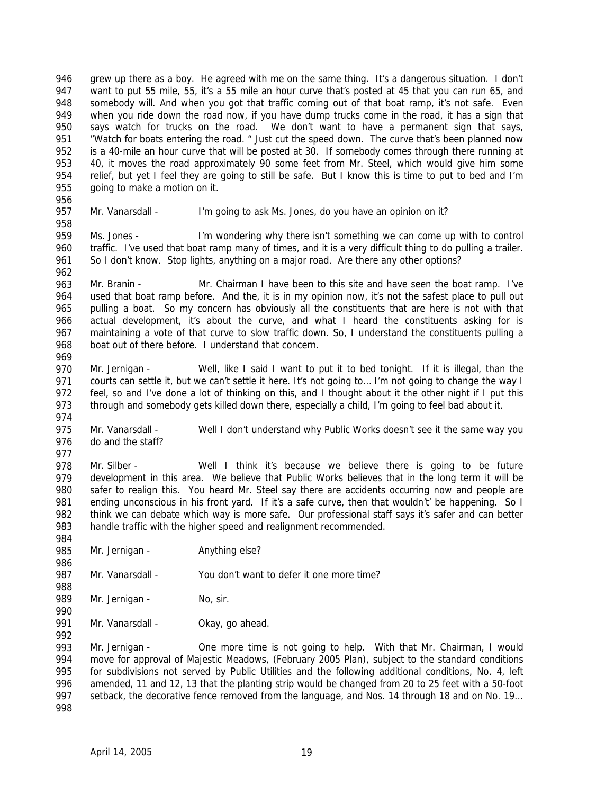946 947 948 949 950 951 952 953 954 955 grew up there as a boy. He agreed with me on the same thing. It's a dangerous situation. I don't want to put 55 mile, 55, it's a 55 mile an hour curve that's posted at 45 that you can run 65, and somebody will. And when you got that traffic coming out of that boat ramp, it's not safe. Even when you ride down the road now, if you have dump trucks come in the road, it has a sign that says watch for trucks on the road. We don't want to have a permanent sign that says, "Watch for boats entering the road. " Just cut the speed down. The curve that's been planned now is a 40-mile an hour curve that will be posted at 30. If somebody comes through there running at 40, it moves the road approximately 90 some feet from Mr. Steel, which would give him some relief, but yet I feel they are going to still be safe. But I know this is time to put to bed and I'm going to make a motion on it.

956 957 958

962

969

Mr. Vanarsdall - I'm going to ask Ms. Jones, do you have an opinion on it?

959 960 961 Ms. Jones - I'm wondering why there isn't something we can come up with to control traffic. I've used that boat ramp many of times, and it is a very difficult thing to do pulling a trailer. So I don't know. Stop lights, anything on a major road. Are there any other options?

963 964 965 966 967 968 Mr. Branin - Mr. Chairman I have been to this site and have seen the boat ramp. I've used that boat ramp before. And the, it is in my opinion now, it's not the safest place to pull out pulling a boat. So my concern has obviously all the constituents that are here is not with that actual development, it's about the curve, and what I heard the constituents asking for is maintaining a vote of that curve to slow traffic down. So, I understand the constituents pulling a boat out of there before. I understand that concern.

970 971 972 973 Mr. Jernigan - Well, like I said I want to put it to bed tonight. If it is illegal, than the courts can settle it, but we can't settle it here. It's not going to… I'm not going to change the way I feel, so and I've done a lot of thinking on this, and I thought about it the other night if I put this through and somebody gets killed down there, especially a child, I'm going to feel bad about it.

974 975 976 Mr. Vanarsdall - Well I don't understand why Public Works doesn't see it the same way you do and the staff?

977

984

986

990

992

978 979 980 981 982 983 Mr. Silber - Well I think it's because we believe there is going to be future development in this area. We believe that Public Works believes that in the long term it will be safer to realign this. You heard Mr. Steel say there are accidents occurring now and people are ending unconscious in his front yard. If it's a safe curve, then that wouldn't' be happening. So I think we can debate which way is more safe. Our professional staff says it's safer and can better handle traffic with the higher speed and realignment recommended.

985 Mr. Jernigan - Anything else?

987 988 Mr. Vanarsdall - You don't want to defer it one more time?

989 Mr. Jernigan - No, sir.

991 Mr. Vanarsdall - Okay, go ahead.

993 994 995 996 997 998 Mr. Jernigan - One more time is not going to help. With that Mr. Chairman, I would move for approval of Majestic Meadows, (February 2005 Plan), subject to the standard conditions for subdivisions not served by Public Utilities and the following additional conditions, No. 4, left amended, 11 and 12, 13 that the planting strip would be changed from 20 to 25 feet with a 50-foot setback, the decorative fence removed from the language, and Nos. 14 through 18 and on No. 19…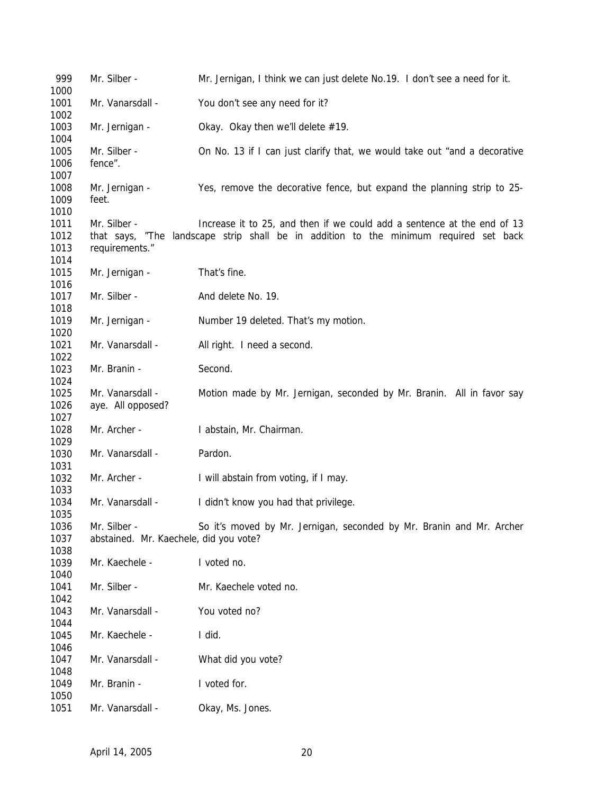| 999  | Mr. Silber -                                                                          | Mr. Jernigan, I think we can just delete No.19. I don't see a need for it. |  |  |  |
|------|---------------------------------------------------------------------------------------|----------------------------------------------------------------------------|--|--|--|
| 1000 |                                                                                       |                                                                            |  |  |  |
| 1001 | Mr. Vanarsdall -                                                                      | You don't see any need for it?                                             |  |  |  |
| 1002 |                                                                                       |                                                                            |  |  |  |
| 1003 | Mr. Jernigan -                                                                        | Okay. Okay then we'll delete #19.                                          |  |  |  |
| 1004 |                                                                                       |                                                                            |  |  |  |
| 1005 | Mr. Silber -                                                                          | On No. 13 if I can just clarify that, we would take out "and a decorative  |  |  |  |
| 1006 | fence".                                                                               |                                                                            |  |  |  |
| 1007 |                                                                                       |                                                                            |  |  |  |
| 1008 | Mr. Jernigan -                                                                        | Yes, remove the decorative fence, but expand the planning strip to 25-     |  |  |  |
| 1009 | feet.                                                                                 |                                                                            |  |  |  |
| 1010 |                                                                                       |                                                                            |  |  |  |
| 1011 | Mr. Silber -                                                                          | Increase it to 25, and then if we could add a sentence at the end of 13    |  |  |  |
| 1012 | that says, "The landscape strip shall be in addition to the minimum required set back |                                                                            |  |  |  |
| 1013 | requirements."                                                                        |                                                                            |  |  |  |
| 1014 |                                                                                       |                                                                            |  |  |  |
|      |                                                                                       |                                                                            |  |  |  |
| 1015 | Mr. Jernigan -                                                                        | That's fine.                                                               |  |  |  |
| 1016 |                                                                                       |                                                                            |  |  |  |
| 1017 | Mr. Silber -                                                                          | And delete No. 19.                                                         |  |  |  |
| 1018 |                                                                                       |                                                                            |  |  |  |
| 1019 | Mr. Jernigan -                                                                        | Number 19 deleted. That's my motion.                                       |  |  |  |
| 1020 |                                                                                       |                                                                            |  |  |  |
| 1021 | Mr. Vanarsdall -                                                                      | All right. I need a second.                                                |  |  |  |
| 1022 |                                                                                       |                                                                            |  |  |  |
| 1023 | Mr. Branin -                                                                          | Second.                                                                    |  |  |  |
| 1024 |                                                                                       |                                                                            |  |  |  |
| 1025 | Mr. Vanarsdall -                                                                      | Motion made by Mr. Jernigan, seconded by Mr. Branin. All in favor say      |  |  |  |
| 1026 | aye. All opposed?                                                                     |                                                                            |  |  |  |
| 1027 |                                                                                       |                                                                            |  |  |  |
| 1028 | Mr. Archer -                                                                          | I abstain, Mr. Chairman.                                                   |  |  |  |
| 1029 |                                                                                       |                                                                            |  |  |  |
| 1030 | Mr. Vanarsdall -                                                                      | Pardon.                                                                    |  |  |  |
| 1031 |                                                                                       |                                                                            |  |  |  |
| 1032 | Mr. Archer -                                                                          | I will abstain from voting, if I may.                                      |  |  |  |
| 1033 |                                                                                       |                                                                            |  |  |  |
| 1034 | Mr. Vanarsdall -                                                                      | I didn't know you had that privilege.                                      |  |  |  |
| 1035 |                                                                                       |                                                                            |  |  |  |
| 1036 | Mr. Silber -                                                                          | So it's moved by Mr. Jernigan, seconded by Mr. Branin and Mr. Archer       |  |  |  |
| 1037 | abstained. Mr. Kaechele, did you vote?                                                |                                                                            |  |  |  |
| 1038 |                                                                                       |                                                                            |  |  |  |
| 1039 | Mr. Kaechele -                                                                        | I voted no.                                                                |  |  |  |
| 1040 |                                                                                       |                                                                            |  |  |  |
| 1041 | Mr. Silber -                                                                          | Mr. Kaechele voted no.                                                     |  |  |  |
| 1042 |                                                                                       |                                                                            |  |  |  |
| 1043 | Mr. Vanarsdall -                                                                      | You voted no?                                                              |  |  |  |
| 1044 |                                                                                       |                                                                            |  |  |  |
| 1045 | Mr. Kaechele -                                                                        | I did.                                                                     |  |  |  |
|      |                                                                                       |                                                                            |  |  |  |
| 1046 |                                                                                       |                                                                            |  |  |  |
| 1047 | Mr. Vanarsdall -                                                                      | What did you vote?                                                         |  |  |  |
| 1048 |                                                                                       |                                                                            |  |  |  |
| 1049 | Mr. Branin -                                                                          | I voted for.                                                               |  |  |  |
| 1050 |                                                                                       |                                                                            |  |  |  |
| 1051 | Mr. Vanarsdall -                                                                      | Okay, Ms. Jones.                                                           |  |  |  |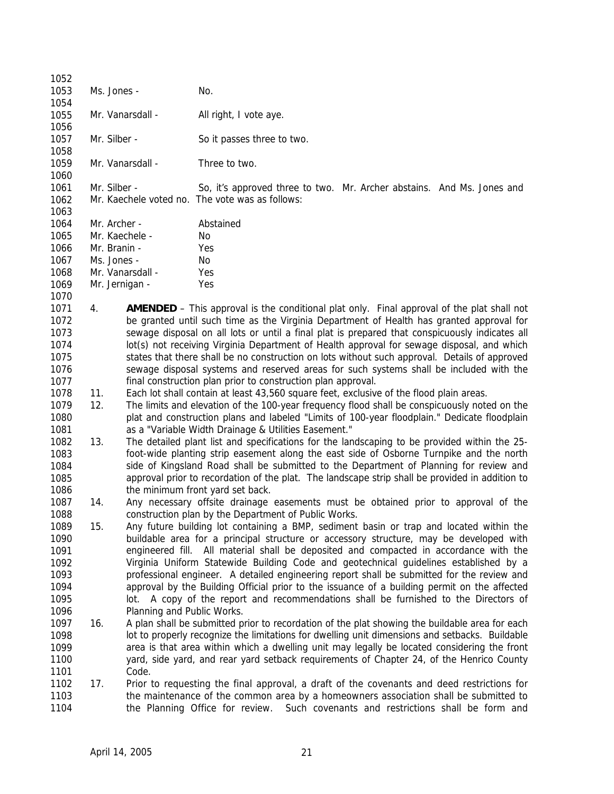| 1052<br>1053 |     | Ms. Jones -                | No.                                                                                               |
|--------------|-----|----------------------------|---------------------------------------------------------------------------------------------------|
| 1054         |     |                            |                                                                                                   |
| 1055         |     | Mr. Vanarsdall -           | All right, I vote aye.                                                                            |
| 1056         |     |                            |                                                                                                   |
| 1057         |     | Mr. Silber -               | So it passes three to two.                                                                        |
| 1058         |     |                            |                                                                                                   |
| 1059         |     | Mr. Vanarsdall -           | Three to two.                                                                                     |
| 1060         |     |                            |                                                                                                   |
| 1061         |     | Mr. Silber -               | So, it's approved three to two. Mr. Archer abstains. And Ms. Jones and                            |
| 1062         |     |                            | Mr. Kaechele voted no. The vote was as follows:                                                   |
| 1063         |     |                            |                                                                                                   |
| 1064         |     | Mr. Archer -               | Abstained                                                                                         |
| 1065         |     | Mr. Kaechele -             | No.                                                                                               |
| 1066         |     | Mr. Branin -               | Yes                                                                                               |
| 1067         |     | Ms. Jones -                | No.                                                                                               |
|              |     |                            |                                                                                                   |
| 1068         |     | Mr. Vanarsdall -           | Yes                                                                                               |
| 1069         |     | Mr. Jernigan -             | Yes                                                                                               |
| 1070         |     |                            |                                                                                                   |
| 1071         | 4.  |                            | <b>AMENDED</b> – This approval is the conditional plat only. Final approval of the plat shall not |
| 1072         |     |                            | be granted until such time as the Virginia Department of Health has granted approval for          |
| 1073         |     |                            | sewage disposal on all lots or until a final plat is prepared that conspicuously indicates all    |
| 1074         |     |                            | lot(s) not receiving Virginia Department of Health approval for sewage disposal, and which        |
| 1075         |     |                            | states that there shall be no construction on lots without such approval. Details of approved     |
| 1076         |     |                            | sewage disposal systems and reserved areas for such systems shall be included with the            |
| 1077         |     |                            | final construction plan prior to construction plan approval.                                      |
| 1078         | 11. |                            | Each lot shall contain at least 43,560 square feet, exclusive of the flood plain areas.           |
| 1079         | 12. |                            | The limits and elevation of the 100-year frequency flood shall be conspicuously noted on the      |
| 1080         |     |                            | plat and construction plans and labeled "Limits of 100-year floodplain." Dedicate floodplain      |
| 1081         |     |                            | as a "Variable Width Drainage & Utilities Easement."                                              |
| 1082         | 13. |                            | The detailed plant list and specifications for the landscaping to be provided within the 25-      |
| 1083         |     |                            | foot-wide planting strip easement along the east side of Osborne Turnpike and the north           |
| 1084         |     |                            | side of Kingsland Road shall be submitted to the Department of Planning for review and            |
| 1085         |     |                            | approval prior to recordation of the plat. The landscape strip shall be provided in addition to   |
| 1086         |     |                            | the minimum front yard set back.                                                                  |
| 1087         | 14. |                            | Any necessary offsite drainage easements must be obtained prior to approval of the                |
| 1088         |     |                            | construction plan by the Department of Public Works.                                              |
| 1089         | 15. |                            | Any future building lot containing a BMP, sediment basin or trap and located within the           |
| 1090         |     |                            | buildable area for a principal structure or accessory structure, may be developed with            |
| 1091         |     |                            | engineered fill. All material shall be deposited and compacted in accordance with the             |
| 1092         |     |                            | Virginia Uniform Statewide Building Code and geotechnical guidelines established by a             |
| 1093         |     |                            | professional engineer. A detailed engineering report shall be submitted for the review and        |
| 1094         |     |                            | approval by the Building Official prior to the issuance of a building permit on the affected      |
| 1095         |     |                            | lot. A copy of the report and recommendations shall be furnished to the Directors of              |
| 1096         |     | Planning and Public Works. |                                                                                                   |
| 1097         | 16. |                            | A plan shall be submitted prior to recordation of the plat showing the buildable area for each    |
| 1098         |     |                            | lot to properly recognize the limitations for dwelling unit dimensions and setbacks. Buildable    |
| 1099         |     |                            | area is that area within which a dwelling unit may legally be located considering the front       |
| 1100         |     |                            | yard, side yard, and rear yard setback requirements of Chapter 24, of the Henrico County          |
| 1101         |     | Code.                      |                                                                                                   |
| 1102         | 17. |                            |                                                                                                   |
|              |     |                            | Prior to requesting the final approval, a draft of the covenants and deed restrictions for        |
| 1103         |     |                            | the maintenance of the common area by a homeowners association shall be submitted to              |
| 1104         |     |                            | the Planning Office for review. Such covenants and restrictions shall be form and                 |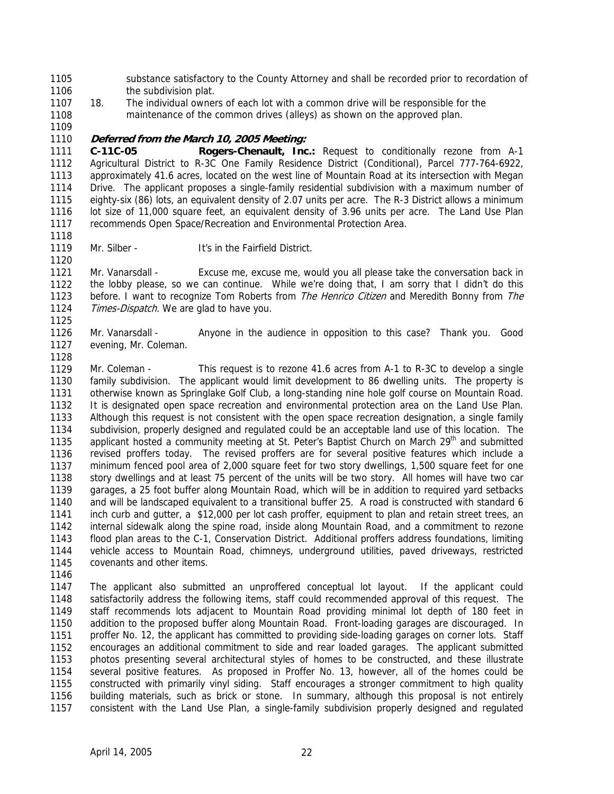1105 1106 substance satisfactory to the County Attorney and shall be recorded prior to recordation of the subdivision plat.

1107 1108 18. The individual owners of each lot with a common drive will be responsible for the maintenance of the common drives (alleys) as shown on the approved plan.

1109

1118

1120

1125

1128

## 1110 **Deferred from the March 10, 2005 Meeting:**

1111 1112 1113 1114 1115 1116 1117 **C-11C-05 Rogers-Chenault, Inc.:** Request to conditionally rezone from A-1 Agricultural District to R-3C One Family Residence District (Conditional), Parcel 777-764-6922, approximately 41.6 acres, located on the west line of Mountain Road at its intersection with Megan Drive. The applicant proposes a single-family residential subdivision with a maximum number of eighty-six (86) lots, an equivalent density of 2.07 units per acre. The R-3 District allows a minimum lot size of 11,000 square feet, an equivalent density of 3.96 units per acre. The Land Use Plan recommends Open Space/Recreation and Environmental Protection Area.

1119 Mr. Silber - **It's in the Fairfield District.** 

1121 1122 1123 1124 Mr. Vanarsdall - Excuse me, excuse me, would you all please take the conversation back in the lobby please, so we can continue. While we're doing that, I am sorry that I didn't do this before. I want to recognize Tom Roberts from *The Henrico Citizen* and Meredith Bonny from *The* Times-Dispatch. We are glad to have you.

1126 1127 Mr. Vanarsdall - Anyone in the audience in opposition to this case? Thank you. Good evening, Mr. Coleman.

1129 1130 1131 1132 1133 1134 1135 1136 1137 1138 1139 1140 1141 1142 1143 1144 1145 Mr. Coleman - This request is to rezone 41.6 acres from A-1 to R-3C to develop a single family subdivision. The applicant would limit development to 86 dwelling units. The property is otherwise known as Springlake Golf Club, a long-standing nine hole golf course on Mountain Road. It is designated open space recreation and environmental protection area on the Land Use Plan. Although this request is not consistent with the open space recreation designation, a single family subdivision, properly designed and regulated could be an acceptable land use of this location. The applicant hosted a community meeting at St. Peter's Baptist Church on March  $29<sup>th</sup>$  and submitted revised proffers today. The revised proffers are for several positive features which include a minimum fenced pool area of 2,000 square feet for two story dwellings, 1,500 square feet for one story dwellings and at least 75 percent of the units will be two story. All homes will have two car garages, a 25 foot buffer along Mountain Road, which will be in addition to required yard setbacks and will be landscaped equivalent to a transitional buffer 25. A road is constructed with standard 6 inch curb and gutter, a \$12,000 per lot cash proffer, equipment to plan and retain street trees, an internal sidewalk along the spine road, inside along Mountain Road, and a commitment to rezone flood plan areas to the C-1, Conservation District. Additional proffers address foundations, limiting vehicle access to Mountain Road, chimneys, underground utilities, paved driveways, restricted covenants and other items.

1146

1147 1148 1149 1150 1151 1152 1153 1154 1155 1156 1157 The applicant also submitted an unproffered conceptual lot layout. If the applicant could satisfactorily address the following items, staff could recommended approval of this request. The staff recommends lots adjacent to Mountain Road providing minimal lot depth of 180 feet in addition to the proposed buffer along Mountain Road. Front-loading garages are discouraged. In proffer No. 12, the applicant has committed to providing side-loading garages on corner lots. Staff encourages an additional commitment to side and rear loaded garages. The applicant submitted photos presenting several architectural styles of homes to be constructed, and these illustrate several positive features. As proposed in Proffer No. 13, however, all of the homes could be constructed with primarily vinyl siding. Staff encourages a stronger commitment to high quality building materials, such as brick or stone. In summary, although this proposal is not entirely consistent with the Land Use Plan, a single-family subdivision properly designed and regulated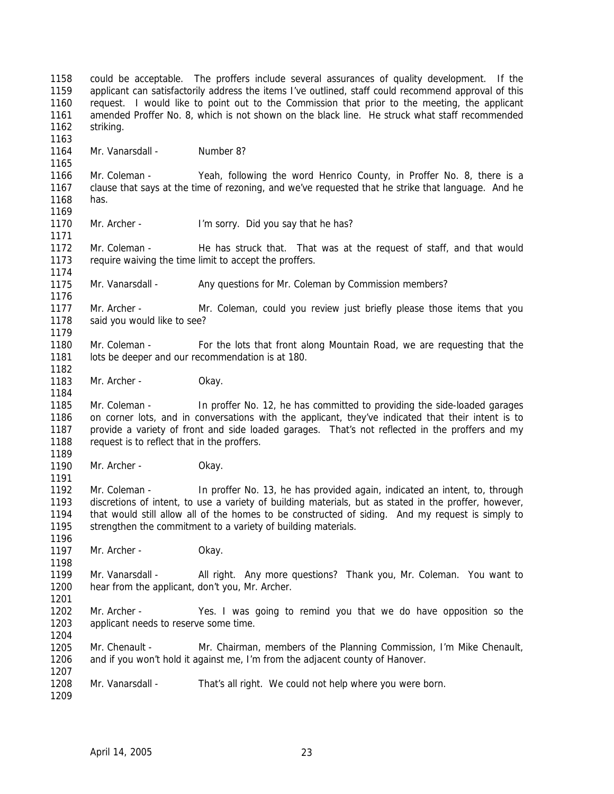1158 1159 1160 1161 1162 1163 1164 1165 1166 1167 1168 1169 1170 1171 1172 1173 1174 1175 1176 1177 1178 1179 1180 1181 1182 1183 1184 1185 1186 1187 1188 1189 1190 1191 1192 1193 1194 1195 1196 1197 1198 1199 1200 1201 1202 1203 1204 1205 1206 1207 1208 1209 could be acceptable. The proffers include several assurances of quality development. If the applicant can satisfactorily address the items I've outlined, staff could recommend approval of this request. I would like to point out to the Commission that prior to the meeting, the applicant amended Proffer No. 8, which is not shown on the black line. He struck what staff recommended striking. Mr. Vanarsdall - Number 8? Mr. Coleman - Yeah, following the word Henrico County, in Proffer No. 8, there is a clause that says at the time of rezoning, and we've requested that he strike that language. And he has. Mr. Archer - I'm sorry. Did you say that he has? Mr. Coleman - He has struck that. That was at the request of staff, and that would require waiving the time limit to accept the proffers. Mr. Vanarsdall - Any questions for Mr. Coleman by Commission members? Mr. Archer - Mr. Coleman, could you review just briefly please those items that you said you would like to see? Mr. Coleman - For the lots that front along Mountain Road, we are requesting that the lots be deeper and our recommendation is at 180. Mr. Archer - Okay. Mr. Coleman - In proffer No. 12, he has committed to providing the side-loaded garages on corner lots, and in conversations with the applicant, they've indicated that their intent is to provide a variety of front and side loaded garages. That's not reflected in the proffers and my request is to reflect that in the proffers. Mr. Archer - Okay. Mr. Coleman - In proffer No. 13, he has provided again, indicated an intent, to, through discretions of intent, to use a variety of building materials, but as stated in the proffer, however, that would still allow all of the homes to be constructed of siding. And my request is simply to strengthen the commitment to a variety of building materials. Mr. Archer - Okay. Mr. Vanarsdall - All right. Any more questions? Thank you, Mr. Coleman. You want to hear from the applicant, don't you, Mr. Archer. Mr. Archer - Yes. I was going to remind you that we do have opposition so the applicant needs to reserve some time. Mr. Chenault - Mr. Chairman, members of the Planning Commission, I'm Mike Chenault, and if you won't hold it against me, I'm from the adjacent county of Hanover. Mr. Vanarsdall - That's all right. We could not help where you were born.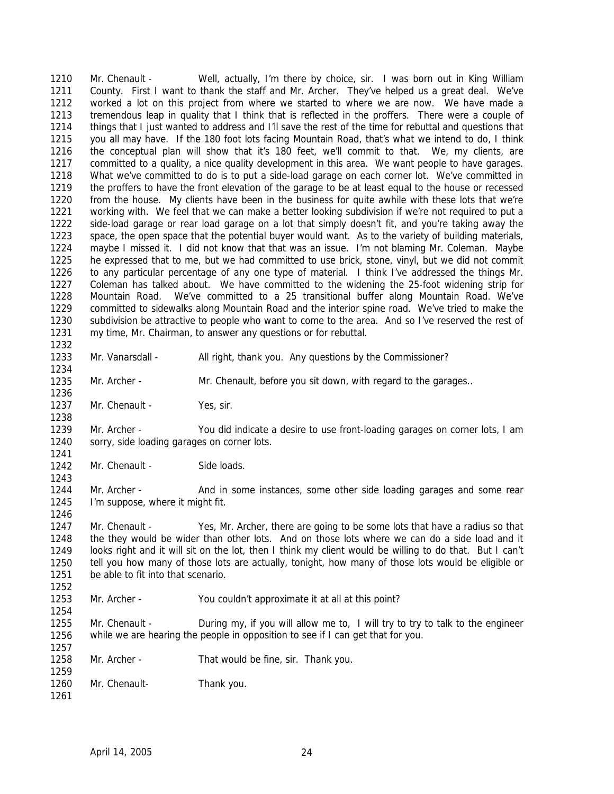1210 1211 1212 1213 1214 1215 1216 1217 1218 1219 1220 1221 1222 1223 1224 1225 1226 1227 1228 1229 1230 1231 1232 Mr. Chenault - Well, actually, I'm there by choice, sir. I was born out in King William County. First I want to thank the staff and Mr. Archer. They've helped us a great deal. We've worked a lot on this project from where we started to where we are now. We have made a tremendous leap in quality that I think that is reflected in the proffers. There were a couple of things that I just wanted to address and I'll save the rest of the time for rebuttal and questions that you all may have. If the 180 foot lots facing Mountain Road, that's what we intend to do, I think the conceptual plan will show that it's 180 feet, we'll commit to that. We, my clients, are committed to a quality, a nice quality development in this area. We want people to have garages. What we've committed to do is to put a side-load garage on each corner lot. We've committed in the proffers to have the front elevation of the garage to be at least equal to the house or recessed from the house. My clients have been in the business for quite awhile with these lots that we're working with. We feel that we can make a better looking subdivision if we're not required to put a side-load garage or rear load garage on a lot that simply doesn't fit, and you're taking away the space, the open space that the potential buyer would want. As to the variety of building materials, maybe I missed it. I did not know that that was an issue. I'm not blaming Mr. Coleman. Maybe he expressed that to me, but we had committed to use brick, stone, vinyl, but we did not commit to any particular percentage of any one type of material. I think I've addressed the things Mr. Coleman has talked about. We have committed to the widening the 25-foot widening strip for Mountain Road. We've committed to a 25 transitional buffer along Mountain Road. We've committed to sidewalks along Mountain Road and the interior spine road. We've tried to make the subdivision be attractive to people who want to come to the area. And so I've reserved the rest of my time, Mr. Chairman, to answer any questions or for rebuttal.

1233

1234

1243

1246

1254

1257

Mr. Vanarsdall - All right, thank you. Any questions by the Commissioner?

1235 1236 Mr. Archer - Mr. Chenault, before you sit down, with regard to the garages..

1237 1238 Mr. Chenault - Yes, sir.

1239 1240 1241 Mr. Archer - You did indicate a desire to use front-loading garages on corner lots, I am sorry, side loading garages on corner lots.

1242 Mr. Chenault - Side loads.

1244 1245 Mr. Archer - And in some instances, some other side loading garages and some rear I'm suppose, where it might fit.

1247 1248 1249 1250 1251 1252 Mr. Chenault - Yes, Mr. Archer, there are going to be some lots that have a radius so that the they would be wider than other lots. And on those lots where we can do a side load and it looks right and it will sit on the lot, then I think my client would be willing to do that. But I can't tell you how many of those lots are actually, tonight, how many of those lots would be eligible or be able to fit into that scenario.

1253 Mr. Archer - You couldn't approximate it at all at this point?

1255 1256 Mr. Chenault - During my, if you will allow me to, I will try to try to talk to the engineer while we are hearing the people in opposition to see if I can get that for you.

1258 1259 Mr. Archer - That would be fine, sir. Thank you.

1260 Mr. Chenault-<br>
Thank you.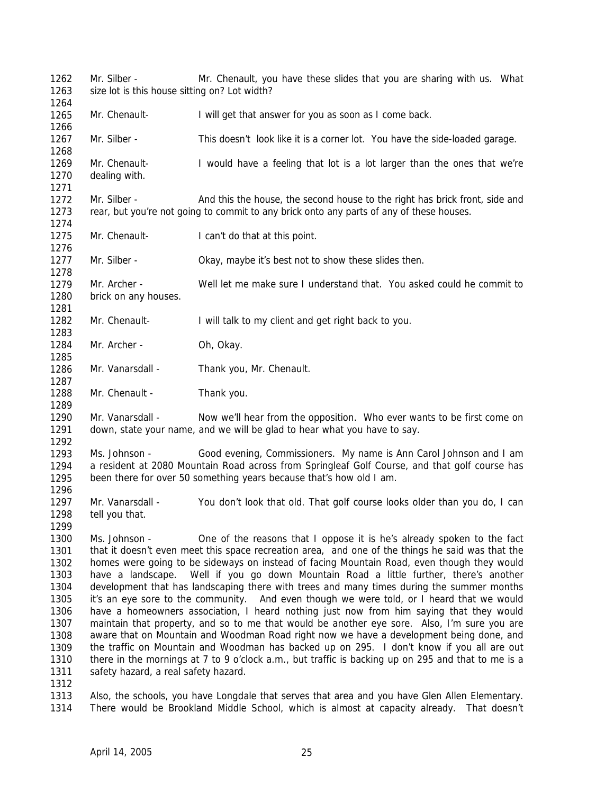1262 1263 1264 1265 1266 1267 1268 1269 1270 1271 1272 1273 1274 1275 1276 1277 1278 1279 1280 1281 1282 1283 1284 1285 1286 1287 1288 1289 1290 1291 1292 1293 1294 1295 1296 1297 1298 1299 1300 1301 1302 1303 1304 1305 1306 1307 1308 1309 1310 1311 1312 1313 Mr. Silber - Mr. Chenault, you have these slides that you are sharing with us. What size lot is this house sitting on? Lot width? Mr. Chenault- I will get that answer for you as soon as I come back. Mr. Silber - This doesn't look like it is a corner lot. You have the side-loaded garage. Mr. Chenault- I would have a feeling that lot is a lot larger than the ones that we're dealing with. Mr. Silber - And this the house, the second house to the right has brick front, side and rear, but you're not going to commit to any brick onto any parts of any of these houses. Mr. Chenault-<br>
I can't do that at this point. Mr. Silber - Okay, maybe it's best not to show these slides then. Mr. Archer - Well let me make sure I understand that. You asked could he commit to brick on any houses. Mr. Chenault- I will talk to my client and get right back to you. Mr. Archer - Oh, Okay. Mr. Vanarsdall - Thank you, Mr. Chenault. Mr. Chenault - Thank you. Mr. Vanarsdall - Now we'll hear from the opposition. Who ever wants to be first come on down, state your name, and we will be glad to hear what you have to say. Ms. Johnson - Good evening, Commissioners. My name is Ann Carol Johnson and I am a resident at 2080 Mountain Road across from Springleaf Golf Course, and that golf course has been there for over 50 something years because that's how old I am. Mr. Vanarsdall - You don't look that old. That golf course looks older than you do, I can tell you that. Ms. Johnson - One of the reasons that I oppose it is he's already spoken to the fact that it doesn't even meet this space recreation area, and one of the things he said was that the homes were going to be sideways on instead of facing Mountain Road, even though they would have a landscape. Well if you go down Mountain Road a little further, there's another development that has landscaping there with trees and many times during the summer months it's an eye sore to the community. And even though we were told, or I heard that we would have a homeowners association, I heard nothing just now from him saying that they would maintain that property, and so to me that would be another eye sore. Also, I'm sure you are aware that on Mountain and Woodman Road right now we have a development being done, and the traffic on Mountain and Woodman has backed up on 295. I don't know if you all are out there in the mornings at 7 to 9 o'clock a.m., but traffic is backing up on 295 and that to me is a safety hazard, a real safety hazard. Also, the schools, you have Longdale that serves that area and you have Glen Allen Elementary.

1314 There would be Brookland Middle School, which is almost at capacity already. That doesn't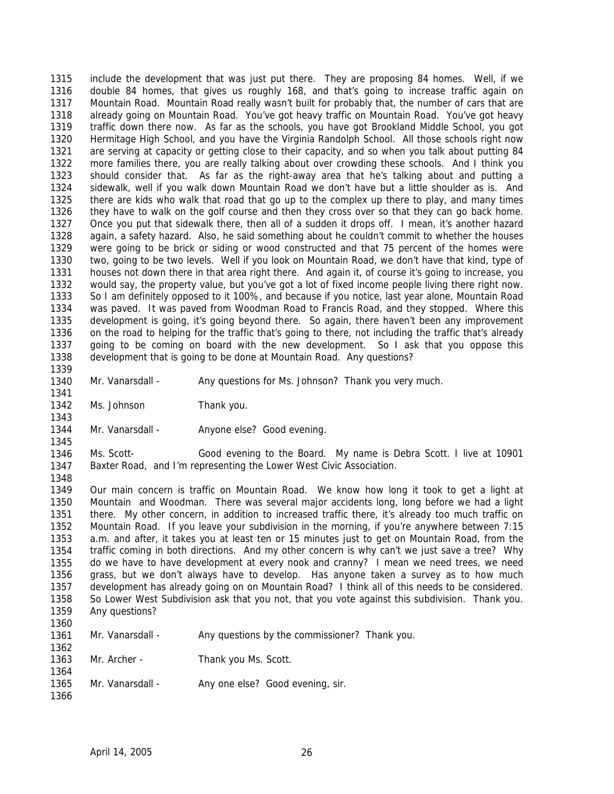1315 1316 1317 1318 1319 1320 1321 1322 1323 1324 1325 1326 1327 1328 1329 1330 1331 1332 1333 1334 1335 1336 1337 1338 1339 include the development that was just put there. They are proposing 84 homes. Well, if we double 84 homes, that gives us roughly 168, and that's going to increase traffic again on Mountain Road. Mountain Road really wasn't built for probably that, the number of cars that are already going on Mountain Road. You've got heavy traffic on Mountain Road. You've got heavy traffic down there now. As far as the schools, you have got Brookland Middle School, you got Hermitage High School, and you have the Virginia Randolph School. All those schools right now are serving at capacity or getting close to their capacity, and so when you talk about putting 84 more families there, you are really talking about over crowding these schools. And I think you should consider that. As far as the right-away area that he's talking about and putting a sidewalk, well if you walk down Mountain Road we don't have but a little shoulder as is. And there are kids who walk that road that go up to the complex up there to play, and many times they have to walk on the golf course and then they cross over so that they can go back home. Once you put that sidewalk there, then all of a sudden it drops off. I mean, it's another hazard again, a safety hazard. Also, he said something about he couldn't commit to whether the houses were going to be brick or siding or wood constructed and that 75 percent of the homes were two, going to be two levels. Well if you look on Mountain Road, we don't have that kind, type of houses not down there in that area right there. And again it, of course it's going to increase, you would say, the property value, but you've got a lot of fixed income people living there right now. So I am definitely opposed to it 100%, and because if you notice, last year alone, Mountain Road was paved. It was paved from Woodman Road to Francis Road, and they stopped. Where this development is going, it's going beyond there. So again, there haven't been any improvement on the road to helping for the traffic that's going to there, not including the traffic that's already going to be coming on board with the new development. So I ask that you oppose this development that is going to be done at Mountain Road. Any questions?

1340 Mr. Vanarsdall - Any questions for Ms. Johnson? Thank you very much.

1342 Ms. Johnson Thank you.

1341

1343

1345

1348

1344 Mr. Vanarsdall - Anyone else? Good evening.

1346 1347 Ms. Scott- Good evening to the Board. My name is Debra Scott. I live at 10901 Baxter Road, and I'm representing the Lower West Civic Association.

1349 1350 1351 1352 1353 1354 1355 1356 1357 1358 1359 1360 Our main concern is traffic on Mountain Road. We know how long it took to get a light at Mountain and Woodman. There was several major accidents long, long before we had a light there. My other concern, in addition to increased traffic there, it's already too much traffic on Mountain Road. If you leave your subdivision in the morning, if you're anywhere between 7:15 a.m. and after, it takes you at least ten or 15 minutes just to get on Mountain Road, from the traffic coming in both directions. And my other concern is why can't we just save a tree? Why do we have to have development at every nook and cranny? I mean we need trees, we need grass, but we don't always have to develop. Has anyone taken a survey as to how much development has already going on on Mountain Road? I think all of this needs to be considered. So Lower West Subdivision ask that you not, that you vote against this subdivision. Thank you. Any questions?

| 1 J J J                                                                   |  |
|---------------------------------------------------------------------------|--|
| Any questions by the commissioner? Thank you.<br>1361<br>Mr. Vanarsdall - |  |
| 1362                                                                      |  |
| 1363<br>Mr. Archer -<br>Thank you Ms. Scott.                              |  |
| 1364                                                                      |  |
| Any one else? Good evening, sir.<br>Mr. Vanarsdall -<br>1365              |  |
| 1366                                                                      |  |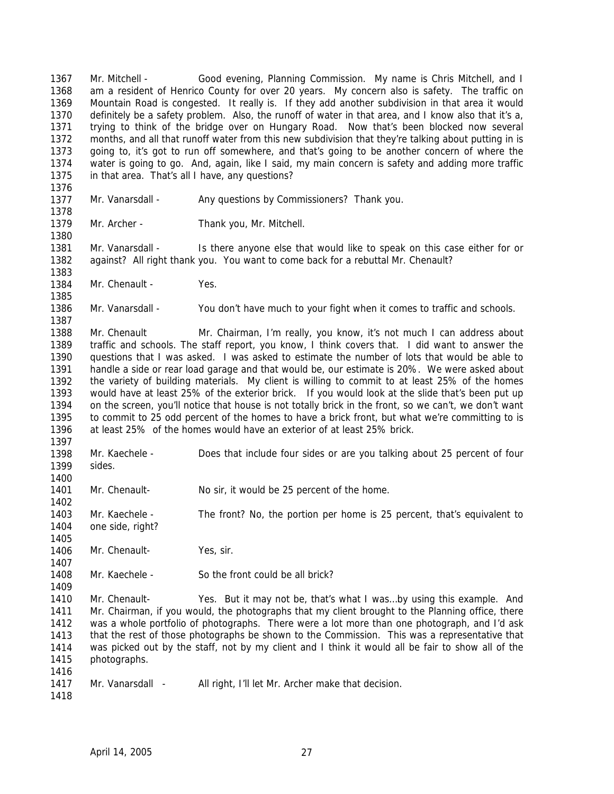1367 1368 1369 1370 1371 1372 1373 1374 1375 Mr. Mitchell - Good evening, Planning Commission. My name is Chris Mitchell, and I am a resident of Henrico County for over 20 years. My concern also is safety. The traffic on Mountain Road is congested. It really is. If they add another subdivision in that area it would definitely be a safety problem. Also, the runoff of water in that area, and I know also that it's a, trying to think of the bridge over on Hungary Road. Now that's been blocked now several months, and all that runoff water from this new subdivision that they're talking about putting in is going to, it's got to run off somewhere, and that's going to be another concern of where the water is going to go. And, again, like I said, my main concern is safety and adding more traffic in that area. That's all I have, any questions?

1376 1377

1380

1383

1385

1387

1400

1405

1409

1378 Mr. Vanarsdall - Any questions by Commissioners? Thank you.

1379 Mr. Archer - Thank you, Mr. Mitchell.

1381 1382 Mr. Vanarsdall - Is there anyone else that would like to speak on this case either for or against? All right thank you. You want to come back for a rebuttal Mr. Chenault?

1384 Mr. Chenault - Yes.

1386 Mr. Vanarsdall - You don't have much to your fight when it comes to traffic and schools.

1388 1389 1390 1391 1392 1393 1394 1395 1396 1397 Mr. Chenault Mr. Chairman, I'm really, you know, it's not much I can address about traffic and schools. The staff report, you know, I think covers that. I did want to answer the questions that I was asked. I was asked to estimate the number of lots that would be able to handle a side or rear load garage and that would be, our estimate is 20%. We were asked about the variety of building materials. My client is willing to commit to at least 25% of the homes would have at least 25% of the exterior brick. If you would look at the slide that's been put up on the screen, you'll notice that house is not totally brick in the front, so we can't, we don't want to commit to 25 odd percent of the homes to have a brick front, but what we're committing to is at least 25% of the homes would have an exterior of at least 25% brick.

1398 1399 Mr. Kaechele - Does that include four sides or are you talking about 25 percent of four sides.

1401 Mr. Chenault- No sir, it would be 25 percent of the home.

1402 1403 1404 Mr. Kaechele - The front? No, the portion per home is 25 percent, that's equivalent to one side, right?

1406 1407 Mr. Chenault-<br>
Yes, sir.

1408 Mr. Kaechele - So the front could be all brick?

1410 1411 1412 1413 1414 1415 1416 Mr. Chenault- Yes. But it may not be, that's what I was…by using this example. And Mr. Chairman, if you would, the photographs that my client brought to the Planning office, there was a whole portfolio of photographs. There were a lot more than one photograph, and I'd ask that the rest of those photographs be shown to the Commission. This was a representative that was picked out by the staff, not by my client and I think it would all be fair to show all of the photographs.

1417 Mr. Vanarsdall - All right, I'll let Mr. Archer make that decision.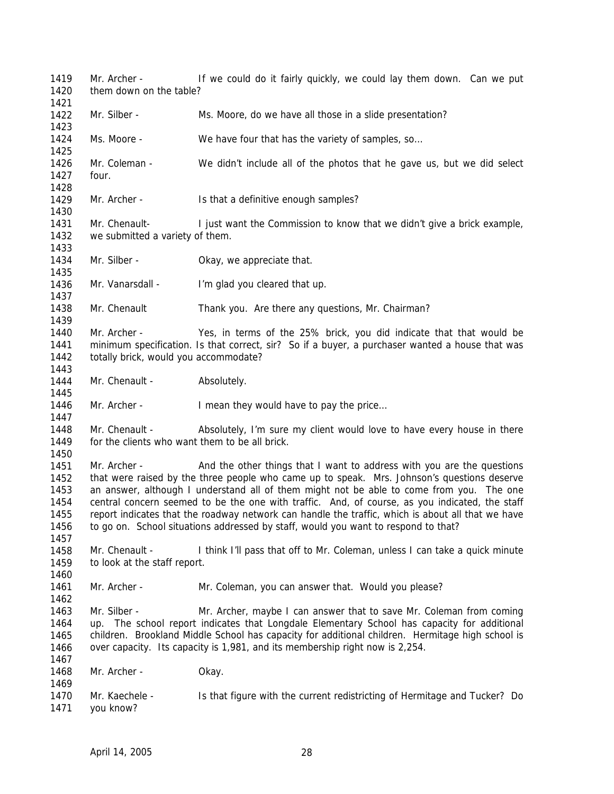1419 1420 1421 1422 1423 1424 1425 1426 1427 1428 1429 1430 1431 1432 1433 1434 1435 1436 1437 1438 1439 1440 1441 1442 1443 1444 1445 1446 1447 1448 1449 1450 1451 1452 1453 1454 1455 1456 1457 1458 1459 1460 1461 1462 1463 1464 1465 1466 1467 1468 1469 1470 1471 Mr. Archer - If we could do it fairly quickly, we could lay them down. Can we put them down on the table? Mr. Silber - Ms. Moore, do we have all those in a slide presentation? Ms. Moore - We have four that has the variety of samples, so... Mr. Coleman - We didn't include all of the photos that he gave us, but we did select four. Mr. Archer - Is that a definitive enough samples? Mr. Chenault- I just want the Commission to know that we didn't give a brick example, we submitted a variety of them. Mr. Silber - Okay, we appreciate that. Mr. Vanarsdall - I'm glad you cleared that up. Mr. Chenault Thank you. Are there any questions, Mr. Chairman? Mr. Archer - Yes, in terms of the 25% brick, you did indicate that that would be minimum specification. Is that correct, sir? So if a buyer, a purchaser wanted a house that was totally brick, would you accommodate? Mr. Chenault - Absolutely. Mr. Archer - I mean they would have to pay the price... Mr. Chenault - Absolutely, I'm sure my client would love to have every house in there for the clients who want them to be all brick. Mr. Archer - And the other things that I want to address with you are the questions that were raised by the three people who came up to speak. Mrs. Johnson's questions deserve an answer, although I understand all of them might not be able to come from you. The one central concern seemed to be the one with traffic. And, of course, as you indicated, the staff report indicates that the roadway network can handle the traffic, which is about all that we have to go on. School situations addressed by staff, would you want to respond to that? Mr. Chenault - I think I'll pass that off to Mr. Coleman, unless I can take a quick minute to look at the staff report. Mr. Archer - Mr. Coleman, you can answer that. Would you please? Mr. Silber - Mr. Archer, maybe I can answer that to save Mr. Coleman from coming up. The school report indicates that Longdale Elementary School has capacity for additional children. Brookland Middle School has capacity for additional children. Hermitage high school is over capacity. Its capacity is 1,981, and its membership right now is 2,254. Mr. Archer - Okay. Mr. Kaechele - Is that figure with the current redistricting of Hermitage and Tucker? Do you know?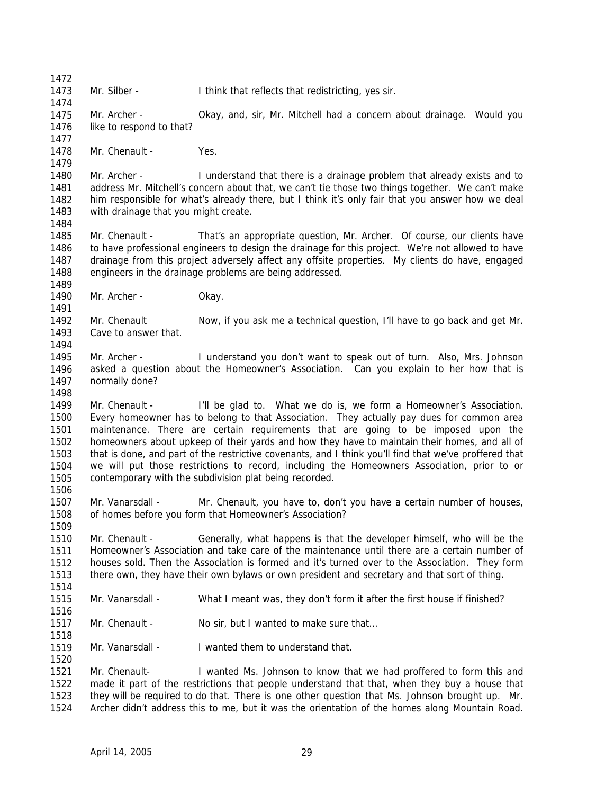1473 Mr. Silber - I think that reflects that redistricting, yes sir.

1475 1476 1477 Mr. Archer - **Okay, and, sir, Mr. Mitchell had a concern about drainage.** Would you like to respond to that?

1478 Mr. Chenault - Yes.

1472

1474

1479

1484

1489

1491

1494

1498

1506

1509

1516

1518

1520

1480 1481 1482 1483 Mr. Archer - I understand that there is a drainage problem that already exists and to address Mr. Mitchell's concern about that, we can't tie those two things together. We can't make him responsible for what's already there, but I think it's only fair that you answer how we deal with drainage that you might create.

1485 1486 1487 1488 Mr. Chenault - That's an appropriate question, Mr. Archer. Of course, our clients have to have professional engineers to design the drainage for this project. We're not allowed to have drainage from this project adversely affect any offsite properties. My clients do have, engaged engineers in the drainage problems are being addressed.

1490 Mr. Archer - Okay.

1492 1493 Mr. Chenault Now, if you ask me a technical question, I'll have to go back and get Mr. Cave to answer that.

1495 1496 1497 Mr. Archer - I understand you don't want to speak out of turn. Also, Mrs. Johnson asked a question about the Homeowner's Association. Can you explain to her how that is normally done?

1499 1500 1501 1502 1503 1504 1505 Mr. Chenault - I'll be glad to. What we do is, we form a Homeowner's Association. Every homeowner has to belong to that Association. They actually pay dues for common area maintenance. There are certain requirements that are going to be imposed upon the homeowners about upkeep of their yards and how they have to maintain their homes, and all of that is done, and part of the restrictive covenants, and I think you'll find that we've proffered that we will put those restrictions to record, including the Homeowners Association, prior to or contemporary with the subdivision plat being recorded.

1507 1508 Mr. Vanarsdall - Mr. Chenault, you have to, don't you have a certain number of houses, of homes before you form that Homeowner's Association?

1510 1511 1512 1513 1514 Mr. Chenault - Generally, what happens is that the developer himself, who will be the Homeowner's Association and take care of the maintenance until there are a certain number of houses sold. Then the Association is formed and it's turned over to the Association. They form there own, they have their own bylaws or own president and secretary and that sort of thing.

1515 Mr. Vanarsdall - What I meant was, they don't form it after the first house if finished?

1517 Mr. Chenault - No sir, but I wanted to make sure that...

1519 Mr. Vanarsdall - I wanted them to understand that.

1521 1522 1523 1524 Mr. Chenault- I wanted Ms. Johnson to know that we had proffered to form this and made it part of the restrictions that people understand that that, when they buy a house that they will be required to do that. There is one other question that Ms. Johnson brought up. Mr. Archer didn't address this to me, but it was the orientation of the homes along Mountain Road.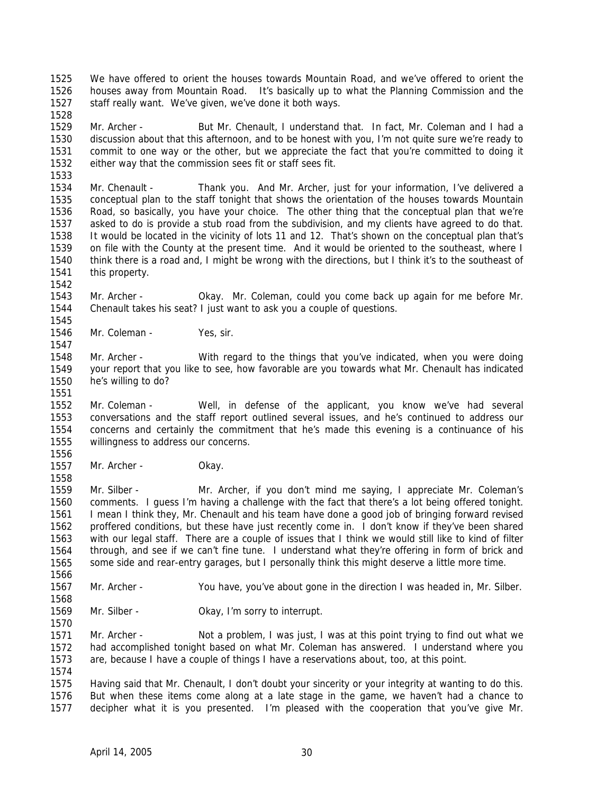1525 1526 1527 1528 We have offered to orient the houses towards Mountain Road, and we've offered to orient the houses away from Mountain Road. It's basically up to what the Planning Commission and the staff really want. We've given, we've done it both ways.

1529 1530 1531 1532 Mr. Archer - But Mr. Chenault, I understand that. In fact, Mr. Coleman and I had a discussion about that this afternoon, and to be honest with you, I'm not quite sure we're ready to commit to one way or the other, but we appreciate the fact that you're committed to doing it either way that the commission sees fit or staff sees fit.

1534 1535 1536 1537 1538 1539 1540 1541 Mr. Chenault - Thank you. And Mr. Archer, just for your information, I've delivered a conceptual plan to the staff tonight that shows the orientation of the houses towards Mountain Road, so basically, you have your choice. The other thing that the conceptual plan that we're asked to do is provide a stub road from the subdivision, and my clients have agreed to do that. It would be located in the vicinity of lots 11 and 12. That's shown on the conceptual plan that's on file with the County at the present time. And it would be oriented to the southeast, where I think there is a road and, I might be wrong with the directions, but I think it's to the southeast of this property.

1543 1544 Mr. Archer - Okay. Mr. Coleman, could you come back up again for me before Mr. Chenault takes his seat? I just want to ask you a couple of questions.

1546 Mr. Coleman - Yes, sir.

1533

1542

1545

1547

1551

1556

1558

1568

1570

1574

1548 1549 1550 Mr. Archer - With regard to the things that you've indicated, when you were doing your report that you like to see, how favorable are you towards what Mr. Chenault has indicated he's willing to do?

1552 1553 1554 1555 Mr. Coleman - Well, in defense of the applicant, you know we've had several conversations and the staff report outlined several issues, and he's continued to address our concerns and certainly the commitment that he's made this evening is a continuance of his willingness to address our concerns.

1557 Mr. Archer - Okay.

1559 1560 1561 1562 1563 1564 1565 1566 Mr. Silber - Mr. Archer, if you don't mind me saying, I appreciate Mr. Coleman's comments. I guess I'm having a challenge with the fact that there's a lot being offered tonight. I mean I think they, Mr. Chenault and his team have done a good job of bringing forward revised proffered conditions, but these have just recently come in. I don't know if they've been shared with our legal staff. There are a couple of issues that I think we would still like to kind of filter through, and see if we can't fine tune. I understand what they're offering in form of brick and some side and rear-entry garages, but I personally think this might deserve a little more time.

1567 Mr. Archer - You have, you've about gone in the direction I was headed in, Mr. Silber.

1569 Mr. Silber - **Okay, I'm sorry to interrupt.** 

1571 1572 1573 Mr. Archer - Not a problem, I was just, I was at this point trying to find out what we had accomplished tonight based on what Mr. Coleman has answered. I understand where you are, because I have a couple of things I have a reservations about, too, at this point.

1575 1576 1577 Having said that Mr. Chenault, I don't doubt your sincerity or your integrity at wanting to do this. But when these items come along at a late stage in the game, we haven't had a chance to decipher what it is you presented. I'm pleased with the cooperation that you've give Mr.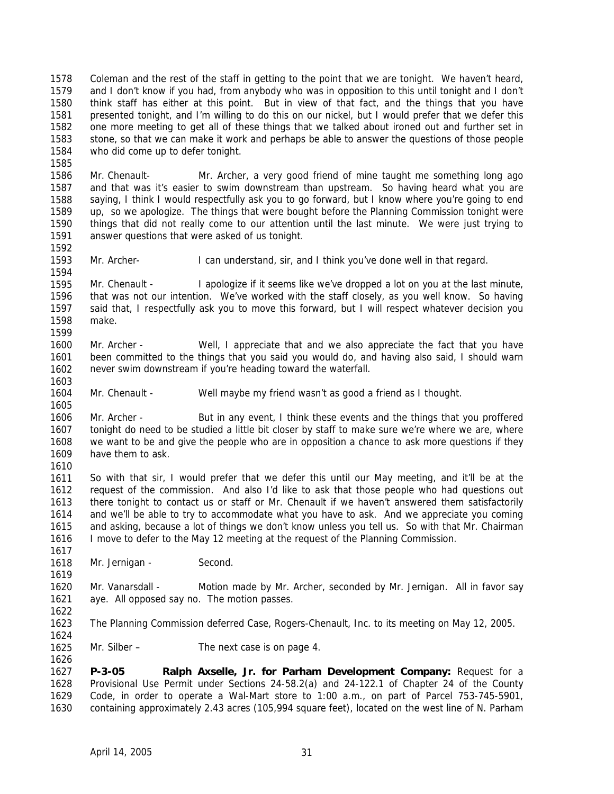1578 1579 1580 1581 1582 1583 1584 Coleman and the rest of the staff in getting to the point that we are tonight. We haven't heard, and I don't know if you had, from anybody who was in opposition to this until tonight and I don't think staff has either at this point. But in view of that fact, and the things that you have presented tonight, and I'm willing to do this on our nickel, but I would prefer that we defer this one more meeting to get all of these things that we talked about ironed out and further set in stone, so that we can make it work and perhaps be able to answer the questions of those people who did come up to defer tonight.

1586 1587 1588 1589 1590 1591 Mr. Chenault- Mr. Archer, a very good friend of mine taught me something long ago and that was it's easier to swim downstream than upstream. So having heard what you are saying, I think I would respectfully ask you to go forward, but I know where you're going to end up, so we apologize. The things that were bought before the Planning Commission tonight were things that did not really come to our attention until the last minute. We were just trying to answer questions that were asked of us tonight.

1593 Mr. Archer- I can understand, sir, and I think you've done well in that regard.

1595 1596 1597 1598 1599 Mr. Chenault - I apologize if it seems like we've dropped a lot on you at the last minute, that was not our intention. We've worked with the staff closely, as you well know. So having said that, I respectfully ask you to move this forward, but I will respect whatever decision you make.

1600 1601 1602 Mr. Archer - Well, I appreciate that and we also appreciate the fact that you have been committed to the things that you said you would do, and having also said, I should warn never swim downstream if you're heading toward the waterfall.

1604 Mr. Chenault - Well maybe my friend wasn't as good a friend as I thought.

1606 1607 1608 1609 Mr. Archer - But in any event, I think these events and the things that you proffered tonight do need to be studied a little bit closer by staff to make sure we're where we are, where we want to be and give the people who are in opposition a chance to ask more questions if they have them to ask.

1611 1612 1613 1614 1615 1616 So with that sir, I would prefer that we defer this until our May meeting, and it'll be at the request of the commission. And also I'd like to ask that those people who had questions out there tonight to contact us or staff or Mr. Chenault if we haven't answered them satisfactorily and we'll be able to try to accommodate what you have to ask. And we appreciate you coming and asking, because a lot of things we don't know unless you tell us. So with that Mr. Chairman I move to defer to the May 12 meeting at the request of the Planning Commission.

1618 Mr. Jernigan - Second.

1585

1592

1594

1603

1605

1610

1617

1619

1622

1624

1626

1620 1621 Mr. Vanarsdall - Motion made by Mr. Archer, seconded by Mr. Jernigan. All in favor say aye. All opposed say no. The motion passes.

1623 The Planning Commission deferred Case, Rogers-Chenault, Inc. to its meeting on May 12, 2005.

1625 Mr. Silber – The next case is on page 4.

1627 1628 1629 1630 **P-3-05 Ralph Axselle, Jr. for Parham Development Company:** Request for a Provisional Use Permit under Sections 24-58.2(a) and 24-122.1 of Chapter 24 of the County Code, in order to operate a Wal-Mart store to 1:00 a.m., on part of Parcel 753-745-5901, containing approximately 2.43 acres (105,994 square feet), located on the west line of N. Parham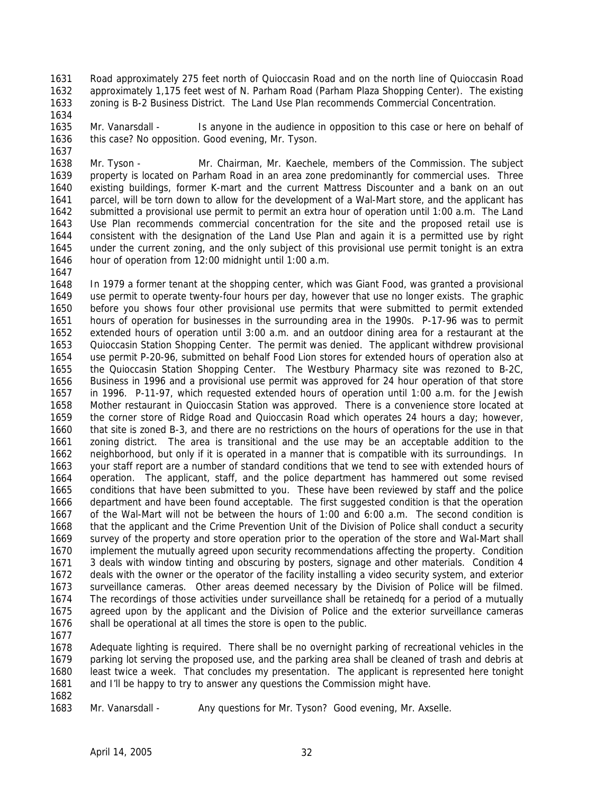1631 1632 1633 Road approximately 275 feet north of Quioccasin Road and on the north line of Quioccasin Road approximately 1,175 feet west of N. Parham Road (Parham Plaza Shopping Center). The existing zoning is B-2 Business District. The Land Use Plan recommends Commercial Concentration.

1635 1636 Mr. Vanarsdall - Is anyone in the audience in opposition to this case or here on behalf of this case? No opposition. Good evening, Mr. Tyson.

1638 1639 1640 1641 1642 1643 1644 1645 1646 Mr. Tyson - Mr. Chairman, Mr. Kaechele, members of the Commission. The subject property is located on Parham Road in an area zone predominantly for commercial uses. Three existing buildings, former K-mart and the current Mattress Discounter and a bank on an out parcel, will be torn down to allow for the development of a Wal-Mart store, and the applicant has submitted a provisional use permit to permit an extra hour of operation until 1:00 a.m. The Land Use Plan recommends commercial concentration for the site and the proposed retail use is consistent with the designation of the Land Use Plan and again it is a permitted use by right under the current zoning, and the only subject of this provisional use permit tonight is an extra hour of operation from 12:00 midnight until 1:00 a.m.

1647

1634

1637

1648 1649 1650 1651 1652 1653 1654 1655 1656 1657 1658 1659 1660 1661 1662 1663 1664 1665 1666 1667 1668 1669 1670 1671 1672 1673 1674 1675 1676 In 1979 a former tenant at the shopping center, which was Giant Food, was granted a provisional use permit to operate twenty-four hours per day, however that use no longer exists. The graphic before you shows four other provisional use permits that were submitted to permit extended hours of operation for businesses in the surrounding area in the 1990s. P-17-96 was to permit extended hours of operation until 3:00 a.m. and an outdoor dining area for a restaurant at the Quioccasin Station Shopping Center. The permit was denied. The applicant withdrew provisional use permit P-20-96, submitted on behalf Food Lion stores for extended hours of operation also at the Quioccasin Station Shopping Center. The Westbury Pharmacy site was rezoned to B-2C, Business in 1996 and a provisional use permit was approved for 24 hour operation of that store in 1996. P-11-97, which requested extended hours of operation until 1:00 a.m. for the Jewish Mother restaurant in Quioccasin Station was approved. There is a convenience store located at the corner store of Ridge Road and Quioccasin Road which operates 24 hours a day; however, that site is zoned B-3, and there are no restrictions on the hours of operations for the use in that zoning district. The area is transitional and the use may be an acceptable addition to the neighborhood, but only if it is operated in a manner that is compatible with its surroundings. In your staff report are a number of standard conditions that we tend to see with extended hours of operation. The applicant, staff, and the police department has hammered out some revised conditions that have been submitted to you. These have been reviewed by staff and the police department and have been found acceptable. The first suggested condition is that the operation of the Wal-Mart will not be between the hours of 1:00 and 6:00 a.m. The second condition is that the applicant and the Crime Prevention Unit of the Division of Police shall conduct a security survey of the property and store operation prior to the operation of the store and Wal-Mart shall implement the mutually agreed upon security recommendations affecting the property. Condition 3 deals with window tinting and obscuring by posters, signage and other materials. Condition 4 deals with the owner or the operator of the facility installing a video security system, and exterior surveillance cameras. Other areas deemed necessary by the Division of Police will be filmed. The recordings of those activities under surveillance shall be retainedq for a period of a mutually agreed upon by the applicant and the Division of Police and the exterior surveillance cameras shall be operational at all times the store is open to the public.

1677

1678 1679 1680 1681 Adequate lighting is required. There shall be no overnight parking of recreational vehicles in the parking lot serving the proposed use, and the parking area shall be cleaned of trash and debris at least twice a week. That concludes my presentation. The applicant is represented here tonight and I'll be happy to try to answer any questions the Commission might have.

1682

1683

Mr. Vanarsdall - Any questions for Mr. Tyson? Good evening, Mr. Axselle.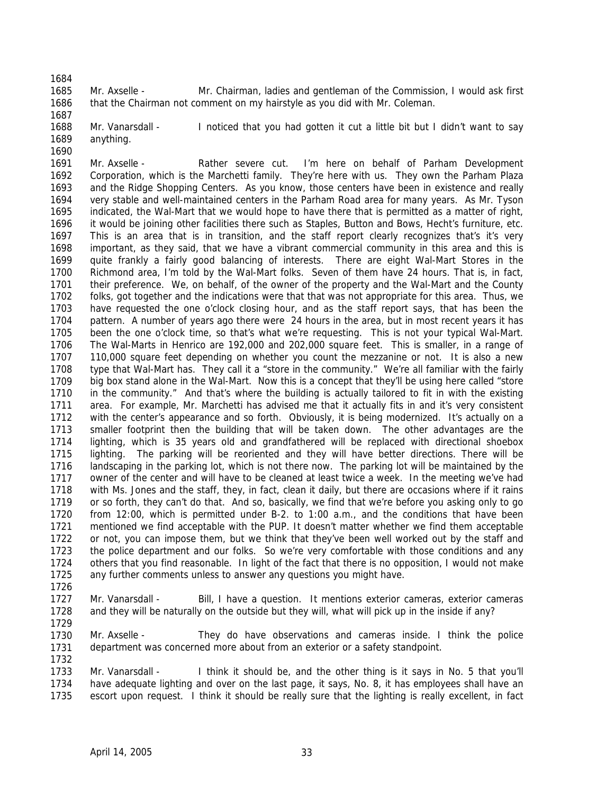1684

1687

- 1685 1686 Mr. Axselle - Mr. Chairman, ladies and gentleman of the Commission, I would ask first that the Chairman not comment on my hairstyle as you did with Mr. Coleman.
- 1688 1689 1690 Mr. Vanarsdall - Inoticed that you had gotten it cut a little bit but I didn't want to say anything.
- 1691 1692 1693 1694 1695 1696 1697 1698 1699 1700 1701 1702 1703 1704 1705 1706 1707 1708 1709 1710 1711 1712 1713 1714 1715 1716 1717 1718 1719 1720 1721 1722 1723 1724 1725 Mr. Axselle - Rather severe cut. I'm here on behalf of Parham Development Corporation, which is the Marchetti family. They're here with us. They own the Parham Plaza and the Ridge Shopping Centers. As you know, those centers have been in existence and really very stable and well-maintained centers in the Parham Road area for many years. As Mr. Tyson indicated, the Wal-Mart that we would hope to have there that is permitted as a matter of right, it would be joining other facilities there such as Staples, Button and Bows, Hecht's furniture, etc. This is an area that is in transition, and the staff report clearly recognizes that's it's very important, as they said, that we have a vibrant commercial community in this area and this is quite frankly a fairly good balancing of interests. There are eight Wal-Mart Stores in the Richmond area, I'm told by the Wal-Mart folks. Seven of them have 24 hours. That is, in fact, their preference. We, on behalf, of the owner of the property and the Wal-Mart and the County folks, got together and the indications were that that was not appropriate for this area. Thus, we have requested the one o'clock closing hour, and as the staff report says, that has been the pattern. A number of years ago there were 24 hours in the area, but in most recent years it has been the one o'clock time, so that's what we're requesting. This is not your typical Wal-Mart. The Wal-Marts in Henrico are 192,000 and 202,000 square feet. This is smaller, in a range of 110,000 square feet depending on whether you count the mezzanine or not. It is also a new type that Wal-Mart has. They call it a "store in the community." We're all familiar with the fairly big box stand alone in the Wal-Mart. Now this is a concept that they'll be using here called "store in the community." And that's where the building is actually tailored to fit in with the existing area. For example, Mr. Marchetti has advised me that it actually fits in and it's very consistent with the center's appearance and so forth. Obviously, it is being modernized. It's actually on a smaller footprint then the building that will be taken down. The other advantages are the lighting, which is 35 years old and grandfathered will be replaced with directional shoebox lighting. The parking will be reoriented and they will have better directions. There will be landscaping in the parking lot, which is not there now. The parking lot will be maintained by the owner of the center and will have to be cleaned at least twice a week. In the meeting we've had with Ms. Jones and the staff, they, in fact, clean it daily, but there are occasions where if it rains or so forth, they can't do that. And so, basically, we find that we're before you asking only to go from 12:00, which is permitted under B-2. to 1:00 a.m., and the conditions that have been mentioned we find acceptable with the PUP. It doesn't matter whether we find them acceptable or not, you can impose them, but we think that they've been well worked out by the staff and the police department and our folks. So we're very comfortable with those conditions and any others that you find reasonable. In light of the fact that there is no opposition, I would not make any further comments unless to answer any questions you might have.
- 1726

1732

1727 1728 1729 Mr. Vanarsdall - Bill, I have a question. It mentions exterior cameras, exterior cameras and they will be naturally on the outside but they will, what will pick up in the inside if any?

1730 1731 Mr. Axselle - They do have observations and cameras inside. I think the police department was concerned more about from an exterior or a safety standpoint.

1733 1734 1735 Mr. Vanarsdall - I think it should be, and the other thing is it says in No. 5 that you'll have adequate lighting and over on the last page, it says, No. 8, it has employees shall have an escort upon request. I think it should be really sure that the lighting is really excellent, in fact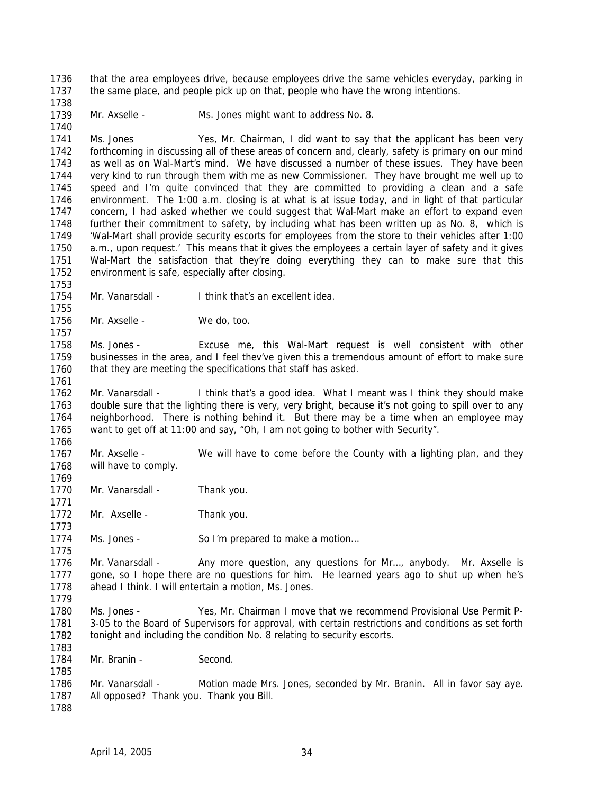1736 1737 that the area employees drive, because employees drive the same vehicles everyday, parking in the same place, and people pick up on that, people who have the wrong intentions.

1739 Mr. Axselle - Ms. Jones might want to address No. 8.

1741 1742 1743 1744 1745 1746 1747 1748 1749 1750 1751 1752 Ms. Jones Yes, Mr. Chairman, I did want to say that the applicant has been very forthcoming in discussing all of these areas of concern and, clearly, safety is primary on our mind as well as on Wal-Mart's mind. We have discussed a number of these issues. They have been very kind to run through them with me as new Commissioner. They have brought me well up to speed and I'm quite convinced that they are committed to providing a clean and a safe environment. The 1:00 a.m. closing is at what is at issue today, and in light of that particular concern, I had asked whether we could suggest that Wal-Mart make an effort to expand even further their commitment to safety, by including what has been written up as No. 8, which is 'Wal-Mart shall provide security escorts for employees from the store to their vehicles after 1:00 a.m., upon request.' This means that it gives the employees a certain layer of safety and it gives Wal-Mart the satisfaction that they're doing everything they can to make sure that this environment is safe, especially after closing.

1754 Mr. Vanarsdall - I think that's an excellent idea.

1756 Mr. Axselle - We do, too.

1758 1759 1760 Ms. Jones - Excuse me, this Wal-Mart request is well consistent with other businesses in the area, and I feel thev've given this a tremendous amount of effort to make sure that they are meeting the specifications that staff has asked.

1762 1763 1764 1765 1766 Mr. Vanarsdall - I think that's a good idea. What I meant was I think they should make double sure that the lighting there is very, very bright, because it's not going to spill over to any neighborhood. There is nothing behind it. But there may be a time when an employee may want to get off at 11:00 and say, "Oh, I am not going to bother with Security".

1767 1768 Mr. Axselle - We will have to come before the County with a lighting plan, and they will have to comply.

1770 Mr. Vanarsdall - Thank you.

1772 Mr. Axselle - Thank you.

1774 Ms. Jones - So I'm prepared to make a motion...

1776 1777 1778 Mr. Vanarsdall - Any more question, any questions for Mr..., anybody. Mr. Axselle is gone, so I hope there are no questions for him. He learned years ago to shut up when he's ahead I think. I will entertain a motion, Ms. Jones.

1779

1738

1740

1753

1755

1757

1761

1769

1771

1773

1775

- 1780 1781 1782 1783 Ms. Jones - Yes, Mr. Chairman I move that we recommend Provisional Use Permit P-3-05 to the Board of Supervisors for approval, with certain restrictions and conditions as set forth tonight and including the condition No. 8 relating to security escorts.
- 1784 Mr. Branin - Second.
- 1786 1787 Mr. Vanarsdall - Motion made Mrs. Jones, seconded by Mr. Branin. All in favor say aye. All opposed? Thank you. Thank you Bill.

1788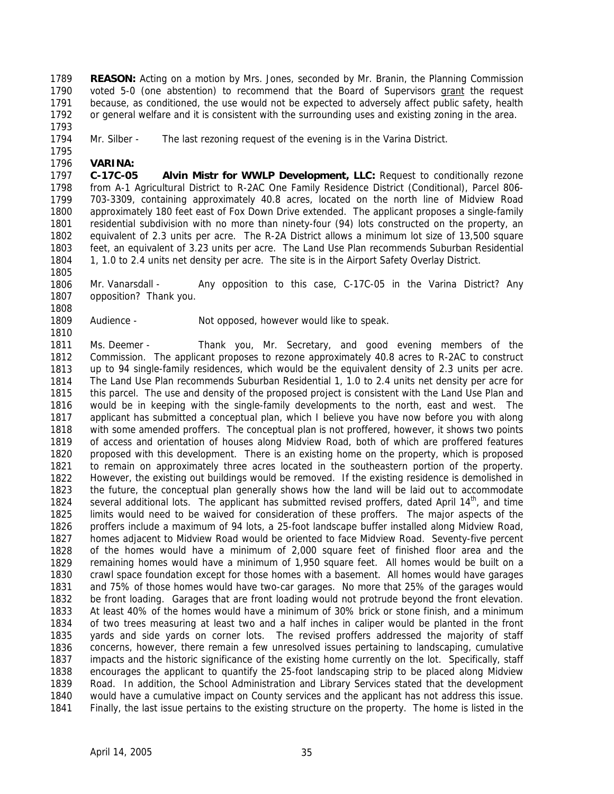**REASON:** Acting on a motion by Mrs. Jones, seconded by Mr. Branin, the Planning Commission voted 5-0 (one abstention) to recommend that the Board of Supervisors grant the request 1789 because, as conditioned, the use would not be expected to adversely affect public safety, health or general welfare and it is consistent with the surrounding uses and existing zoning in the area. 1790 1791 1792

1793 1794 Mr. Silber - The last rezoning request of the evening is in the Varina District.

1795 1796 **VARINA:** 

1797 1798 1799 1800 1801 1802 1803 1804 **C-17C-05 Alvin Mistr for WWLP Development, LLC:** Request to conditionally rezone from A-1 Agricultural District to R-2AC One Family Residence District (Conditional), Parcel 806- 703-3309, containing approximately 40.8 acres, located on the north line of Midview Road approximately 180 feet east of Fox Down Drive extended. The applicant proposes a single-family residential subdivision with no more than ninety-four (94) lots constructed on the property, an equivalent of 2.3 units per acre. The R-2A District allows a minimum lot size of 13,500 square feet, an equivalent of 3.23 units per acre. The Land Use Plan recommends Suburban Residential 1, 1.0 to 2.4 units net density per acre. The site is in the Airport Safety Overlay District.

1806 1807 Mr. Vanarsdall - Any opposition to this case, C-17C-05 in the Varina District? Any opposition? Thank you.

- 1808
- 1809 1810

1805

Audience - Not opposed, however would like to speak.

1811 1812 1813 1814 1815 1816 1817 1818 1819 1820 1821 1822 1823 1824 1825 1826 1827 1828 1829 1830 1831 1832 1833 1834 1835 1836 1837 1838 1839 1840 1841 Ms. Deemer - Thank you, Mr. Secretary, and good evening members of the Commission. The applicant proposes to rezone approximately 40.8 acres to R-2AC to construct up to 94 single-family residences, which would be the equivalent density of 2.3 units per acre. The Land Use Plan recommends Suburban Residential 1, 1.0 to 2.4 units net density per acre for this parcel. The use and density of the proposed project is consistent with the Land Use Plan and would be in keeping with the single-family developments to the north, east and west. The applicant has submitted a conceptual plan, which I believe you have now before you with along with some amended proffers. The conceptual plan is not proffered, however, it shows two points of access and orientation of houses along Midview Road, both of which are proffered features proposed with this development. There is an existing home on the property, which is proposed to remain on approximately three acres located in the southeastern portion of the property. However, the existing out buildings would be removed. If the existing residence is demolished in the future, the conceptual plan generally shows how the land will be laid out to accommodate several additional lots. The applicant has submitted revised proffers, dated April  $14<sup>th</sup>$ , and time limits would need to be waived for consideration of these proffers. The major aspects of the proffers include a maximum of 94 lots, a 25-foot landscape buffer installed along Midview Road, homes adjacent to Midview Road would be oriented to face Midview Road. Seventy-five percent of the homes would have a minimum of 2,000 square feet of finished floor area and the remaining homes would have a minimum of 1,950 square feet. All homes would be built on a crawl space foundation except for those homes with a basement. All homes would have garages and 75% of those homes would have two-car garages. No more that 25% of the garages would be front loading. Garages that are front loading would not protrude beyond the front elevation. At least 40% of the homes would have a minimum of 30% brick or stone finish, and a minimum of two trees measuring at least two and a half inches in caliper would be planted in the front yards and side yards on corner lots. The revised proffers addressed the majority of staff concerns, however, there remain a few unresolved issues pertaining to landscaping, cumulative impacts and the historic significance of the existing home currently on the lot. Specifically, staff encourages the applicant to quantify the 25-foot landscaping strip to be placed along Midview Road. In addition, the School Administration and Library Services stated that the development would have a cumulative impact on County services and the applicant has not address this issue. Finally, the last issue pertains to the existing structure on the property. The home is listed in the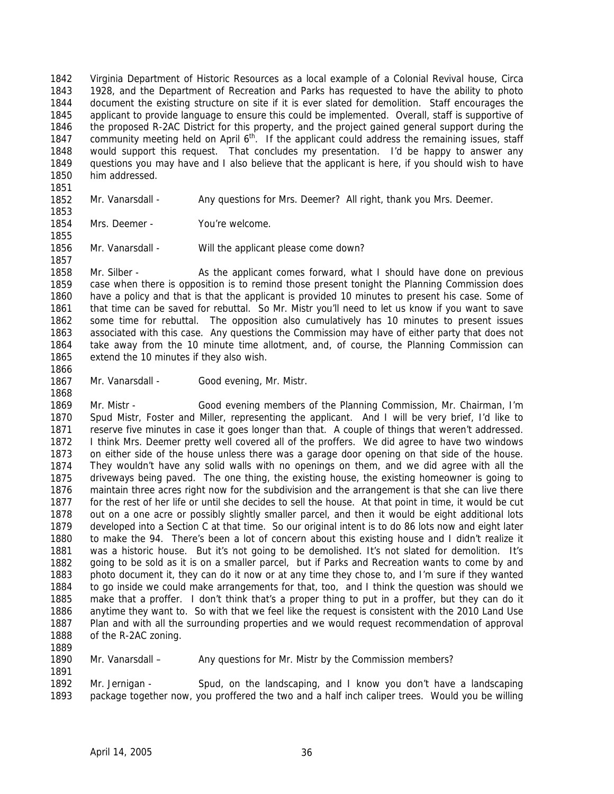Virginia Department of Historic Resources as a local example of a Colonial Revival house, Circa 1928, and the Department of Recreation and Parks has requested to have the ability to photo document the existing structure on site if it is ever slated for demolition. Staff encourages the applicant to provide language to ensure this could be implemented. Overall, staff is supportive of the proposed R-2AC District for this property, and the project gained general support during the community meeting held on April 6<sup>th</sup>. If the applicant could address the remaining issues, staff 1842 1843 1844 1845 1846 1847 1848 1849 1850 would support this request. That concludes my presentation. I'd be happy to answer any questions you may have and I also believe that the applicant is here, if you should wish to have him addressed.

1852 Mr. Vanarsdall - Any questions for Mrs. Deemer? All right, thank you Mrs. Deemer.

1854 Mrs. Deemer - You're welcome.

1856 Mr. Vanarsdall - Will the applicant please come down?

1858 1859 1860 1861 1862 1863 1864 1865 Mr. Silber - As the applicant comes forward, what I should have done on previous case when there is opposition is to remind those present tonight the Planning Commission does have a policy and that is that the applicant is provided 10 minutes to present his case. Some of that time can be saved for rebuttal. So Mr. Mistr you'll need to let us know if you want to save some time for rebuttal. The opposition also cumulatively has 10 minutes to present issues associated with this case. Any questions the Commission may have of either party that does not take away from the 10 minute time allotment, and, of course, the Planning Commission can extend the 10 minutes if they also wish.

1866 1867

1868

1851

1853

1855

1857

Mr. Vanarsdall - Good evening, Mr. Mistr.

1869 1870 1871 1872 1873 1874 1875 1876 1877 1878 1879 1880 1881 1882 1883 1884 1885 1886 1887 1888 Mr. Mistr - Good evening members of the Planning Commission, Mr. Chairman, I'm Spud Mistr, Foster and Miller, representing the applicant. And I will be very brief, I'd like to reserve five minutes in case it goes longer than that. A couple of things that weren't addressed. I think Mrs. Deemer pretty well covered all of the proffers. We did agree to have two windows on either side of the house unless there was a garage door opening on that side of the house. They wouldn't have any solid walls with no openings on them, and we did agree with all the driveways being paved. The one thing, the existing house, the existing homeowner is going to maintain three acres right now for the subdivision and the arrangement is that she can live there for the rest of her life or until she decides to sell the house. At that point in time, it would be cut out on a one acre or possibly slightly smaller parcel, and then it would be eight additional lots developed into a Section C at that time. So our original intent is to do 86 lots now and eight later to make the 94. There's been a lot of concern about this existing house and I didn't realize it was a historic house. But it's not going to be demolished. It's not slated for demolition. It's going to be sold as it is on a smaller parcel, but if Parks and Recreation wants to come by and photo document it, they can do it now or at any time they chose to, and I'm sure if they wanted to go inside we could make arrangements for that, too, and I think the question was should we make that a proffer. I don't think that's a proper thing to put in a proffer, but they can do it anytime they want to. So with that we feel like the request is consistent with the 2010 Land Use Plan and with all the surrounding properties and we would request recommendation of approval of the R-2AC zoning.

1889

1891

1890 Mr. Vanarsdall – Any questions for Mr. Mistr by the Commission members?

1892 1893 Mr. Jernigan - Spud, on the landscaping, and I know you don't have a landscaping package together now, you proffered the two and a half inch caliper trees. Would you be willing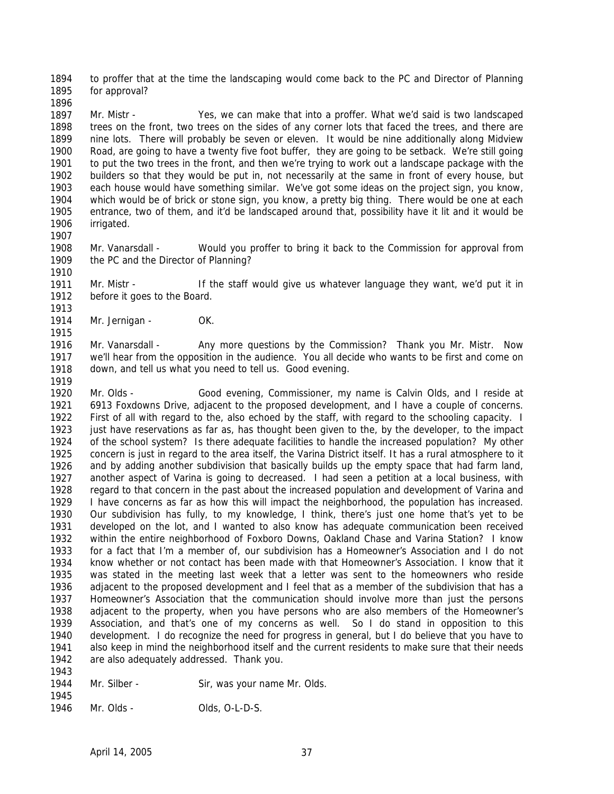1894 1895 to proffer that at the time the landscaping would come back to the PC and Director of Planning for approval?

1897 1898 1899 1900 1901 1902 1903 1904 1905 1906 Mr. Mistr - Yes, we can make that into a proffer. What we'd said is two landscaped trees on the front, two trees on the sides of any corner lots that faced the trees, and there are nine lots. There will probably be seven or eleven. It would be nine additionally along Midview Road, are going to have a twenty five foot buffer, they are going to be setback. We're still going to put the two trees in the front, and then we're trying to work out a landscape package with the builders so that they would be put in, not necessarily at the same in front of every house, but each house would have something similar. We've got some ideas on the project sign, you know, which would be of brick or stone sign, you know, a pretty big thing. There would be one at each entrance, two of them, and it'd be landscaped around that, possibility have it lit and it would be irrigated.

1907

1915

1943

1896

1908 1909 1910 Mr. Vanarsdall - Would you proffer to bring it back to the Commission for approval from the PC and the Director of Planning?

1911 1912 1913 Mr. Mistr - If the staff would give us whatever language they want, we'd put it in before it goes to the Board.

1914 Mr. Jernigan - OK.

1916 1917 1918 1919 Mr. Vanarsdall - Any more questions by the Commission? Thank you Mr. Mistr. Now we'll hear from the opposition in the audience. You all decide who wants to be first and come on down, and tell us what you need to tell us. Good evening.

1920 1921 1922 1923 1924 1925 1926 1927 1928 1929 1930 1931 1932 1933 1934 1935 1936 1937 1938 1939 1940 1941 1942 Mr. Olds - Good evening, Commissioner, my name is Calvin Olds, and I reside at 6913 Foxdowns Drive, adjacent to the proposed development, and I have a couple of concerns. First of all with regard to the, also echoed by the staff, with regard to the schooling capacity. I just have reservations as far as, has thought been given to the, by the developer, to the impact of the school system? Is there adequate facilities to handle the increased population? My other concern is just in regard to the area itself, the Varina District itself. It has a rural atmosphere to it and by adding another subdivision that basically builds up the empty space that had farm land, another aspect of Varina is going to decreased. I had seen a petition at a local business, with regard to that concern in the past about the increased population and development of Varina and I have concerns as far as how this will impact the neighborhood, the population has increased. Our subdivision has fully, to my knowledge, I think, there's just one home that's yet to be developed on the lot, and I wanted to also know has adequate communication been received within the entire neighborhood of Foxboro Downs, Oakland Chase and Varina Station? I know for a fact that I'm a member of, our subdivision has a Homeowner's Association and I do not know whether or not contact has been made with that Homeowner's Association. I know that it was stated in the meeting last week that a letter was sent to the homeowners who reside adjacent to the proposed development and I feel that as a member of the subdivision that has a Homeowner's Association that the communication should involve more than just the persons adjacent to the property, when you have persons who are also members of the Homeowner's Association, and that's one of my concerns as well. So I do stand in opposition to this development. I do recognize the need for progress in general, but I do believe that you have to also keep in mind the neighborhood itself and the current residents to make sure that their needs are also adequately addressed. Thank you.

- 1944 1945 Mr. Silber - Sir, was your name Mr. Olds.
- 1946 Mr. Olds - Olds, O-L-D-S.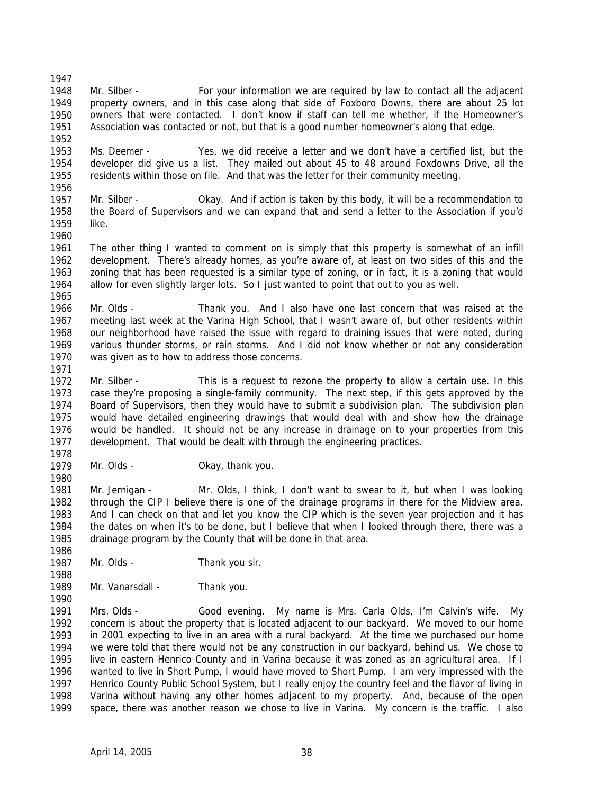1947 1948 1949 1950 1951 1952 1953 1954 1955 1956 1957 1958 1959 1960 1961 1962 1963 1964 1965 1966 1967 1968 1969 1970 1971 1972 1973 1974 1975 1976 1977 1978 1979 1980 1981 1982 1983 1984 1985 1986 Mr. Silber - For your information we are required by law to contact all the adjacent property owners, and in this case along that side of Foxboro Downs, there are about 25 lot owners that were contacted. I don't know if staff can tell me whether, if the Homeowner's Association was contacted or not, but that is a good number homeowner's along that edge. Ms. Deemer - Yes, we did receive a letter and we don't have a certified list, but the developer did give us a list. They mailed out about 45 to 48 around Foxdowns Drive, all the residents within those on file. And that was the letter for their community meeting. Mr. Silber - Okay. And if action is taken by this body, it will be a recommendation to the Board of Supervisors and we can expand that and send a letter to the Association if you'd like. The other thing I wanted to comment on is simply that this property is somewhat of an infill development. There's already homes, as you're aware of, at least on two sides of this and the zoning that has been requested is a similar type of zoning, or in fact, it is a zoning that would allow for even slightly larger lots. So I just wanted to point that out to you as well. Mr. Olds - Thank you. And I also have one last concern that was raised at the meeting last week at the Varina High School, that I wasn't aware of, but other residents within our neighborhood have raised the issue with regard to draining issues that were noted, during various thunder storms, or rain storms. And I did not know whether or not any consideration was given as to how to address those concerns. Mr. Silber - This is a request to rezone the property to allow a certain use. In this case they're proposing a single-family community. The next step, if this gets approved by the Board of Supervisors, then they would have to submit a subdivision plan. The subdivision plan would have detailed engineering drawings that would deal with and show how the drainage would be handled. It should not be any increase in drainage on to your properties from this development. That would be dealt with through the engineering practices. Mr. Olds - Chay, thank you. Mr. Jernigan - Mr. Olds, I think, I don't want to swear to it, but when I was looking through the CIP I believe there is one of the drainage programs in there for the Midview area. And I can check on that and let you know the CIP which is the seven year projection and it has the dates on when it's to be done, but I believe that when I looked through there, there was a drainage program by the County that will be done in that area.

- 1987 1988 Mr. Olds - Thank you sir.
- 1989 Mr. Vanarsdall - Thank you.

1990

1991 1992 1993 1994 1995 1996 1997 1998 1999 Mrs. Olds - Good evening. My name is Mrs. Carla Olds, I'm Calvin's wife. My concern is about the property that is located adjacent to our backyard. We moved to our home in 2001 expecting to live in an area with a rural backyard. At the time we purchased our home we were told that there would not be any construction in our backyard, behind us. We chose to live in eastern Henrico County and in Varina because it was zoned as an agricultural area. If I wanted to live in Short Pump, I would have moved to Short Pump. I am very impressed with the Henrico County Public School System, but I really enjoy the country feel and the flavor of living in Varina without having any other homes adjacent to my property. And, because of the open space, there was another reason we chose to live in Varina. My concern is the traffic. I also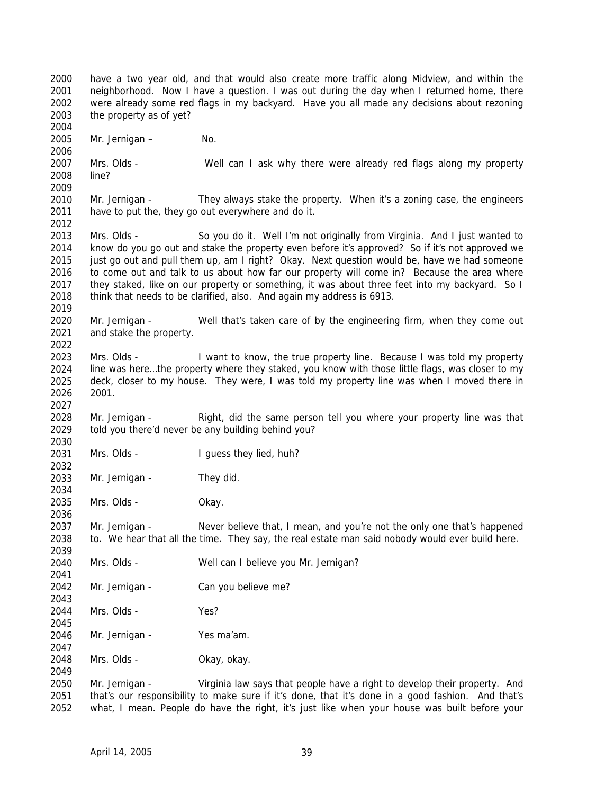2000 2001 2002 2003 2004 2005 2006 2007 2008 2009 2010 2011 2012 2013 2014 2015 2016 2017 2018 2019 2020 2021 2022 2023 2024 2025 2026 2027 2028 2029 2030 2031 2032 2033 2034 2035 2036 2037 2038 2039 2040 2041 2042 2043 2044 2045 2046 2047 2048 2049 2050 have a two year old, and that would also create more traffic along Midview, and within the neighborhood. Now I have a question. I was out during the day when I returned home, there were already some red flags in my backyard. Have you all made any decisions about rezoning the property as of yet? Mr. Jernigan – No. Mrs. Olds - Well can I ask why there were already red flags along my property line? Mr. Jernigan - They always stake the property. When it's a zoning case, the engineers have to put the, they go out everywhere and do it. Mrs. Olds - So you do it. Well I'm not originally from Virginia. And I just wanted to know do you go out and stake the property even before it's approved? So if it's not approved we just go out and pull them up, am I right? Okay. Next question would be, have we had someone to come out and talk to us about how far our property will come in? Because the area where they staked, like on our property or something, it was about three feet into my backyard. So I think that needs to be clarified, also. And again my address is 6913. Mr. Jernigan - Well that's taken care of by the engineering firm, when they come out and stake the property. Mrs. Olds - I want to know, the true property line. Because I was told my property line was here…the property where they staked, you know with those little flags, was closer to my deck, closer to my house. They were, I was told my property line was when I moved there in 2001. Mr. Jernigan - Right, did the same person tell you where your property line was that told you there'd never be any building behind you? Mrs. Olds - I guess they lied, huh? Mr. Jernigan - They did. Mrs. Olds - Okay. Mr. Jernigan - Never believe that, I mean, and you're not the only one that's happened to. We hear that all the time. They say, the real estate man said nobody would ever build here. Mrs. Olds - Well can I believe you Mr. Jernigan? Mr. Jernigan - Can you believe me? Mrs. Olds - Yes? Mr. Jernigan - Yes ma'am. Mrs. Olds - Okay, okay. Mr. Jernigan - Virginia law says that people have a right to develop their property. And

2051 2052 that's our responsibility to make sure if it's done, that it's done in a good fashion. And that's what, I mean. People do have the right, it's just like when your house was built before your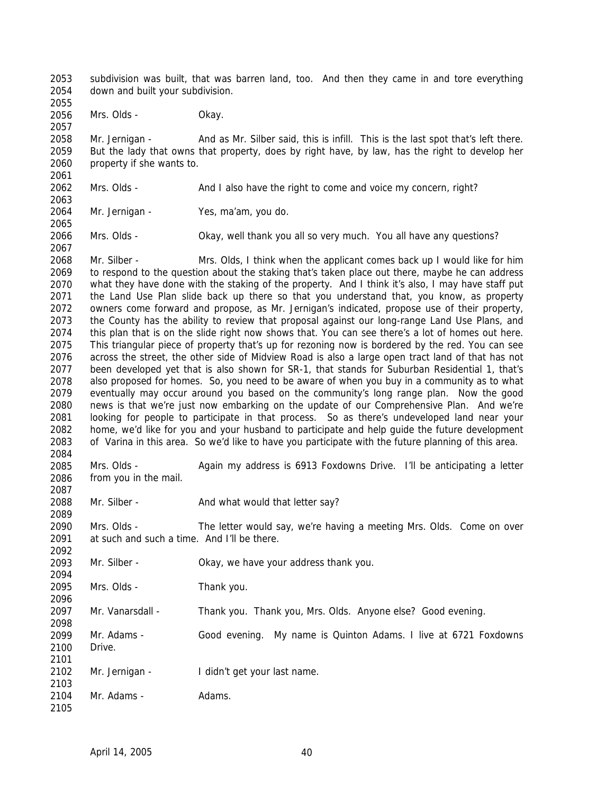2053 2054 2055 subdivision was built, that was barren land, too. And then they came in and tore everything down and built your subdivision.

2056 Mrs. Olds - Okay.

2057

2061

2063

2065

2067

2087

2089

2092

2094

2096

2101

2103

2058 2059 2060 Mr. Jernigan - And as Mr. Silber said, this is infill. This is the last spot that's left there. But the lady that owns that property, does by right have, by law, has the right to develop her property if she wants to.

2062 Mrs. Olds - And I also have the right to come and voice my concern, right?

2064 Mr. Jernigan - Yes, ma'am, you do.

2066 Mrs. Olds - Okay, well thank you all so very much. You all have any questions?

2068 2069 2070 2071 2072 2073 2074 2075 2076 2077 2078 2079 2080 2081 2082 2083 2084 Mr. Silber - Mrs. Olds, I think when the applicant comes back up I would like for him to respond to the question about the staking that's taken place out there, maybe he can address what they have done with the staking of the property. And I think it's also, I may have staff put the Land Use Plan slide back up there so that you understand that, you know, as property owners come forward and propose, as Mr. Jernigan's indicated, propose use of their property, the County has the ability to review that proposal against our long-range Land Use Plans, and this plan that is on the slide right now shows that. You can see there's a lot of homes out here. This triangular piece of property that's up for rezoning now is bordered by the red. You can see across the street, the other side of Midview Road is also a large open tract land of that has not been developed yet that is also shown for SR-1, that stands for Suburban Residential 1, that's also proposed for homes. So, you need to be aware of when you buy in a community as to what eventually may occur around you based on the community's long range plan. Now the good news is that we're just now embarking on the update of our Comprehensive Plan. And we're looking for people to participate in that process. So as there's undeveloped land near your home, we'd like for you and your husband to participate and help guide the future development of Varina in this area. So we'd like to have you participate with the future planning of this area.

2085 2086 Mrs. Olds - Again my address is 6913 Foxdowns Drive. I'll be anticipating a letter from you in the mail.

2088 Mr. Silber - And what would that letter say?

2090 2091 Mrs. Olds - The letter would say, we're having a meeting Mrs. Olds. Come on over at such and such a time. And I'll be there.

2093 Mr. Silber - Okay, we have your address thank you.

2095 Mrs. Olds - Thank you.

2097 Mr. Vanarsdall - Thank you. Thank you, Mrs. Olds. Anyone else? Good evening.

2098 2099 2100 Mr. Adams - Good evening. My name is Quinton Adams. I live at 6721 Foxdowns Drive.

2102 Mr. Jernigan - I didn't get your last name.

2104 2105 Mr. Adams - Adams.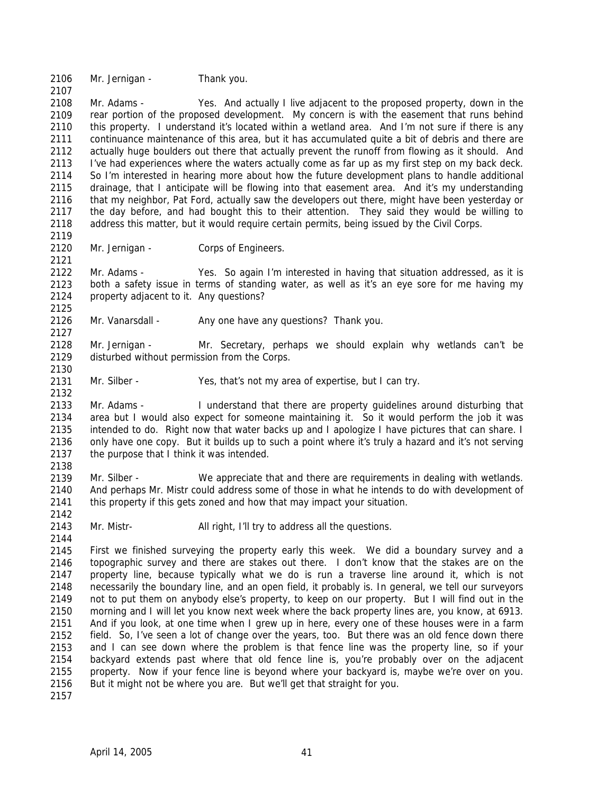2106 Mr. Jernigan - Thank you.

2107

2119

2121

2125

2127

2130

2132

2138

2142

2144

2108 2109 2110 2111 2112 2113 2114 2115 2116 2117 2118 Mr. Adams - Yes. And actually I live adjacent to the proposed property, down in the rear portion of the proposed development. My concern is with the easement that runs behind this property. I understand it's located within a wetland area. And I'm not sure if there is any continuance maintenance of this area, but it has accumulated quite a bit of debris and there are actually huge boulders out there that actually prevent the runoff from flowing as it should. And I've had experiences where the waters actually come as far up as my first step on my back deck. So I'm interested in hearing more about how the future development plans to handle additional drainage, that I anticipate will be flowing into that easement area. And it's my understanding that my neighbor, Pat Ford, actually saw the developers out there, might have been yesterday or the day before, and had bought this to their attention. They said they would be willing to address this matter, but it would require certain permits, being issued by the Civil Corps.

2120 Mr. Jernigan - Corps of Engineers.

2122 2123 2124 Mr. Adams - Yes. So again I'm interested in having that situation addressed, as it is both a safety issue in terms of standing water, as well as it's an eye sore for me having my property adjacent to it. Any questions?

2126 Mr. Vanarsdall - Any one have any questions? Thank you.

2128 2129 Mr. Jernigan - Mr. Secretary, perhaps we should explain why wetlands can't be disturbed without permission from the Corps.

2131 Mr. Silber - Yes, that's not my area of expertise, but I can try.

2133 2134 2135 2136 2137 Mr. Adams - I understand that there are property guidelines around disturbing that area but I would also expect for someone maintaining it. So it would perform the job it was intended to do. Right now that water backs up and I apologize I have pictures that can share. I only have one copy. But it builds up to such a point where it's truly a hazard and it's not serving the purpose that I think it was intended.

2139 2140 2141 Mr. Silber - We appreciate that and there are requirements in dealing with wetlands. And perhaps Mr. Mistr could address some of those in what he intends to do with development of this property if this gets zoned and how that may impact your situation.

2143 Mr. Mistr- All right, I'll try to address all the questions.

2145 2146 2147 2148 2149 2150 2151 2152 2153 2154 2155 2156 First we finished surveying the property early this week. We did a boundary survey and a topographic survey and there are stakes out there. I don't know that the stakes are on the property line, because typically what we do is run a traverse line around it, which is not necessarily the boundary line, and an open field, it probably is. In general, we tell our surveyors not to put them on anybody else's property, to keep on our property. But I will find out in the morning and I will let you know next week where the back property lines are, you know, at 6913. And if you look, at one time when I grew up in here, every one of these houses were in a farm field. So, I've seen a lot of change over the years, too. But there was an old fence down there and I can see down where the problem is that fence line was the property line, so if your backyard extends past where that old fence line is, you're probably over on the adjacent property. Now if your fence line is beyond where your backyard is, maybe we're over on you. But it might not be where you are. But we'll get that straight for you.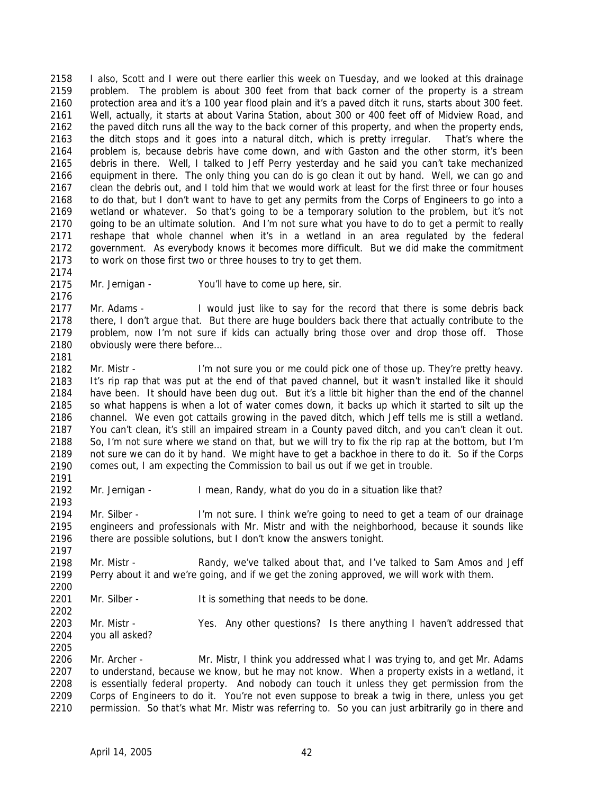2158 2159 2160 2161 2162 2163 2164 2165 2166 2167 2168 2169 2170 2171 2172 2173 I also, Scott and I were out there earlier this week on Tuesday, and we looked at this drainage problem. The problem is about 300 feet from that back corner of the property is a stream protection area and it's a 100 year flood plain and it's a paved ditch it runs, starts about 300 feet. Well, actually, it starts at about Varina Station, about 300 or 400 feet off of Midview Road, and the paved ditch runs all the way to the back corner of this property, and when the property ends, the ditch stops and it goes into a natural ditch, which is pretty irregular. That's where the problem is, because debris have come down, and with Gaston and the other storm, it's been debris in there. Well, I talked to Jeff Perry yesterday and he said you can't take mechanized equipment in there. The only thing you can do is go clean it out by hand. Well, we can go and clean the debris out, and I told him that we would work at least for the first three or four houses to do that, but I don't want to have to get any permits from the Corps of Engineers to go into a wetland or whatever. So that's going to be a temporary solution to the problem, but it's not going to be an ultimate solution. And I'm not sure what you have to do to get a permit to really reshape that whole channel when it's in a wetland in an area regulated by the federal government. As everybody knows it becomes more difficult. But we did make the commitment to work on those first two or three houses to try to get them.

2175 Mr. Jernigan - You'll have to come up here, sir.

2174

2176

2181

2191

2197

2202

2177 2178 2179 2180 Mr. Adams - I would just like to say for the record that there is some debris back there, I don't argue that. But there are huge boulders back there that actually contribute to the problem, now I'm not sure if kids can actually bring those over and drop those off. Those obviously were there before…

2182 2183 2184 2185 2186 2187 2188 2189 2190 Mr. Mistr - I'm not sure you or me could pick one of those up. They're pretty heavy. It's rip rap that was put at the end of that paved channel, but it wasn't installed like it should have been. It should have been dug out. But it's a little bit higher than the end of the channel so what happens is when a lot of water comes down, it backs up which it started to silt up the channel. We even got cattails growing in the paved ditch, which Jeff tells me is still a wetland. You can't clean, it's still an impaired stream in a County paved ditch, and you can't clean it out. So, I'm not sure where we stand on that, but we will try to fix the rip rap at the bottom, but I'm not sure we can do it by hand. We might have to get a backhoe in there to do it. So if the Corps comes out, I am expecting the Commission to bail us out if we get in trouble.

2192 2193 Mr. Jernigan - I mean, Randy, what do you do in a situation like that?

2194 2195 2196 Mr. Silber - I'm not sure. I think we're going to need to get a team of our drainage engineers and professionals with Mr. Mistr and with the neighborhood, because it sounds like there are possible solutions, but I don't know the answers tonight.

2198 2199 2200 Mr. Mistr - Randy, we've talked about that, and I've talked to Sam Amos and Jeff Perry about it and we're going, and if we get the zoning approved, we will work with them.

2201 Mr. Silber - It is something that needs to be done.

2203 2204 2205 Mr. Mistr - Yes. Any other questions? Is there anything I haven't addressed that you all asked?

2206 2207 2208 2209 2210 Mr. Archer - Mr. Mistr, I think you addressed what I was trying to, and get Mr. Adams to understand, because we know, but he may not know. When a property exists in a wetland, it is essentially federal property. And nobody can touch it unless they get permission from the Corps of Engineers to do it. You're not even suppose to break a twig in there, unless you get permission. So that's what Mr. Mistr was referring to. So you can just arbitrarily go in there and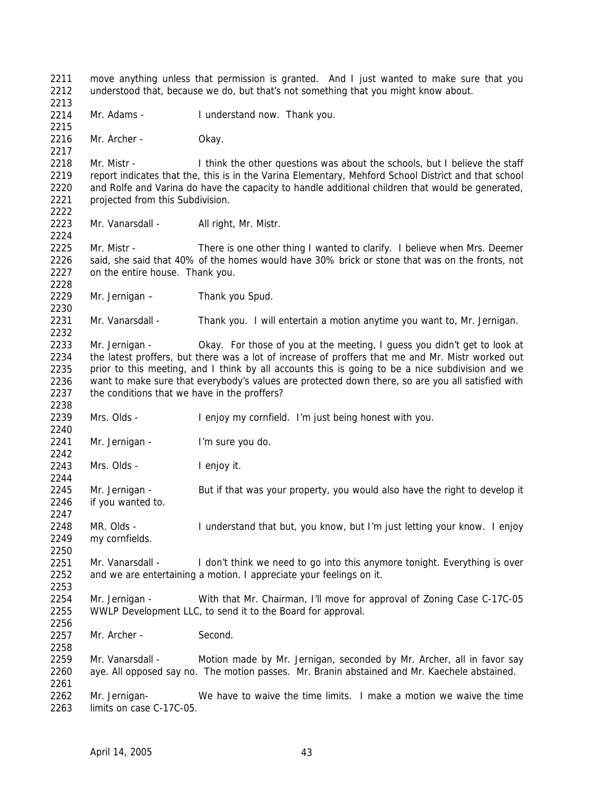2211 2212 2213 2214 2215 2216 2217 2218 2219 2220 2221 2222 2223 2224 2225 2226 2227 2228 2229 2230 2231 2232 2233 2234 2235 2236 2237 2238 2239 2240 2241 2242 2243 2244 2245 2246 2247 2248 2249 2250 2251 2252 2253 2254 2255 2256 2257 2258 2259 2260 2261 2262 2263 move anything unless that permission is granted. And I just wanted to make sure that you understood that, because we do, but that's not something that you might know about. Mr. Adams - I understand now. Thank you. Mr. Archer - Okay. Mr. Mistr - I think the other questions was about the schools, but I believe the staff report indicates that the, this is in the Varina Elementary, Mehford School District and that school and Rolfe and Varina do have the capacity to handle additional children that would be generated, projected from this Subdivision. Mr. Vanarsdall - All right, Mr. Mistr. Mr. Mistr - There is one other thing I wanted to clarify. I believe when Mrs. Deemer said, she said that 40% of the homes would have 30% brick or stone that was on the fronts, not on the entire house. Thank you. Mr. Jernigan – Thank you Spud. Mr. Vanarsdall - Thank you. I will entertain a motion anytime you want to, Mr. Jernigan. Mr. Jernigan - Okay. For those of you at the meeting, I guess you didn't get to look at the latest proffers, but there was a lot of increase of proffers that me and Mr. Mistr worked out prior to this meeting, and I think by all accounts this is going to be a nice subdivision and we want to make sure that everybody's values are protected down there, so are you all satisfied with the conditions that we have in the proffers? Mrs. Olds - I enjoy my cornfield. I'm just being honest with you. Mr. Jernigan - I'm sure you do. Mrs. Olds - I enjoy it. Mr. Jernigan - But if that was your property, you would also have the right to develop it if you wanted to. MR. Olds - I understand that but, you know, but I'm just letting your know. I enjoy my cornfields. Mr. Vanarsdall - I don't think we need to go into this anymore tonight. Everything is over and we are entertaining a motion. I appreciate your feelings on it. Mr. Jernigan - With that Mr. Chairman, I'll move for approval of Zoning Case C-17C-05 WWLP Development LLC, to send it to the Board for approval. Mr. Archer - Second. Mr. Vanarsdall - Motion made by Mr. Jernigan, seconded by Mr. Archer, all in favor say aye. All opposed say no. The motion passes. Mr. Branin abstained and Mr. Kaechele abstained. Mr. Jernigan- We have to waive the time limits. I make a motion we waive the time limits on case C-17C-05.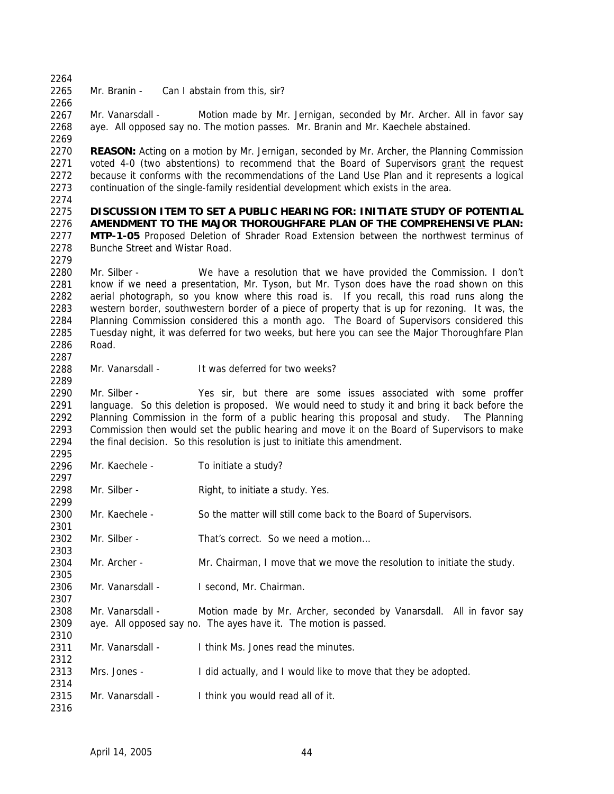2264

2266

2265 Mr. Branin - Can I abstain from this, sir?

2267 2268 2269 Mr. Vanarsdall - Motion made by Mr. Jernigan, seconded by Mr. Archer. All in favor say aye. All opposed say no. The motion passes. Mr. Branin and Mr. Kaechele abstained.

2270 **REASON:** Acting on a motion by Mr. Jernigan, seconded by Mr. Archer, the Planning Commission voted 4-0 (two abstentions) to recommend that the Board of Supervisors grant the request because it conforms with the recommendations of the Land Use Plan and it represents a logical continuation of the single-family residential development which exists in the area. 2271 2272 2273

2274

2287

2289

2297

2299

2301

2303

2305

2307

2310

2312

2314

2316

### 2275 2276 **DISCUSSION ITEM TO SET A PUBLIC HEARING FOR: INITIATE STUDY OF POTENTIAL AMENDMENT TO THE MAJOR THOROUGHFARE PLAN OF THE COMPREHENSIVE PLAN:**

2277 2278 2279 **MTP-1-05** Proposed Deletion of Shrader Road Extension between the northwest terminus of Bunche Street and Wistar Road.

2280 2281 2282 2283 2284 2285 2286 Mr. Silber - We have a resolution that we have provided the Commission. I don't know if we need a presentation, Mr. Tyson, but Mr. Tyson does have the road shown on this aerial photograph, so you know where this road is. If you recall, this road runs along the western border, southwestern border of a piece of property that is up for rezoning. It was, the Planning Commission considered this a month ago. The Board of Supervisors considered this Tuesday night, it was deferred for two weeks, but here you can see the Major Thoroughfare Plan Road.

2288 Mr. Vanarsdall - It was deferred for two weeks?

2290 2291 2292 2293 2294 2295 Mr. Silber - Yes sir, but there are some issues associated with some proffer language. So this deletion is proposed. We would need to study it and bring it back before the Planning Commission in the form of a public hearing this proposal and study. The Planning Commission then would set the public hearing and move it on the Board of Supervisors to make the final decision. So this resolution is just to initiate this amendment.

- 2296 Mr. Kaechele - To initiate a study?
- 2298 Mr. Silber - Right, to initiate a study. Yes.
- 2300 Mr. Kaechele - So the matter will still come back to the Board of Supervisors.
- 2302 Mr. Silber - That's correct. So we need a motion...
- 2304 Mr. Archer - Mr. Chairman, I move that we move the resolution to initiate the study.
- 2306 Mr. Vanarsdall - I second, Mr. Chairman.
- 2308 2309 Mr. Vanarsdall - Motion made by Mr. Archer, seconded by Vanarsdall. All in favor say aye. All opposed say no. The ayes have it. The motion is passed.
- 2311 Mr. Vanarsdall - I think Ms. Jones read the minutes.
- 2313 Mrs. Jones - I did actually, and I would like to move that they be adopted.
- 2315 Mr. Vanarsdall - I think you would read all of it.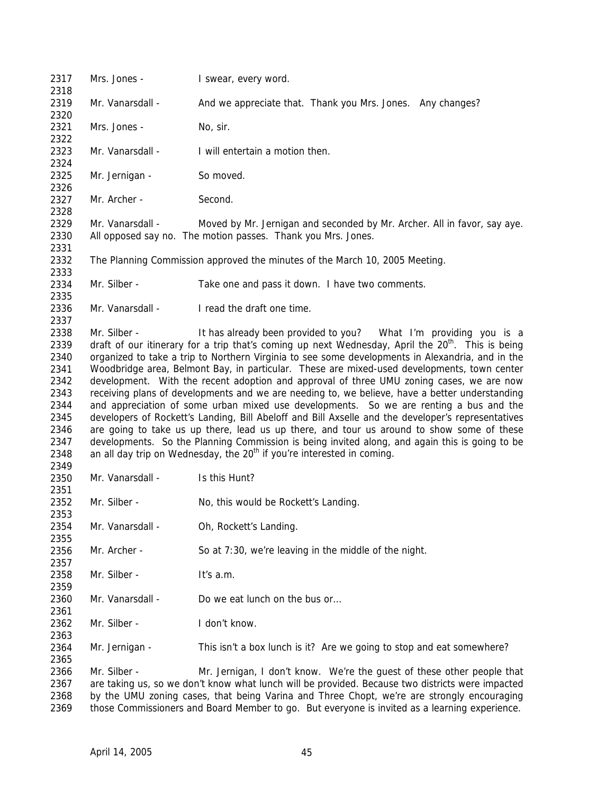Mrs. Jones - **I** swear, every word. Mr. Vanarsdall - And we appreciate that. Thank you Mrs. Jones. Any changes? Mrs. Jones - No. sir. Mr. Vanarsdall - I will entertain a motion then. Mr. Jernigan - So moved. Mr. Archer - Second. Mr. Vanarsdall - Moved by Mr. Jernigan and seconded by Mr. Archer. All in favor, say aye. All opposed say no. The motion passes. Thank you Mrs. Jones. The Planning Commission approved the minutes of the March 10, 2005 Meeting. Mr. Silber - Take one and pass it down. I have two comments. Mr. Vanarsdall - I read the draft one time. Mr. Silber - It has already been provided to you? What I'm providing you is a draft of our itinerary for a trip that's coming up next Wednesday, April the  $20<sup>th</sup>$ . This is being organized to take a trip to Northern Virginia to see some developments in Alexandria, and in the Woodbridge area, Belmont Bay, in particular. These are mixed-used developments, town center development. With the recent adoption and approval of three UMU zoning cases, we are now receiving plans of developments and we are needing to, we believe, have a better understanding and appreciation of some urban mixed use developments. So we are renting a bus and the developers of Rockett's Landing, Bill Abeloff and Bill Axselle and the developer's representatives are going to take us up there, lead us up there, and tour us around to show some of these developments. So the Planning Commission is being invited along, and again this is going to be an all day trip on Wednesday, the  $20<sup>th</sup>$  if you're interested in coming. Mr. Vanarsdall - Is this Hunt? Mr. Silber - No, this would be Rockett's Landing. Mr. Vanarsdall - Oh, Rockett's Landing. Mr. Archer - So at 7:30, we're leaving in the middle of the night. Mr. Silber - It's a.m. Mr. Vanarsdall - Do we eat lunch on the bus or Mr. Silber - I don't know. Mr. Jernigan - This isn't a box lunch is it? Are we going to stop and eat somewhere? Mr. Silber - Mr. Jernigan, I don't know. We're the guest of these other people that are taking us, so we don't know what lunch will be provided. Because two districts were impacted by the UMU zoning cases, that being Varina and Three Chopt, we're are strongly encouraging those Commissioners and Board Member to go. But everyone is invited as a learning experience.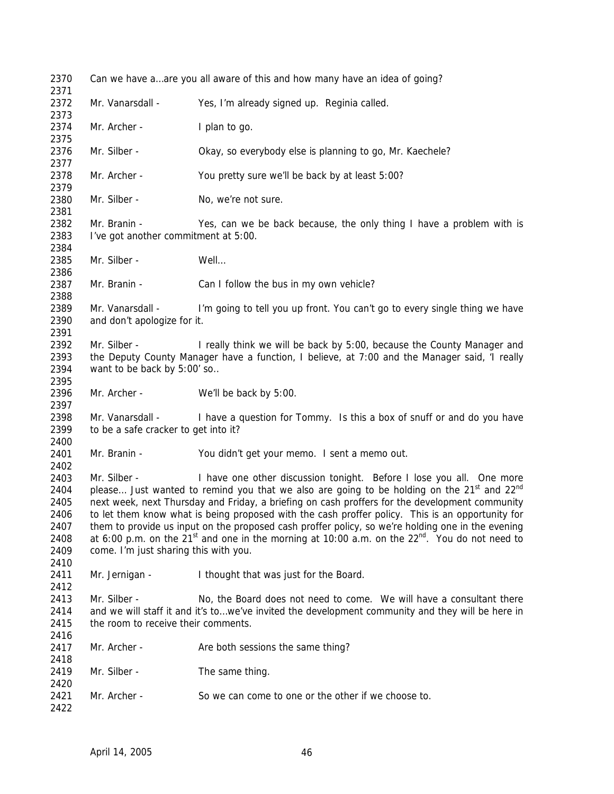| 2370                         | Can we have aare you all aware of this and how many have an idea of going?                                                    |                                                                                                                                                                                                                                                                                                                                                                                                  |  |  |
|------------------------------|-------------------------------------------------------------------------------------------------------------------------------|--------------------------------------------------------------------------------------------------------------------------------------------------------------------------------------------------------------------------------------------------------------------------------------------------------------------------------------------------------------------------------------------------|--|--|
| 2371<br>2372<br>2373         | Mr. Vanarsdall -                                                                                                              | Yes, I'm already signed up. Reginia called.                                                                                                                                                                                                                                                                                                                                                      |  |  |
| 2374<br>2375                 | Mr. Archer -                                                                                                                  | I plan to go.                                                                                                                                                                                                                                                                                                                                                                                    |  |  |
| 2376<br>2377                 | Mr. Silber -                                                                                                                  | Okay, so everybody else is planning to go, Mr. Kaechele?                                                                                                                                                                                                                                                                                                                                         |  |  |
| 2378<br>2379                 | Mr. Archer -                                                                                                                  | You pretty sure we'll be back by at least 5:00?                                                                                                                                                                                                                                                                                                                                                  |  |  |
| 2380<br>2381                 | Mr. Silber -                                                                                                                  | No, we're not sure.                                                                                                                                                                                                                                                                                                                                                                              |  |  |
| 2382                         | Mr. Branin -                                                                                                                  | Yes, can we be back because, the only thing I have a problem with is                                                                                                                                                                                                                                                                                                                             |  |  |
| 2383<br>2384                 | I've got another commitment at 5:00.                                                                                          |                                                                                                                                                                                                                                                                                                                                                                                                  |  |  |
| 2385<br>2386                 | Mr. Silber -                                                                                                                  | Well                                                                                                                                                                                                                                                                                                                                                                                             |  |  |
| 2387<br>2388                 | Mr. Branin -                                                                                                                  | Can I follow the bus in my own vehicle?                                                                                                                                                                                                                                                                                                                                                          |  |  |
| 2389<br>2390                 | Mr. Vanarsdall -<br>I'm going to tell you up front. You can't go to every single thing we have<br>and don't apologize for it. |                                                                                                                                                                                                                                                                                                                                                                                                  |  |  |
| 2391                         |                                                                                                                               |                                                                                                                                                                                                                                                                                                                                                                                                  |  |  |
| 2392                         | Mr. Silber -                                                                                                                  | I really think we will be back by 5:00, because the County Manager and                                                                                                                                                                                                                                                                                                                           |  |  |
| 2393<br>2394                 | the Deputy County Manager have a function, I believe, at 7:00 and the Manager said, 'I really<br>want to be back by 5:00' so  |                                                                                                                                                                                                                                                                                                                                                                                                  |  |  |
| 2395<br>2396<br>2397         | Mr. Archer -                                                                                                                  | We'll be back by 5:00.                                                                                                                                                                                                                                                                                                                                                                           |  |  |
| 2398<br>2399                 | Mr. Vanarsdall -<br>to be a safe cracker to get into it?                                                                      | I have a question for Tommy. Is this a box of snuff or and do you have                                                                                                                                                                                                                                                                                                                           |  |  |
| 2400                         |                                                                                                                               |                                                                                                                                                                                                                                                                                                                                                                                                  |  |  |
| 2401<br>2402                 | Mr. Branin -                                                                                                                  | You didn't get your memo. I sent a memo out.                                                                                                                                                                                                                                                                                                                                                     |  |  |
| 2403<br>2404<br>2405<br>2406 | Mr. Silber -                                                                                                                  | I have one other discussion tonight. Before I lose you all. One more<br>please Just wanted to remind you that we also are going to be holding on the 21 <sup>st</sup> and 22 <sup>nd</sup><br>next week, next Thursday and Friday, a briefing on cash proffers for the development community<br>to let them know what is being proposed with the cash proffer policy. This is an opportunity for |  |  |
| 2407<br>2408<br>2409         | come. I'm just sharing this with you.                                                                                         | them to provide us input on the proposed cash proffer policy, so we're holding one in the evening<br>at 6:00 p.m. on the 21 <sup>st</sup> and one in the morning at 10:00 a.m. on the $22^{nd}$ . You do not need to                                                                                                                                                                             |  |  |
| 2410<br>2411                 | Mr. Jernigan -                                                                                                                | I thought that was just for the Board.                                                                                                                                                                                                                                                                                                                                                           |  |  |
| 2412                         |                                                                                                                               |                                                                                                                                                                                                                                                                                                                                                                                                  |  |  |
| 2413<br>2414<br>2415         | Mr. Silber -<br>the room to receive their comments.                                                                           | No, the Board does not need to come. We will have a consultant there<br>and we will staff it and it's towe've invited the development community and they will be here in                                                                                                                                                                                                                         |  |  |
| 2416<br>2417                 | Mr. Archer -                                                                                                                  | Are both sessions the same thing?                                                                                                                                                                                                                                                                                                                                                                |  |  |
| 2418<br>2419                 | Mr. Silber -                                                                                                                  | The same thing.                                                                                                                                                                                                                                                                                                                                                                                  |  |  |
| 2420<br>2421<br>2422         | Mr. Archer -                                                                                                                  | So we can come to one or the other if we choose to.                                                                                                                                                                                                                                                                                                                                              |  |  |